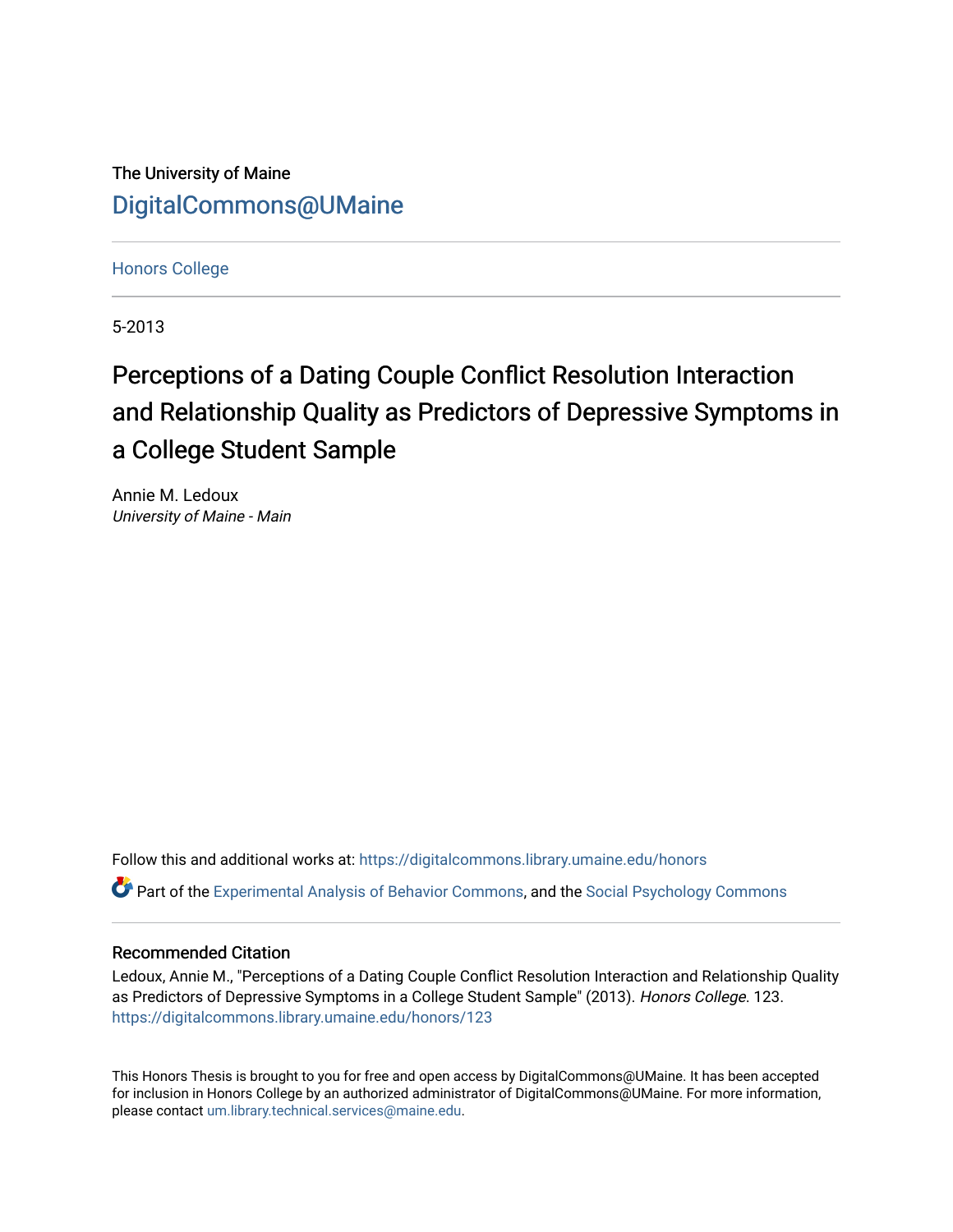The University of Maine [DigitalCommons@UMaine](https://digitalcommons.library.umaine.edu/)

[Honors College](https://digitalcommons.library.umaine.edu/honors)

5-2013

# Perceptions of a Dating Couple Conflict Resolution Interaction and Relationship Quality as Predictors of Depressive Symptoms in a College Student Sample

Annie M. Ledoux University of Maine - Main

Follow this and additional works at: [https://digitalcommons.library.umaine.edu/honors](https://digitalcommons.library.umaine.edu/honors?utm_source=digitalcommons.library.umaine.edu%2Fhonors%2F123&utm_medium=PDF&utm_campaign=PDFCoverPages)  Part of the [Experimental Analysis of Behavior Commons,](http://network.bepress.com/hgg/discipline/1236?utm_source=digitalcommons.library.umaine.edu%2Fhonors%2F123&utm_medium=PDF&utm_campaign=PDFCoverPages) and the [Social Psychology Commons](http://network.bepress.com/hgg/discipline/414?utm_source=digitalcommons.library.umaine.edu%2Fhonors%2F123&utm_medium=PDF&utm_campaign=PDFCoverPages) 

### Recommended Citation

Ledoux, Annie M., "Perceptions of a Dating Couple Conflict Resolution Interaction and Relationship Quality as Predictors of Depressive Symptoms in a College Student Sample" (2013). Honors College. 123. [https://digitalcommons.library.umaine.edu/honors/123](https://digitalcommons.library.umaine.edu/honors/123?utm_source=digitalcommons.library.umaine.edu%2Fhonors%2F123&utm_medium=PDF&utm_campaign=PDFCoverPages) 

This Honors Thesis is brought to you for free and open access by DigitalCommons@UMaine. It has been accepted for inclusion in Honors College by an authorized administrator of DigitalCommons@UMaine. For more information, please contact [um.library.technical.services@maine.edu.](mailto:um.library.technical.services@maine.edu)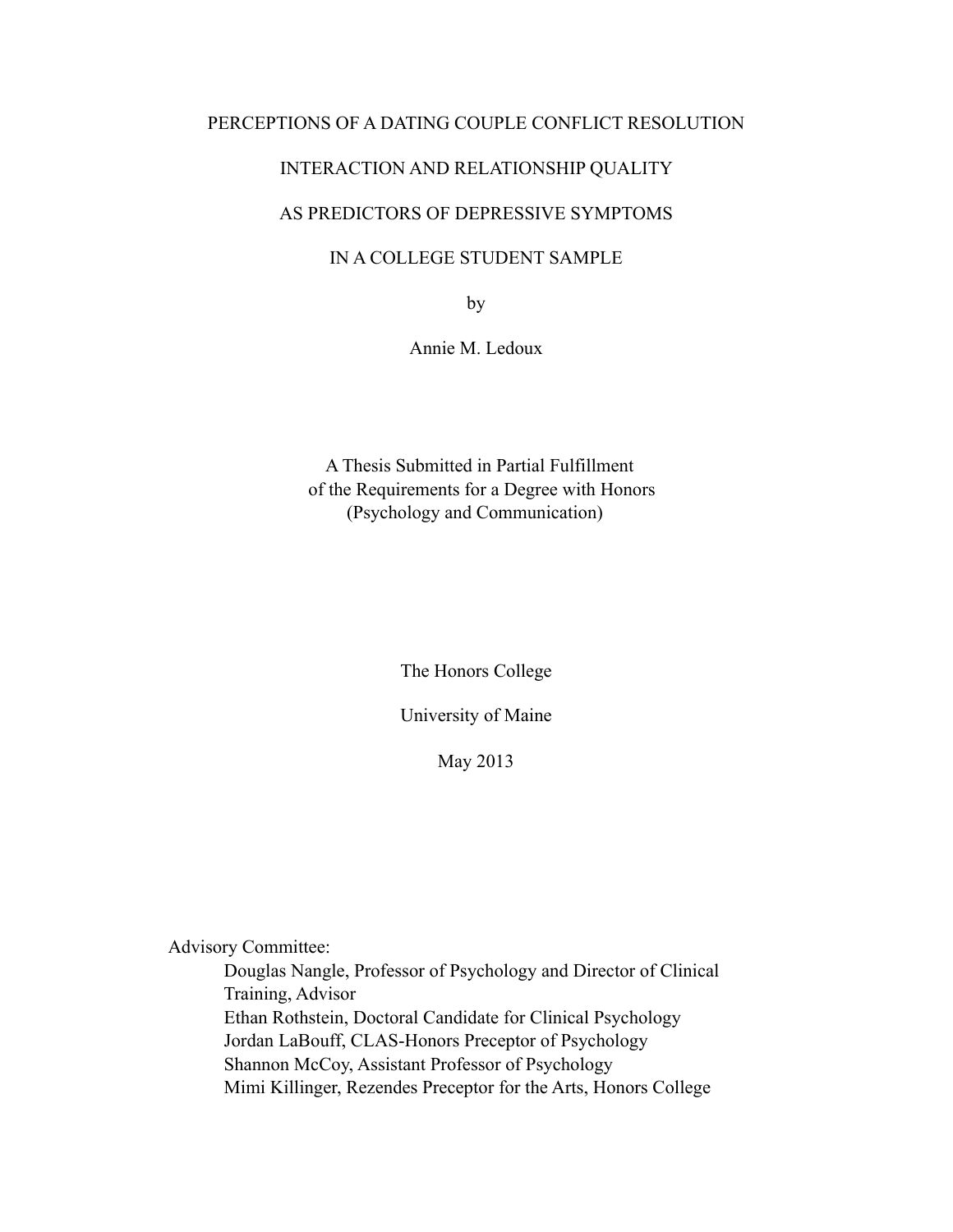### PERCEPTIONS OF A DATING COUPLE CONFLICT RESOLUTION

### INTERACTION AND RELATIONSHIP QUALITY

### AS PREDICTORS OF DEPRESSIVE SYMPTOMS

### IN A COLLEGE STUDENT SAMPLE

by

Annie M. Ledoux

 A Thesis Submitted in Partial Fulfillment of the Requirements for a Degree with Honors (Psychology and Communication)

The Honors College

University of Maine

May 2013

Advisory Committee:

 Douglas Nangle, Professor of Psychology and Director of Clinical Training, Advisor Ethan Rothstein, Doctoral Candidate for Clinical Psychology Jordan LaBouff, CLAS-Honors Preceptor of Psychology Shannon McCoy, Assistant Professor of Psychology Mimi Killinger, Rezendes Preceptor for the Arts, Honors College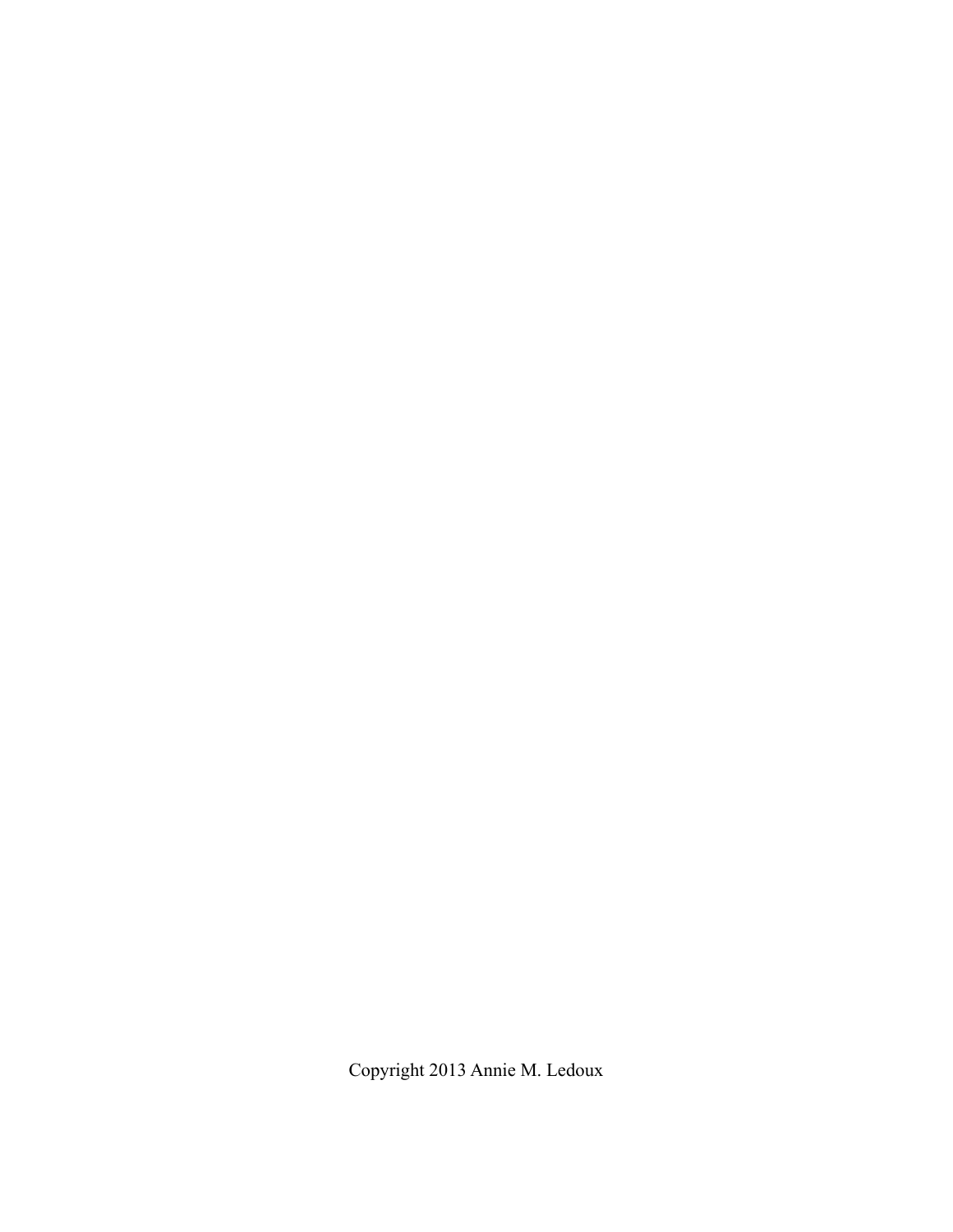Copyright 2013 Annie M. Ledoux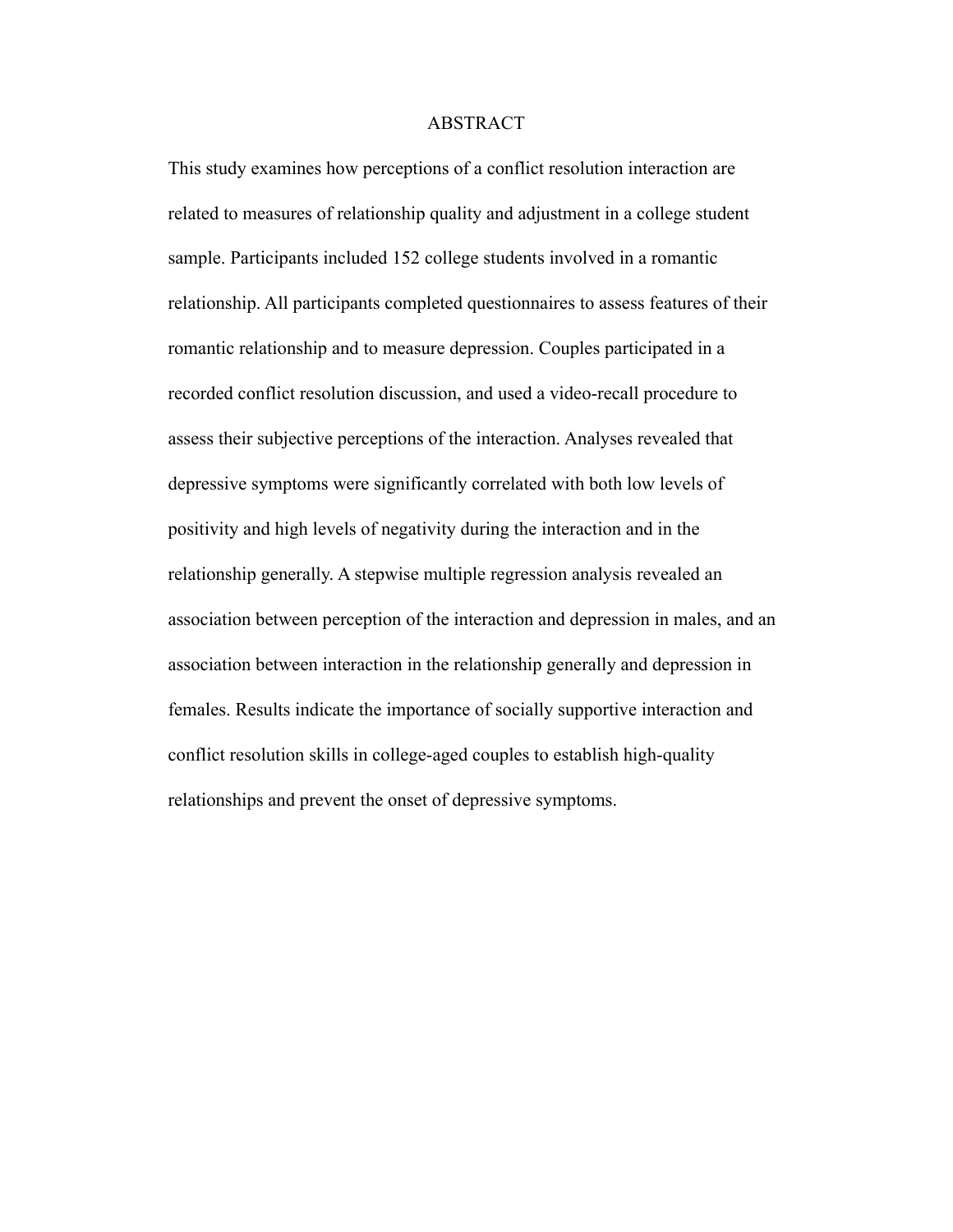#### ABSTRACT

This study examines how perceptions of a conflict resolution interaction are related to measures of relationship quality and adjustment in a college student sample. Participants included 152 college students involved in a romantic relationship. All participants completed questionnaires to assess features of their romantic relationship and to measure depression. Couples participated in a recorded conflict resolution discussion, and used a video-recall procedure to assess their subjective perceptions of the interaction. Analyses revealed that depressive symptoms were significantly correlated with both low levels of positivity and high levels of negativity during the interaction and in the relationship generally. A stepwise multiple regression analysis revealed an association between perception of the interaction and depression in males, and an association between interaction in the relationship generally and depression in females. Results indicate the importance of socially supportive interaction and conflict resolution skills in college-aged couples to establish high-quality relationships and prevent the onset of depressive symptoms.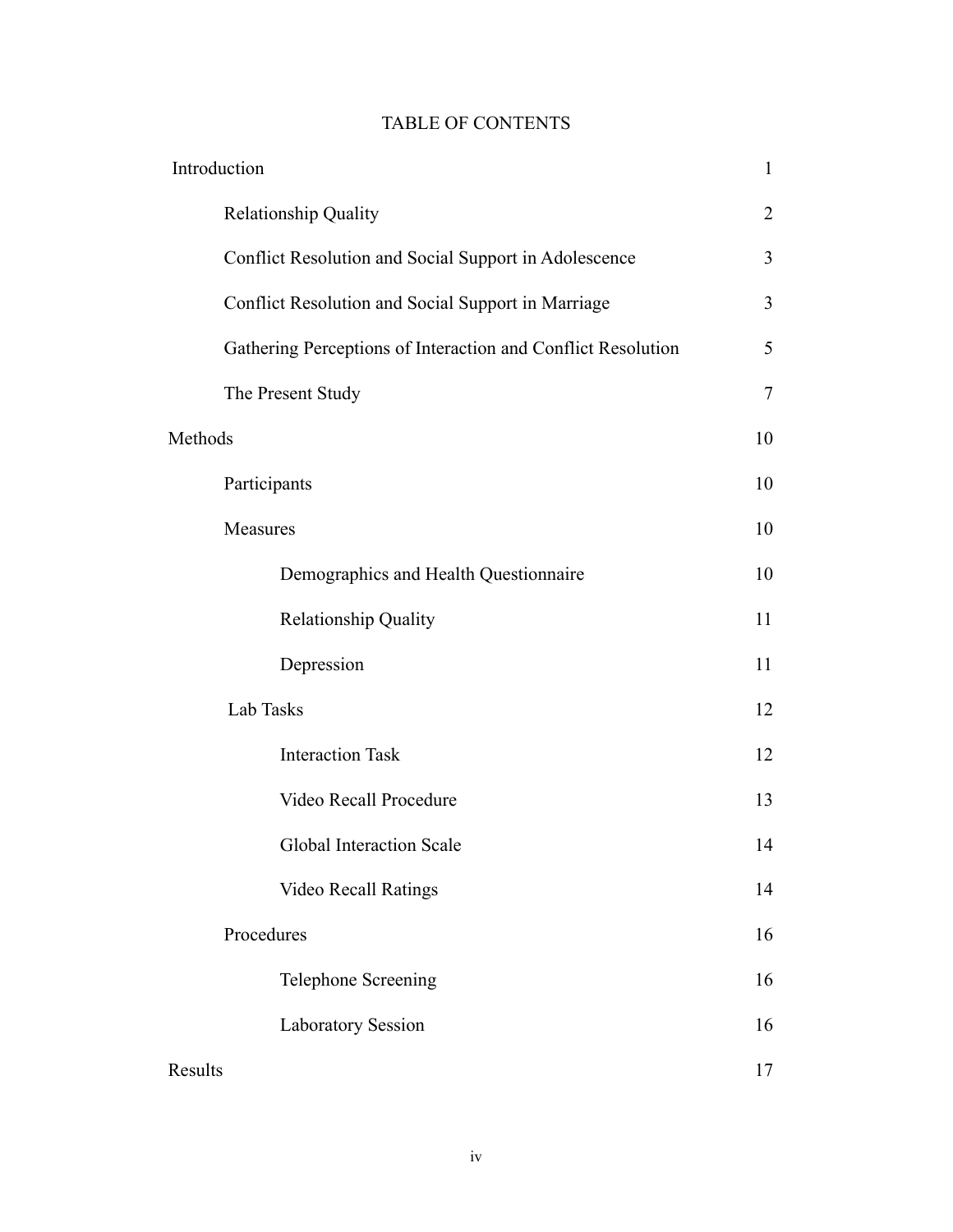| <b>TABLE OF CONTENTS</b> |  |
|--------------------------|--|
|--------------------------|--|

| Introduction |                                                              | $\mathbf{1}$             |
|--------------|--------------------------------------------------------------|--------------------------|
|              | <b>Relationship Quality</b>                                  | $\overline{2}$           |
|              | Conflict Resolution and Social Support in Adolescence        | 3                        |
|              | Conflict Resolution and Social Support in Marriage           | $\overline{3}$           |
|              | Gathering Perceptions of Interaction and Conflict Resolution | 5                        |
|              | The Present Study                                            | $\overline{\mathcal{L}}$ |
| Methods      |                                                              | 10                       |
|              | Participants                                                 | 10                       |
|              | Measures                                                     | 10                       |
|              | Demographics and Health Questionnaire                        | 10                       |
|              | <b>Relationship Quality</b>                                  | 11                       |
|              | Depression                                                   | 11                       |
|              | Lab Tasks                                                    | 12                       |
|              | <b>Interaction Task</b>                                      | 12                       |
|              | Video Recall Procedure                                       | 13                       |
|              | <b>Global Interaction Scale</b>                              | 14                       |
|              | <b>Video Recall Ratings</b>                                  | 14                       |
|              | Procedures                                                   | 16                       |
|              | <b>Telephone Screening</b>                                   | 16                       |
|              | <b>Laboratory Session</b>                                    | 16                       |
| Results      |                                                              | 17                       |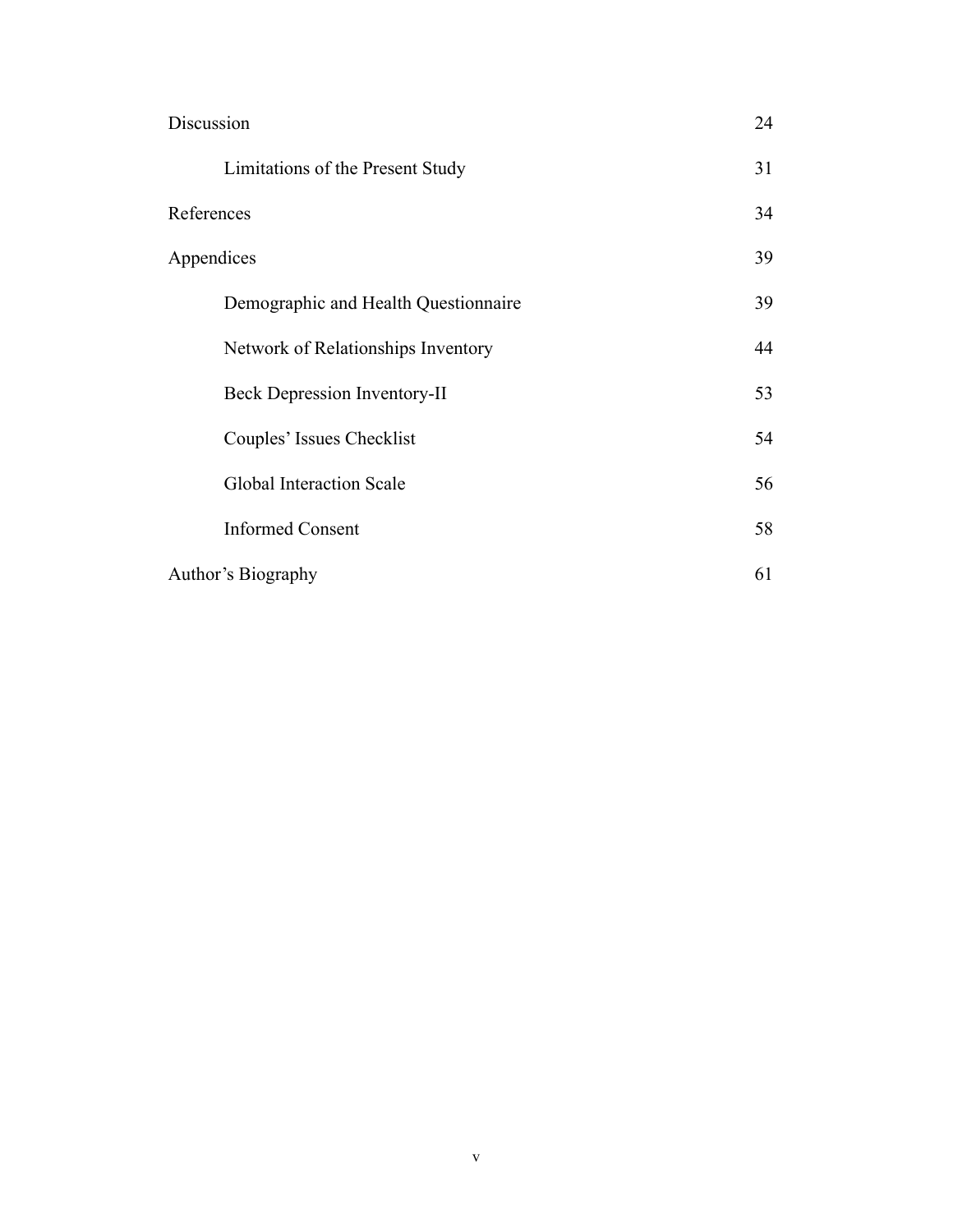| Discussion                           | 24 |
|--------------------------------------|----|
| Limitations of the Present Study     | 31 |
| References                           | 34 |
| Appendices                           | 39 |
| Demographic and Health Questionnaire | 39 |
| Network of Relationships Inventory   | 44 |
| <b>Beck Depression Inventory-II</b>  | 53 |
| Couples' Issues Checklist            | 54 |
| Global Interaction Scale             | 56 |
| <b>Informed Consent</b>              | 58 |
| Author's Biography                   | 61 |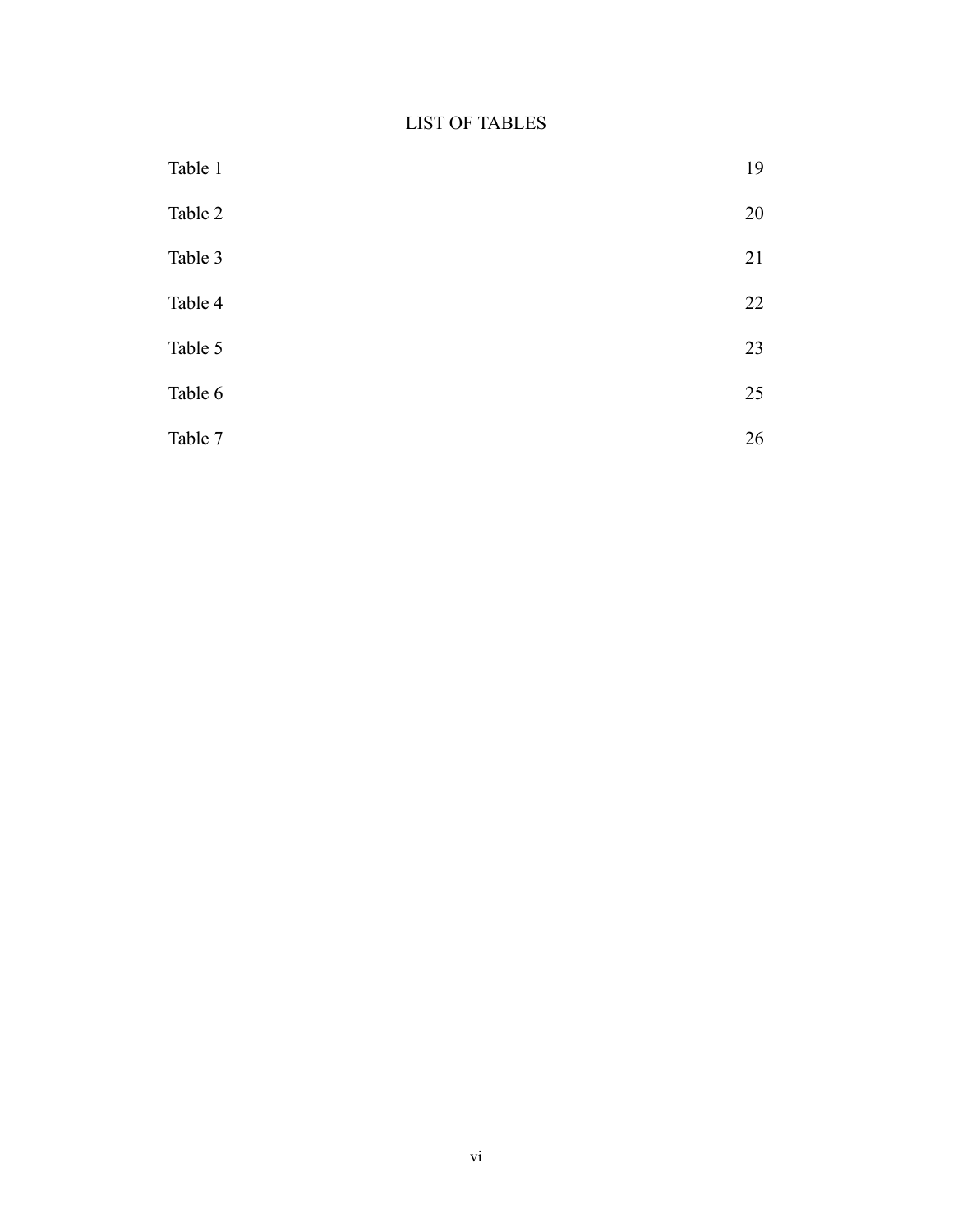# LIST OF TABLES

| Table 1 | 19 |
|---------|----|
| Table 2 | 20 |
| Table 3 | 21 |
| Table 4 | 22 |
| Table 5 | 23 |
| Table 6 | 25 |
| Table 7 | 26 |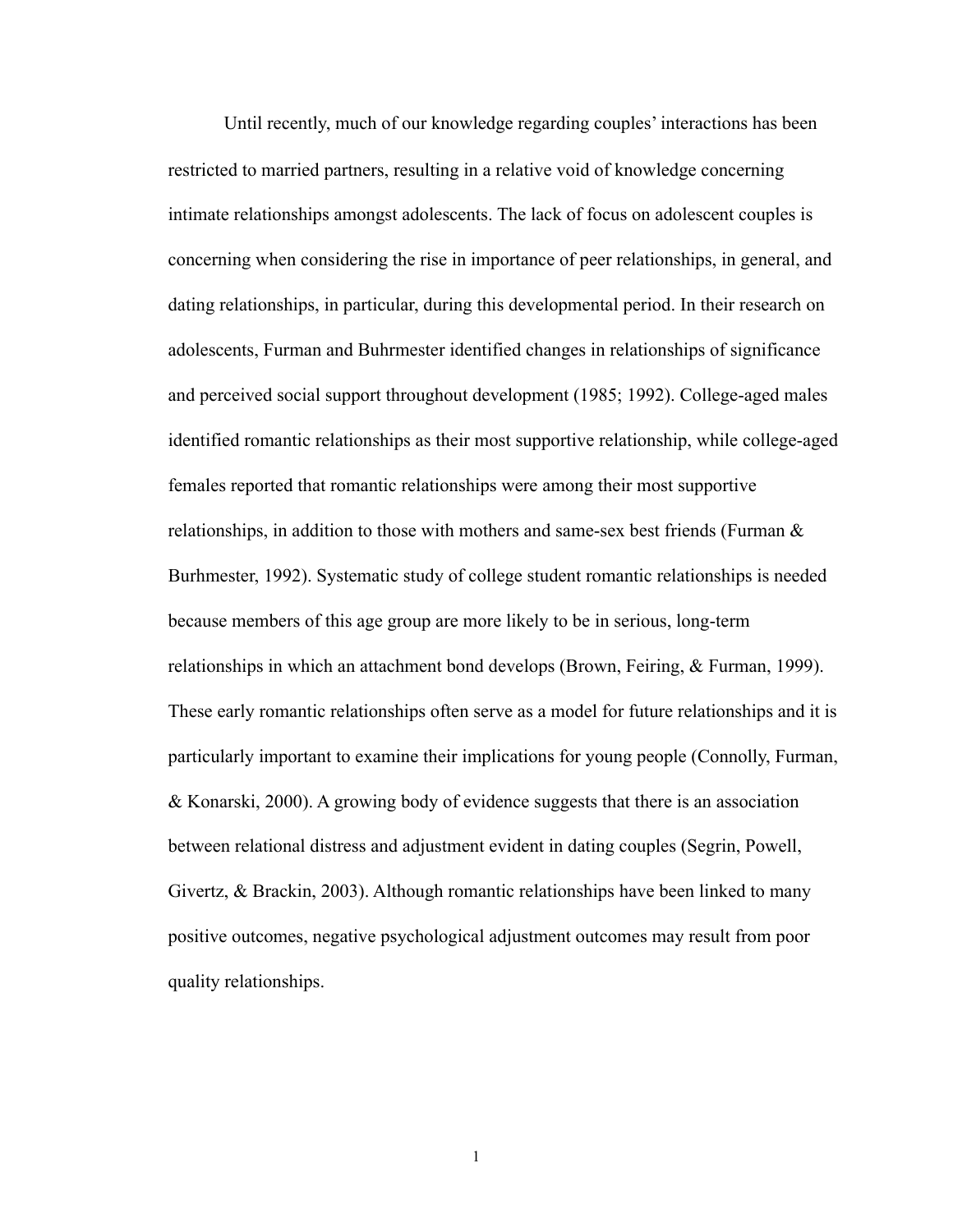Until recently, much of our knowledge regarding couples' interactions has been restricted to married partners, resulting in a relative void of knowledge concerning intimate relationships amongst adolescents. The lack of focus on adolescent couples is concerning when considering the rise in importance of peer relationships, in general, and dating relationships, in particular, during this developmental period. In their research on adolescents, Furman and Buhrmester identified changes in relationships of significance and perceived social support throughout development (1985; 1992). College-aged males identified romantic relationships as their most supportive relationship, while college-aged females reported that romantic relationships were among their most supportive relationships, in addition to those with mothers and same-sex best friends (Furman & Burhmester, 1992). Systematic study of college student romantic relationships is needed because members of this age group are more likely to be in serious, long-term relationships in which an attachment bond develops (Brown, Feiring, & Furman, 1999). These early romantic relationships often serve as a model for future relationships and it is particularly important to examine their implications for young people (Connolly, Furman, & Konarski, 2000). A growing body of evidence suggests that there is an association between relational distress and adjustment evident in dating couples (Segrin, Powell, Givertz, & Brackin, 2003). Although romantic relationships have been linked to many positive outcomes, negative psychological adjustment outcomes may result from poor quality relationships.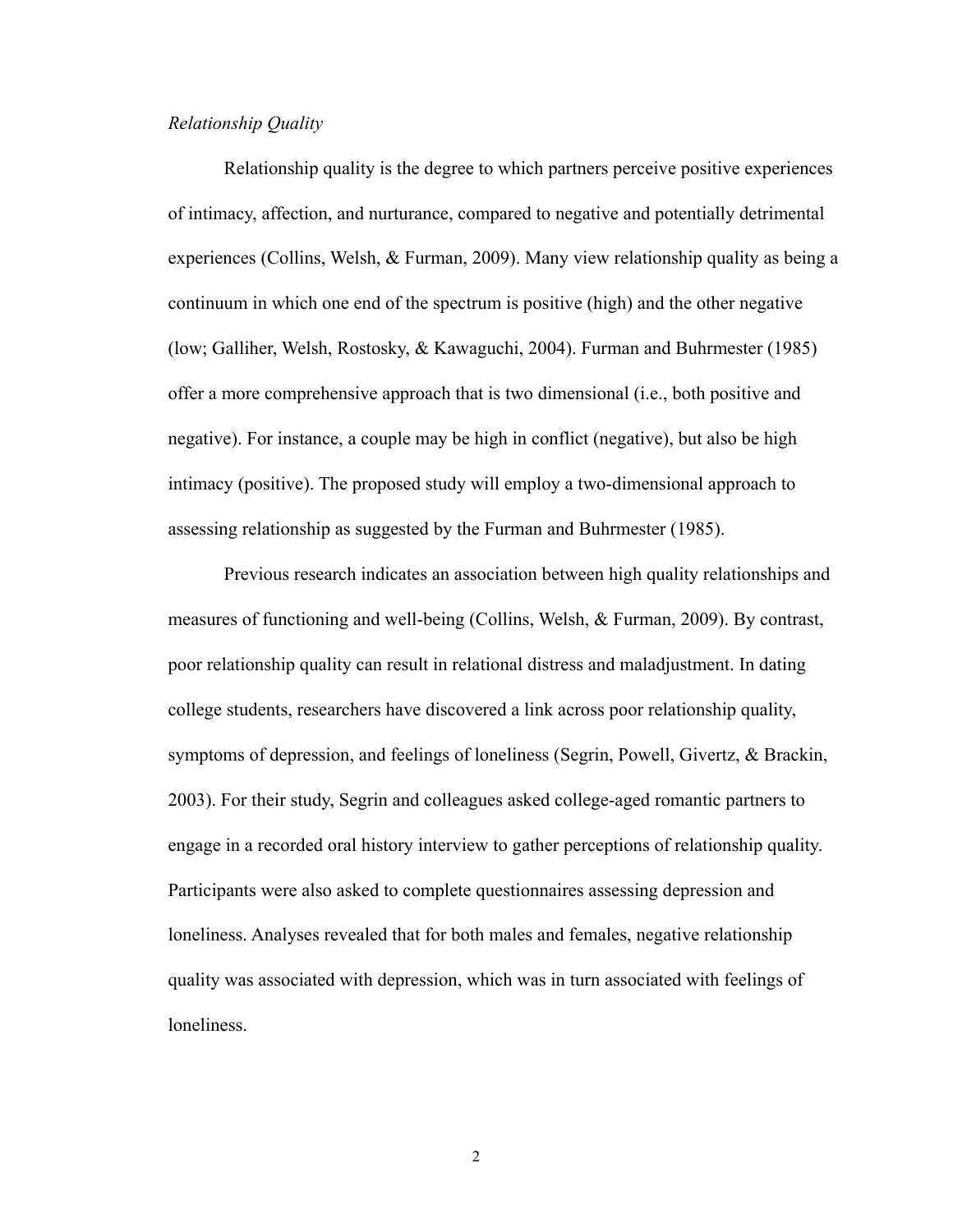### *Relationship Quality*

 Relationship quality is the degree to which partners perceive positive experiences of intimacy, affection, and nurturance, compared to negative and potentially detrimental experiences (Collins, Welsh, & Furman, 2009). Many view relationship quality as being a continuum in which one end of the spectrum is positive (high) and the other negative (low; Galliher, Welsh, Rostosky, & Kawaguchi, 2004). Furman and Buhrmester (1985) offer a more comprehensive approach that is two dimensional (i.e., both positive and negative). For instance, a couple may be high in conflict (negative), but also be high intimacy (positive). The proposed study will employ a two-dimensional approach to assessing relationship as suggested by the Furman and Buhrmester (1985).

 Previous research indicates an association between high quality relationships and measures of functioning and well-being (Collins, Welsh, & Furman, 2009). By contrast, poor relationship quality can result in relational distress and maladjustment. In dating college students, researchers have discovered a link across poor relationship quality, symptoms of depression, and feelings of loneliness (Segrin, Powell, Givertz, & Brackin, 2003). For their study, Segrin and colleagues asked college-aged romantic partners to engage in a recorded oral history interview to gather perceptions of relationship quality. Participants were also asked to complete questionnaires assessing depression and loneliness. Analyses revealed that for both males and females, negative relationship quality was associated with depression, which was in turn associated with feelings of loneliness.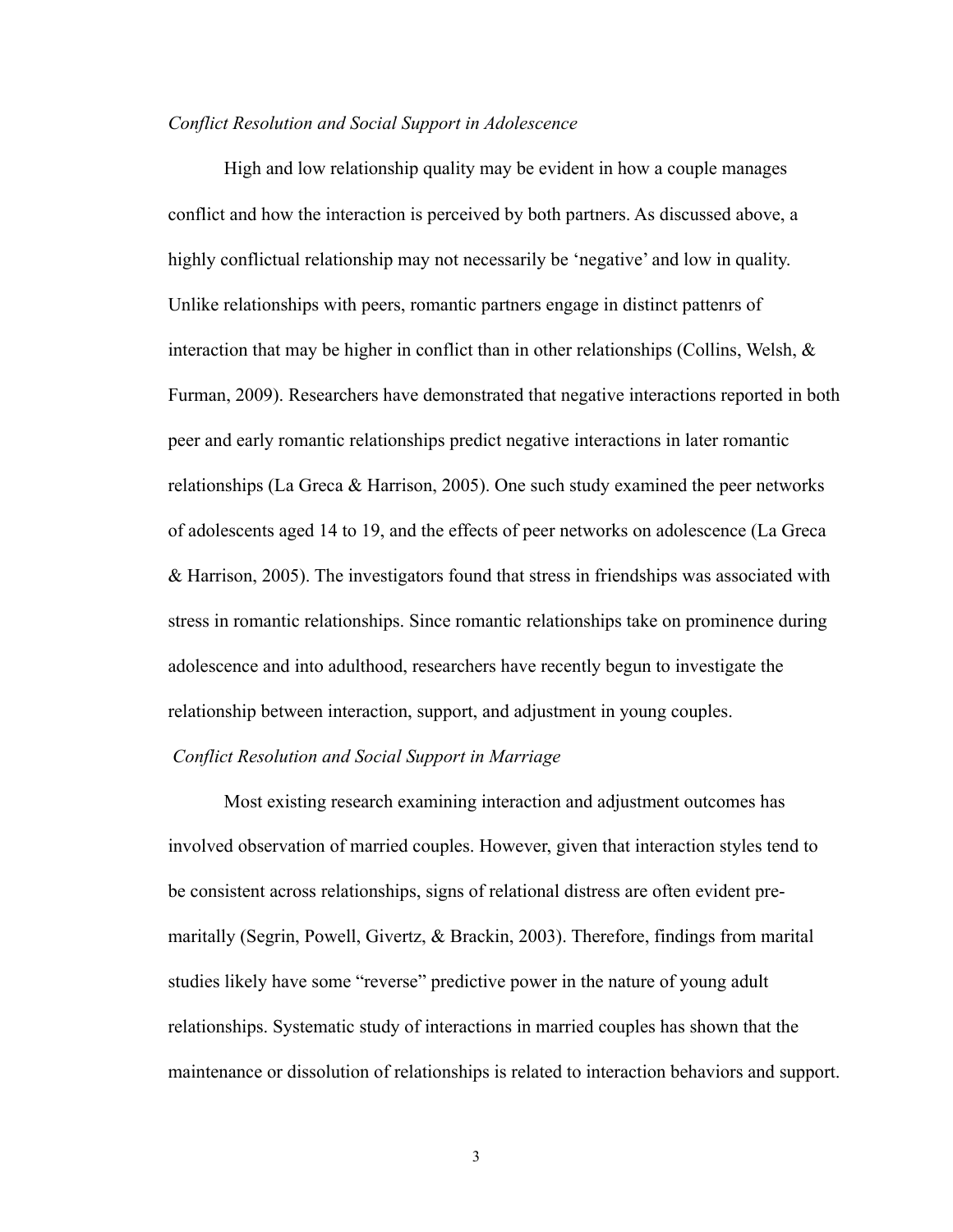#### *Conflict Resolution and Social Support in Adolescence*

High and low relationship quality may be evident in how a couple manages conflict and how the interaction is perceived by both partners. As discussed above, a highly conflictual relationship may not necessarily be 'negative' and low in quality. Unlike relationships with peers, romantic partners engage in distinct pattenrs of interaction that may be higher in conflict than in other relationships (Collins, Welsh, & Furman, 2009). Researchers have demonstrated that negative interactions reported in both peer and early romantic relationships predict negative interactions in later romantic relationships (La Greca & Harrison, 2005). One such study examined the peer networks of adolescents aged 14 to 19, and the effects of peer networks on adolescence (La Greca & Harrison, 2005). The investigators found that stress in friendships was associated with stress in romantic relationships. Since romantic relationships take on prominence during adolescence and into adulthood, researchers have recently begun to investigate the relationship between interaction, support, and adjustment in young couples.

### *Conflict Resolution and Social Support in Marriage*

Most existing research examining interaction and adjustment outcomes has involved observation of married couples. However, given that interaction styles tend to be consistent across relationships, signs of relational distress are often evident premaritally (Segrin, Powell, Givertz, & Brackin, 2003). Therefore, findings from marital studies likely have some "reverse" predictive power in the nature of young adult relationships. Systematic study of interactions in married couples has shown that the maintenance or dissolution of relationships is related to interaction behaviors and support.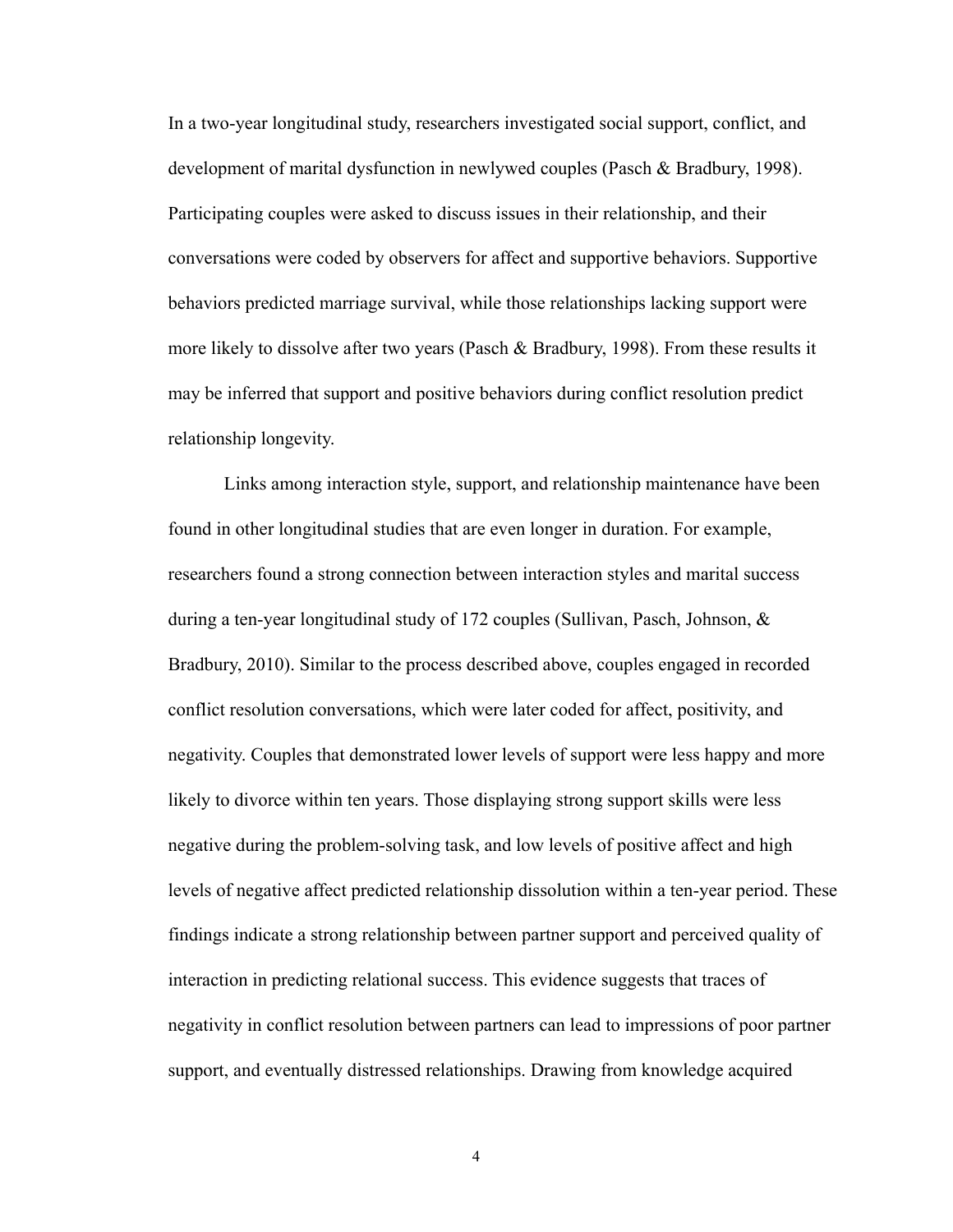In a two-year longitudinal study, researchers investigated social support, conflict, and development of marital dysfunction in newlywed couples (Pasch & Bradbury, 1998). Participating couples were asked to discuss issues in their relationship, and their conversations were coded by observers for affect and supportive behaviors. Supportive behaviors predicted marriage survival, while those relationships lacking support were more likely to dissolve after two years (Pasch & Bradbury, 1998). From these results it may be inferred that support and positive behaviors during conflict resolution predict relationship longevity.

 Links among interaction style, support, and relationship maintenance have been found in other longitudinal studies that are even longer in duration. For example, researchers found a strong connection between interaction styles and marital success during a ten-year longitudinal study of 172 couples (Sullivan, Pasch, Johnson, & Bradbury, 2010). Similar to the process described above, couples engaged in recorded conflict resolution conversations, which were later coded for affect, positivity, and negativity. Couples that demonstrated lower levels of support were less happy and more likely to divorce within ten years. Those displaying strong support skills were less negative during the problem-solving task, and low levels of positive affect and high levels of negative affect predicted relationship dissolution within a ten-year period. These findings indicate a strong relationship between partner support and perceived quality of interaction in predicting relational success. This evidence suggests that traces of negativity in conflict resolution between partners can lead to impressions of poor partner support, and eventually distressed relationships. Drawing from knowledge acquired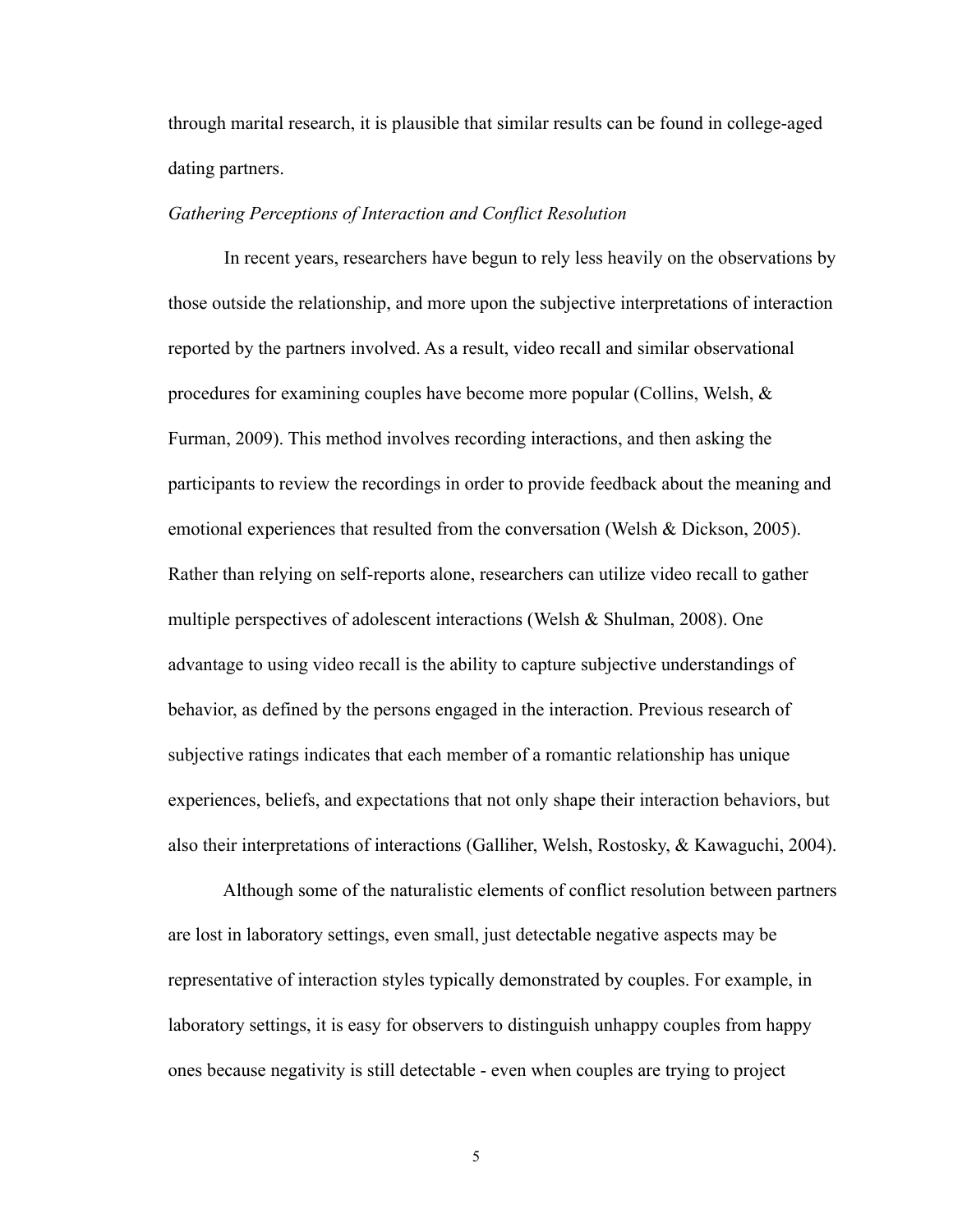through marital research, it is plausible that similar results can be found in college-aged dating partners.

#### *Gathering Perceptions of Interaction and Conflict Resolution*

 In recent years, researchers have begun to rely less heavily on the observations by those outside the relationship, and more upon the subjective interpretations of interaction reported by the partners involved. As a result, video recall and similar observational procedures for examining couples have become more popular (Collins, Welsh, & Furman, 2009). This method involves recording interactions, and then asking the participants to review the recordings in order to provide feedback about the meaning and emotional experiences that resulted from the conversation (Welsh  $\&$  Dickson, 2005). Rather than relying on self-reports alone, researchers can utilize video recall to gather multiple perspectives of adolescent interactions (Welsh & Shulman, 2008). One advantage to using video recall is the ability to capture subjective understandings of behavior, as defined by the persons engaged in the interaction. Previous research of subjective ratings indicates that each member of a romantic relationship has unique experiences, beliefs, and expectations that not only shape their interaction behaviors, but also their interpretations of interactions (Galliher, Welsh, Rostosky, & Kawaguchi, 2004).

 Although some of the naturalistic elements of conflict resolution between partners are lost in laboratory settings, even small, just detectable negative aspects may be representative of interaction styles typically demonstrated by couples. For example, in laboratory settings, it is easy for observers to distinguish unhappy couples from happy ones because negativity is still detectable - even when couples are trying to project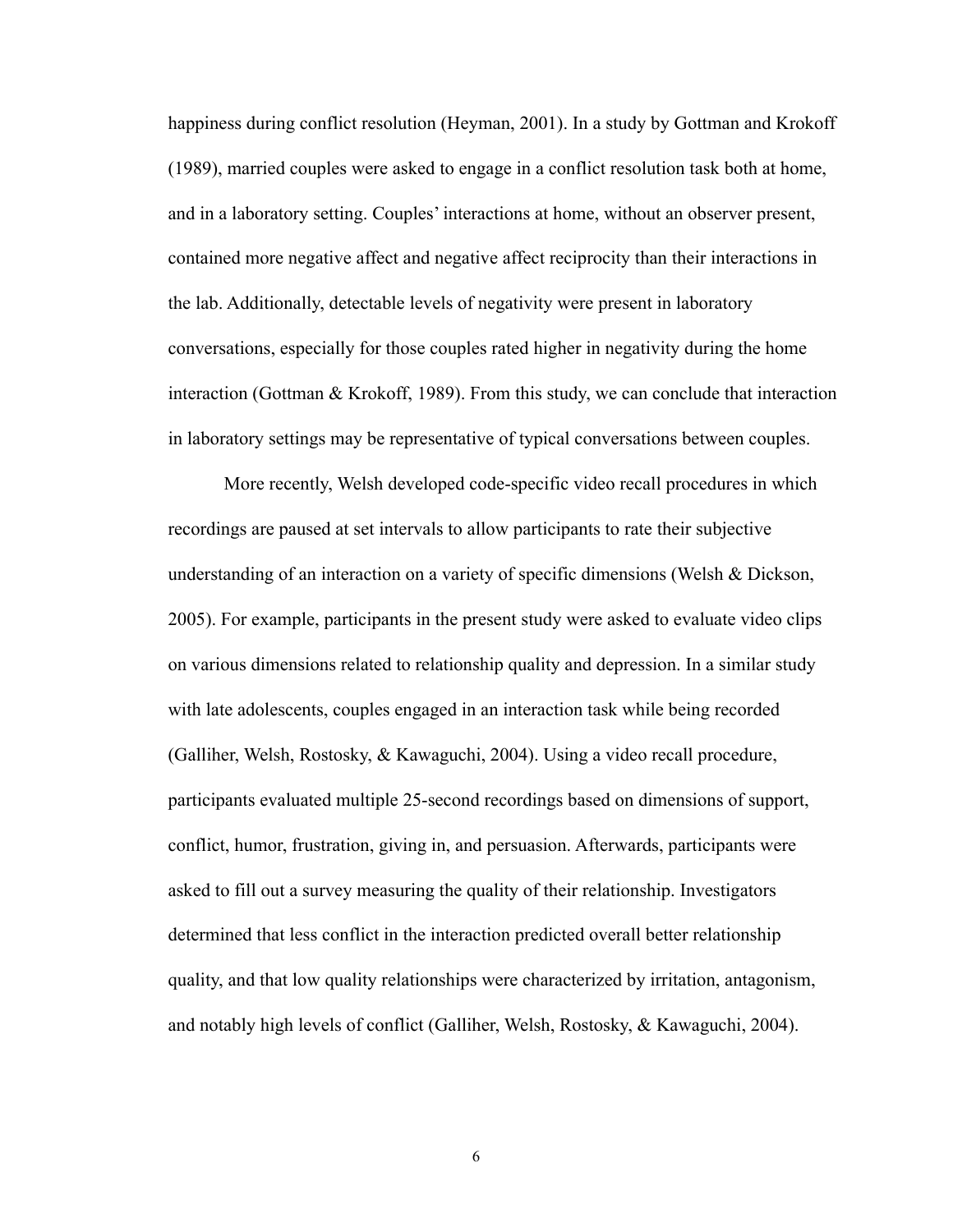happiness during conflict resolution (Heyman, 2001). In a study by Gottman and Krokoff (1989), married couples were asked to engage in a conflict resolution task both at home, and in a laboratory setting. Couples' interactions at home, without an observer present, contained more negative affect and negative affect reciprocity than their interactions in the lab. Additionally, detectable levels of negativity were present in laboratory conversations, especially for those couples rated higher in negativity during the home interaction (Gottman & Krokoff, 1989). From this study, we can conclude that interaction in laboratory settings may be representative of typical conversations between couples.

 More recently, Welsh developed code-specific video recall procedures in which recordings are paused at set intervals to allow participants to rate their subjective understanding of an interaction on a variety of specific dimensions (Welsh & Dickson, 2005). For example, participants in the present study were asked to evaluate video clips on various dimensions related to relationship quality and depression. In a similar study with late adolescents, couples engaged in an interaction task while being recorded (Galliher, Welsh, Rostosky, & Kawaguchi, 2004). Using a video recall procedure, participants evaluated multiple 25-second recordings based on dimensions of support, conflict, humor, frustration, giving in, and persuasion. Afterwards, participants were asked to fill out a survey measuring the quality of their relationship. Investigators determined that less conflict in the interaction predicted overall better relationship quality, and that low quality relationships were characterized by irritation, antagonism, and notably high levels of conflict (Galliher, Welsh, Rostosky, & Kawaguchi, 2004).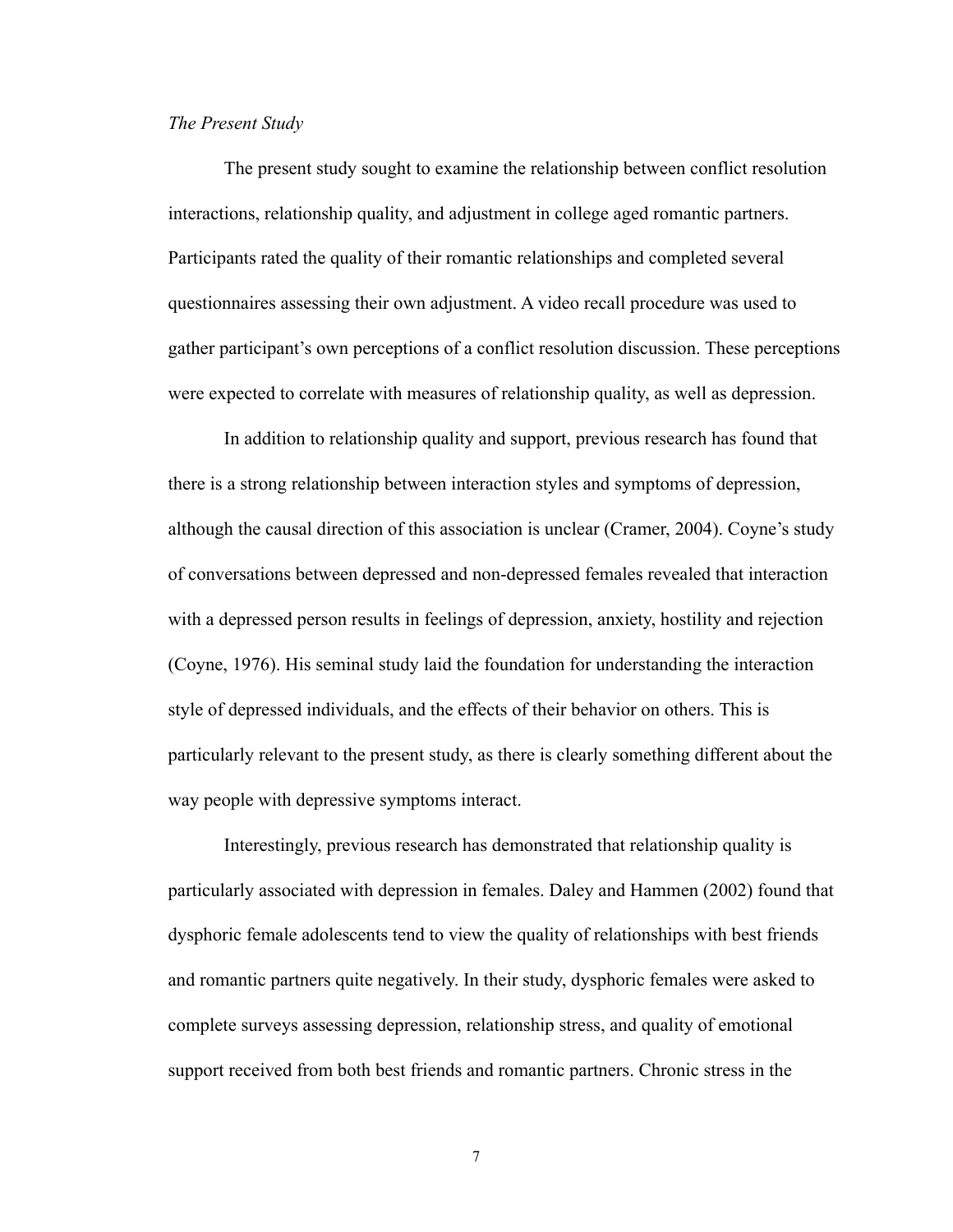#### *The Present Study*

The present study sought to examine the relationship between conflict resolution interactions, relationship quality, and adjustment in college aged romantic partners. Participants rated the quality of their romantic relationships and completed several questionnaires assessing their own adjustment. A video recall procedure was used to gather participant's own perceptions of a conflict resolution discussion. These perceptions were expected to correlate with measures of relationship quality, as well as depression.

 In addition to relationship quality and support, previous research has found that there is a strong relationship between interaction styles and symptoms of depression, although the causal direction of this association is unclear (Cramer, 2004). Coyne's study of conversations between depressed and non-depressed females revealed that interaction with a depressed person results in feelings of depression, anxiety, hostility and rejection (Coyne, 1976). His seminal study laid the foundation for understanding the interaction style of depressed individuals, and the effects of their behavior on others. This is particularly relevant to the present study, as there is clearly something different about the way people with depressive symptoms interact.

 Interestingly, previous research has demonstrated that relationship quality is particularly associated with depression in females. Daley and Hammen (2002) found that dysphoric female adolescents tend to view the quality of relationships with best friends and romantic partners quite negatively. In their study, dysphoric females were asked to complete surveys assessing depression, relationship stress, and quality of emotional support received from both best friends and romantic partners. Chronic stress in the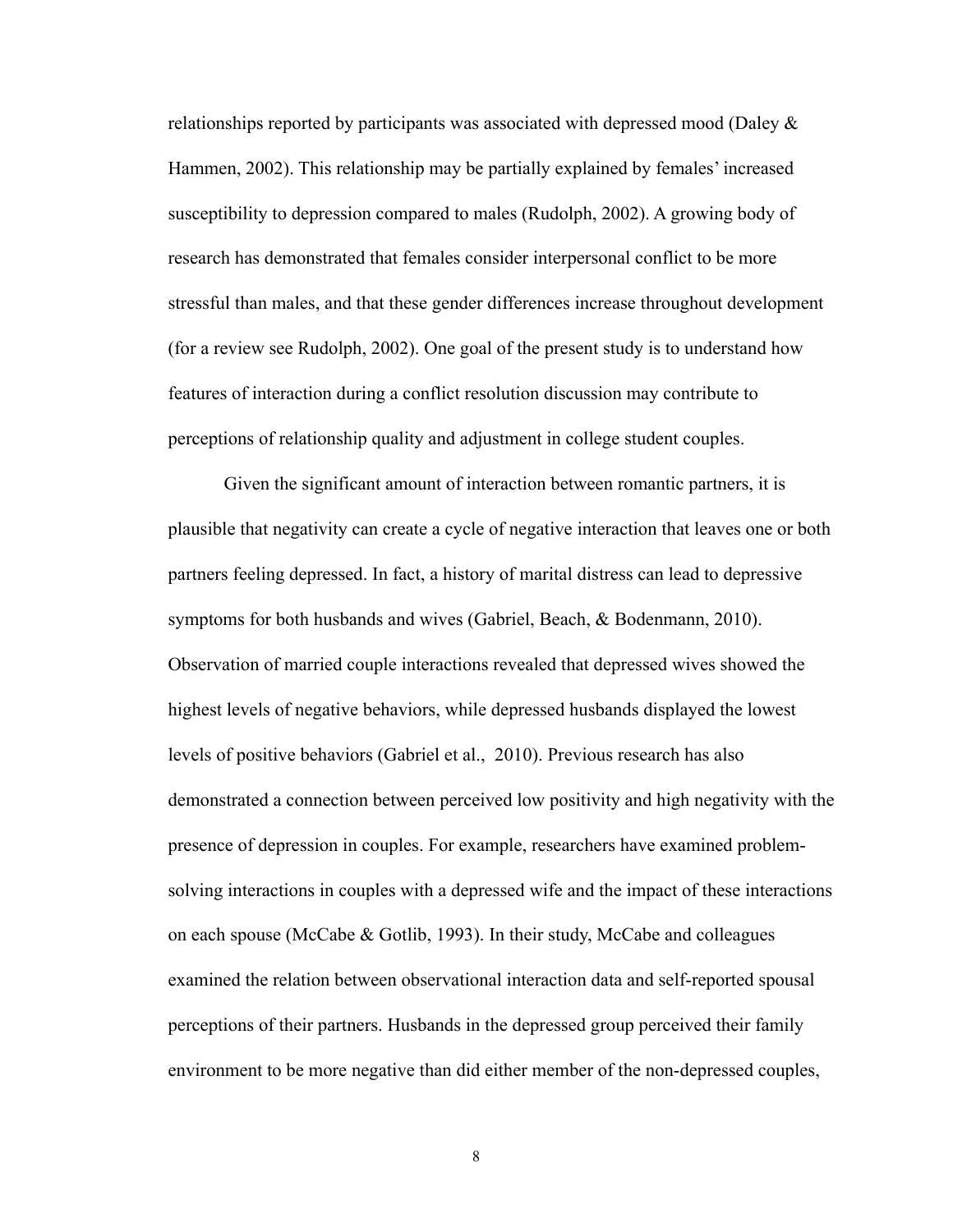relationships reported by participants was associated with depressed mood (Daley  $\&$ Hammen, 2002). This relationship may be partially explained by females' increased susceptibility to depression compared to males (Rudolph, 2002). A growing body of research has demonstrated that females consider interpersonal conflict to be more stressful than males, and that these gender differences increase throughout development (for a review see Rudolph, 2002). One goal of the present study is to understand how features of interaction during a conflict resolution discussion may contribute to perceptions of relationship quality and adjustment in college student couples.

 Given the significant amount of interaction between romantic partners, it is plausible that negativity can create a cycle of negative interaction that leaves one or both partners feeling depressed. In fact, a history of marital distress can lead to depressive symptoms for both husbands and wives (Gabriel, Beach, & Bodenmann, 2010). Observation of married couple interactions revealed that depressed wives showed the highest levels of negative behaviors, while depressed husbands displayed the lowest levels of positive behaviors (Gabriel et al., 2010). Previous research has also demonstrated a connection between perceived low positivity and high negativity with the presence of depression in couples. For example, researchers have examined problemsolving interactions in couples with a depressed wife and the impact of these interactions on each spouse (McCabe & Gotlib, 1993). In their study, McCabe and colleagues examined the relation between observational interaction data and self-reported spousal perceptions of their partners. Husbands in the depressed group perceived their family environment to be more negative than did either member of the non-depressed couples,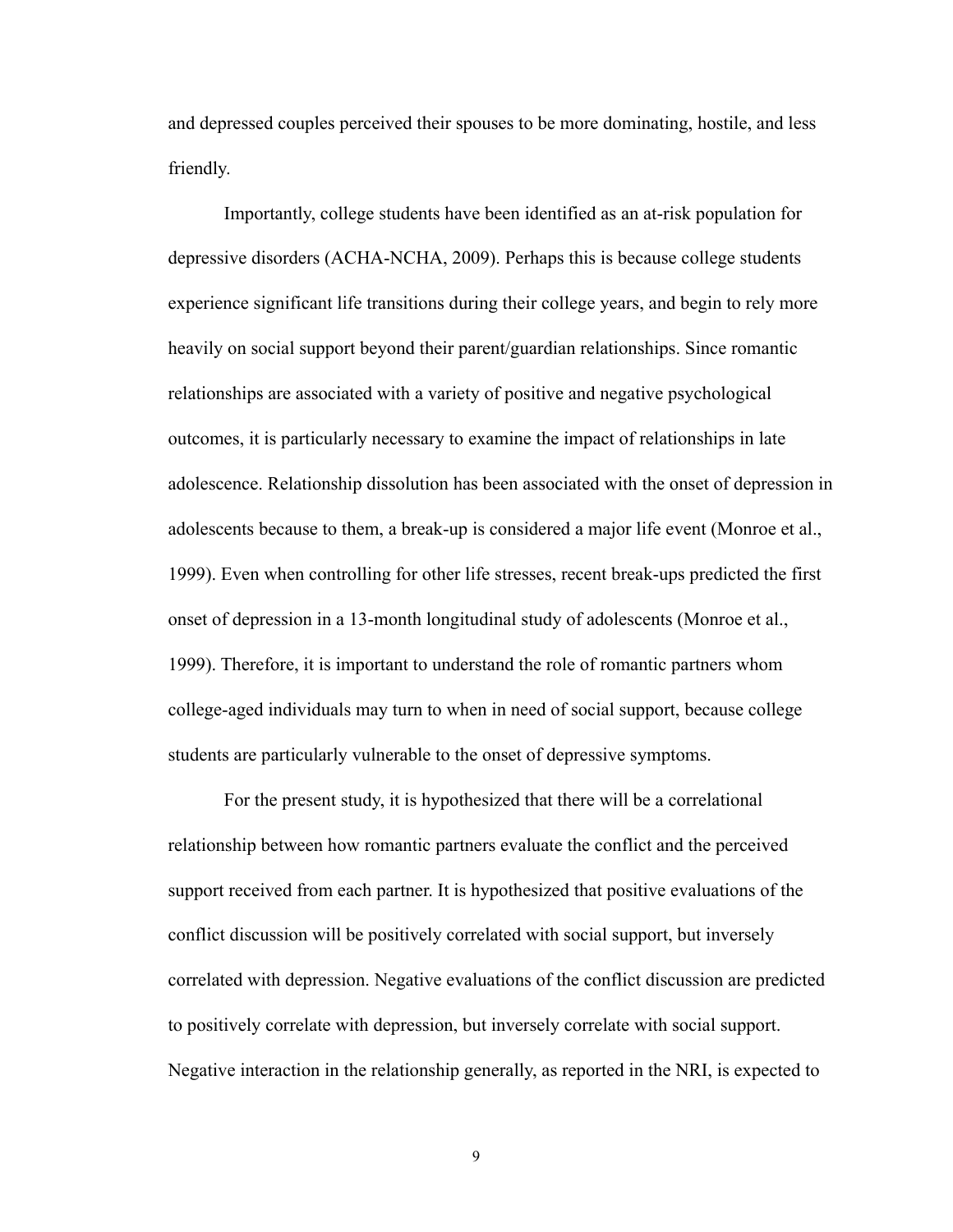and depressed couples perceived their spouses to be more dominating, hostile, and less friendly.

 Importantly, college students have been identified as an at-risk population for depressive disorders (ACHA-NCHA, 2009). Perhaps this is because college students experience significant life transitions during their college years, and begin to rely more heavily on social support beyond their parent/guardian relationships. Since romantic relationships are associated with a variety of positive and negative psychological outcomes, it is particularly necessary to examine the impact of relationships in late adolescence. Relationship dissolution has been associated with the onset of depression in adolescents because to them, a break-up is considered a major life event (Monroe et al., 1999). Even when controlling for other life stresses, recent break-ups predicted the first onset of depression in a 13-month longitudinal study of adolescents (Monroe et al., 1999). Therefore, it is important to understand the role of romantic partners whom college-aged individuals may turn to when in need of social support, because college students are particularly vulnerable to the onset of depressive symptoms.

 For the present study, it is hypothesized that there will be a correlational relationship between how romantic partners evaluate the conflict and the perceived support received from each partner. It is hypothesized that positive evaluations of the conflict discussion will be positively correlated with social support, but inversely correlated with depression. Negative evaluations of the conflict discussion are predicted to positively correlate with depression, but inversely correlate with social support. Negative interaction in the relationship generally, as reported in the NRI, is expected to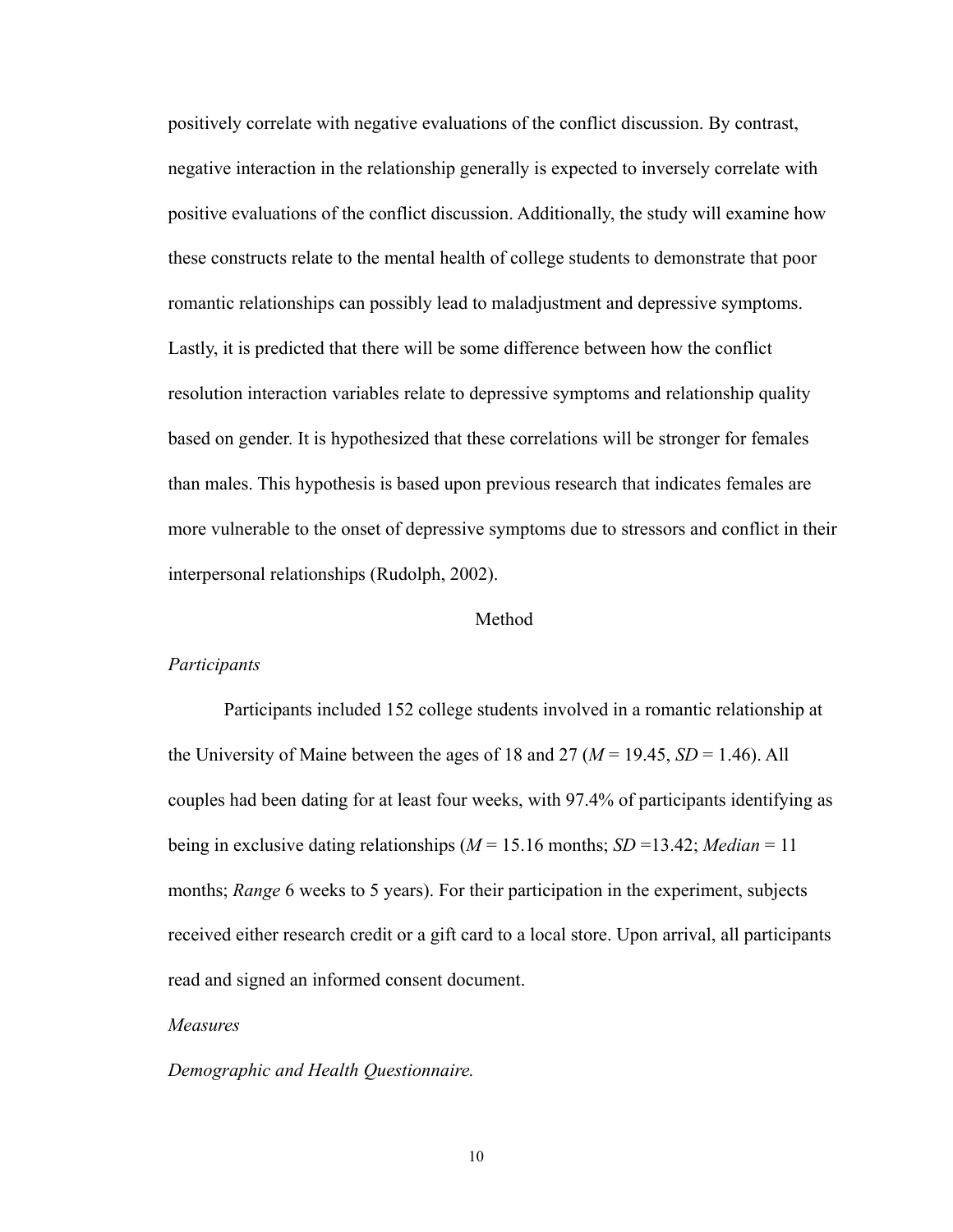positively correlate with negative evaluations of the conflict discussion. By contrast, negative interaction in the relationship generally is expected to inversely correlate with positive evaluations of the conflict discussion. Additionally, the study will examine how these constructs relate to the mental health of college students to demonstrate that poor romantic relationships can possibly lead to maladjustment and depressive symptoms. Lastly, it is predicted that there will be some difference between how the conflict resolution interaction variables relate to depressive symptoms and relationship quality based on gender. It is hypothesized that these correlations will be stronger for females than males. This hypothesis is based upon previous research that indicates females are more vulnerable to the onset of depressive symptoms due to stressors and conflict in their interpersonal relationships (Rudolph, 2002).

#### Method

#### *Participants*

Participants included 152 college students involved in a romantic relationship at the University of Maine between the ages of 18 and 27 ( $M = 19.45$ ,  $SD = 1.46$ ). All couples had been dating for at least four weeks, with 97.4% of participants identifying as being in exclusive dating relationships ( $M = 15.16$  months;  $SD = 13.42$ ; *Median* = 11 months; *Range* 6 weeks to 5 years). For their participation in the experiment, subjects received either research credit or a gift card to a local store. Upon arrival, all participants read and signed an informed consent document.

### *Measures*

#### *Demographic and Health Questionnaire.*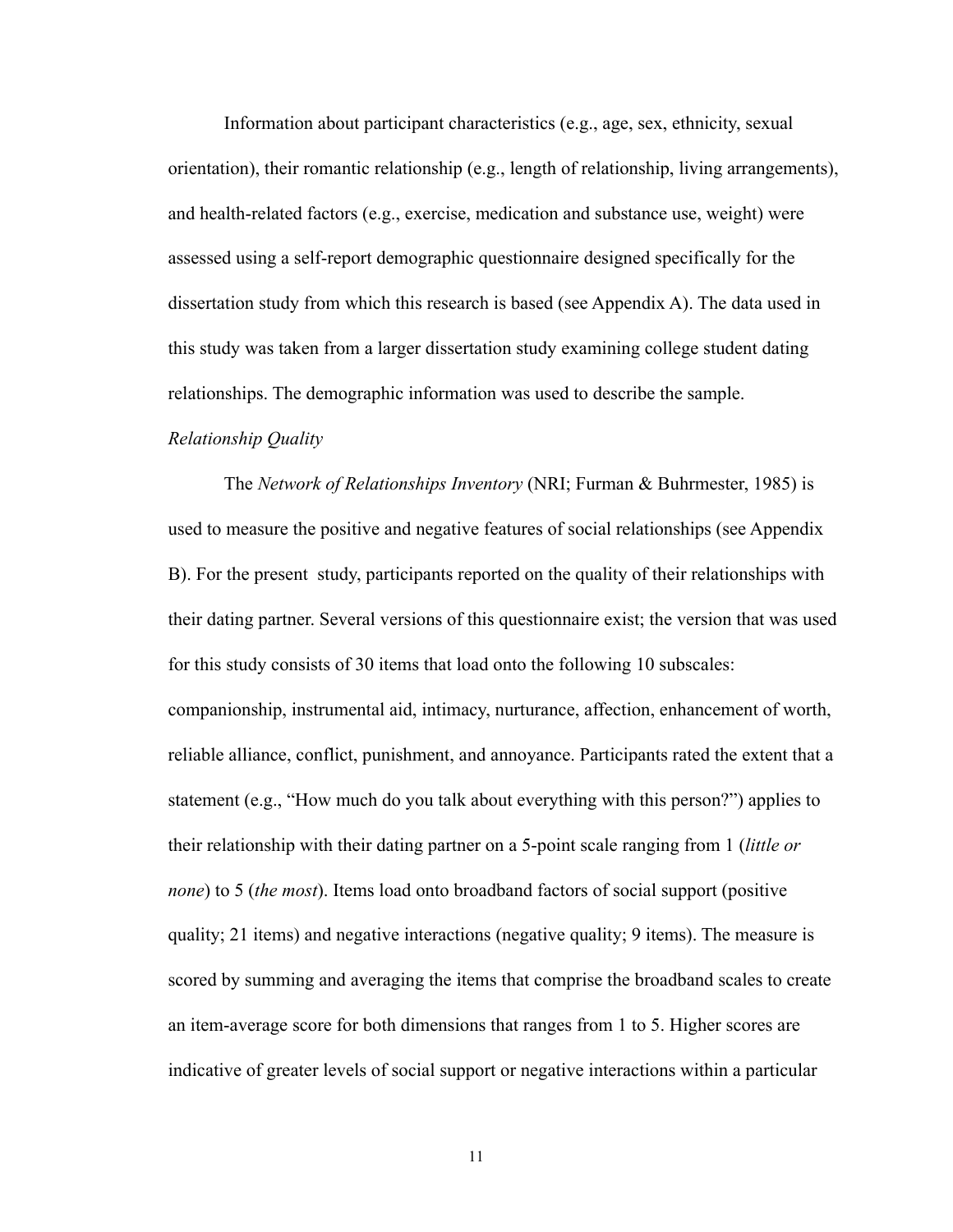Information about participant characteristics (e.g., age, sex, ethnicity, sexual orientation), their romantic relationship (e.g., length of relationship, living arrangements), and health-related factors (e.g., exercise, medication and substance use, weight) were assessed using a self-report demographic questionnaire designed specifically for the dissertation study from which this research is based (see Appendix A). The data used in this study was taken from a larger dissertation study examining college student dating relationships. The demographic information was used to describe the sample. *Relationship Quality*

The *Network of Relationships Inventory* (NRI; Furman & Buhrmester, 1985) is used to measure the positive and negative features of social relationships (see Appendix B). For the present study, participants reported on the quality of their relationships with their dating partner. Several versions of this questionnaire exist; the version that was used for this study consists of 30 items that load onto the following 10 subscales: companionship, instrumental aid, intimacy, nurturance, affection, enhancement of worth, reliable alliance, conflict, punishment, and annoyance. Participants rated the extent that a statement (e.g., "How much do you talk about everything with this person?") applies to their relationship with their dating partner on a 5-point scale ranging from 1 (*little or none*) to 5 (*the most*). Items load onto broadband factors of social support (positive quality; 21 items) and negative interactions (negative quality; 9 items). The measure is scored by summing and averaging the items that comprise the broadband scales to create an item-average score for both dimensions that ranges from 1 to 5. Higher scores are indicative of greater levels of social support or negative interactions within a particular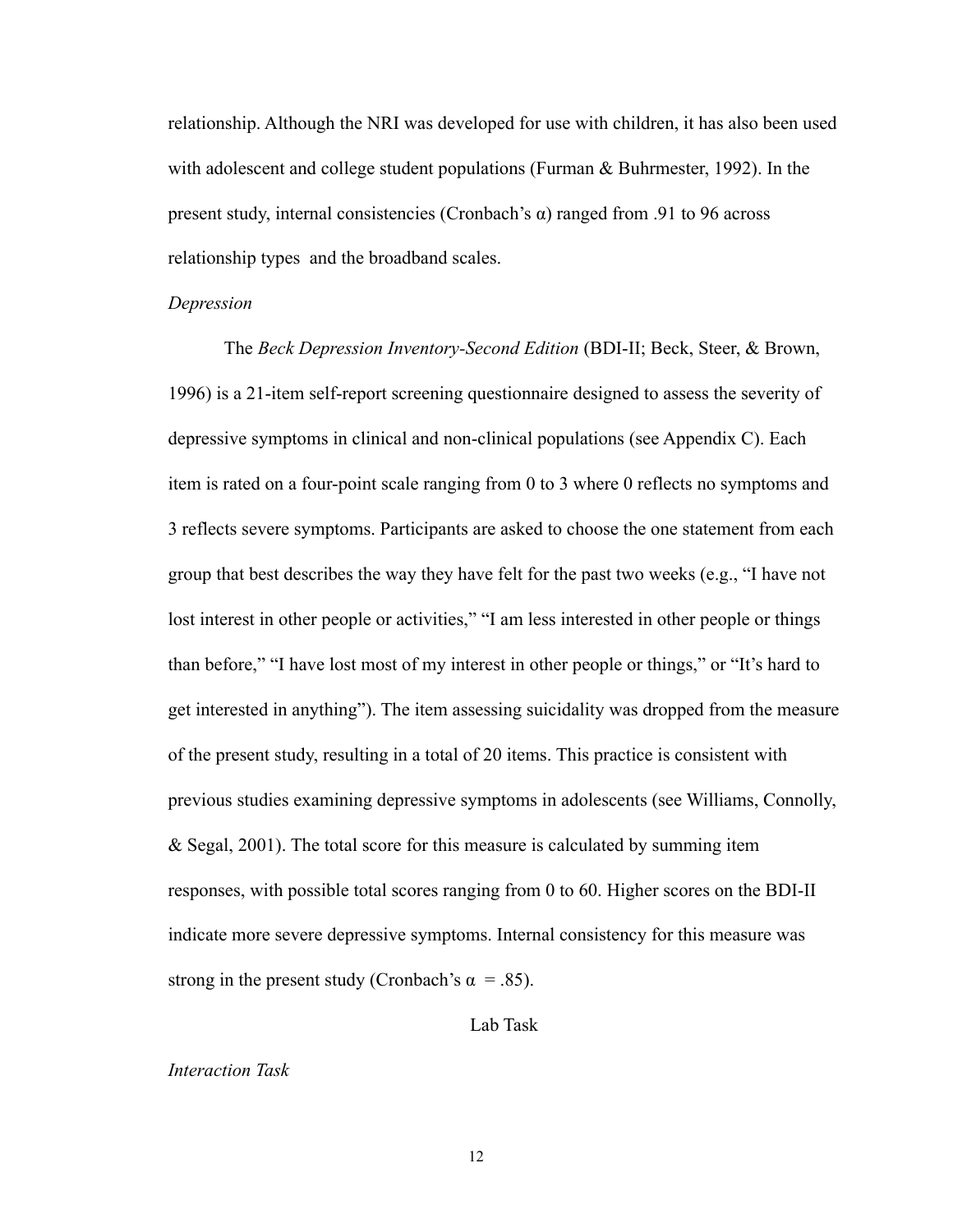relationship. Although the NRI was developed for use with children, it has also been used with adolescent and college student populations (Furman & Buhrmester, 1992). In the present study, internal consistencies (Cronbach's  $\alpha$ ) ranged from .91 to 96 across relationship types and the broadband scales.

#### *Depression*

The *Beck Depression Inventory-Second Edition* (BDI-II; Beck, Steer, & Brown, 1996) is a 21-item self-report screening questionnaire designed to assess the severity of depressive symptoms in clinical and non-clinical populations (see Appendix C). Each item is rated on a four-point scale ranging from 0 to 3 where 0 reflects no symptoms and 3 reflects severe symptoms. Participants are asked to choose the one statement from each group that best describes the way they have felt for the past two weeks (e.g., "I have not lost interest in other people or activities," "I am less interested in other people or things than before," "I have lost most of my interest in other people or things," or "It's hard to get interested in anything"). The item assessing suicidality was dropped from the measure of the present study, resulting in a total of 20 items. This practice is consistent with previous studies examining depressive symptoms in adolescents (see Williams, Connolly, & Segal, 2001). The total score for this measure is calculated by summing item responses, with possible total scores ranging from 0 to 60. Higher scores on the BDI-II indicate more severe depressive symptoms. Internal consistency for this measure was strong in the present study (Cronbach's  $\alpha = .85$ ).

Lab Task

#### *Interaction Task*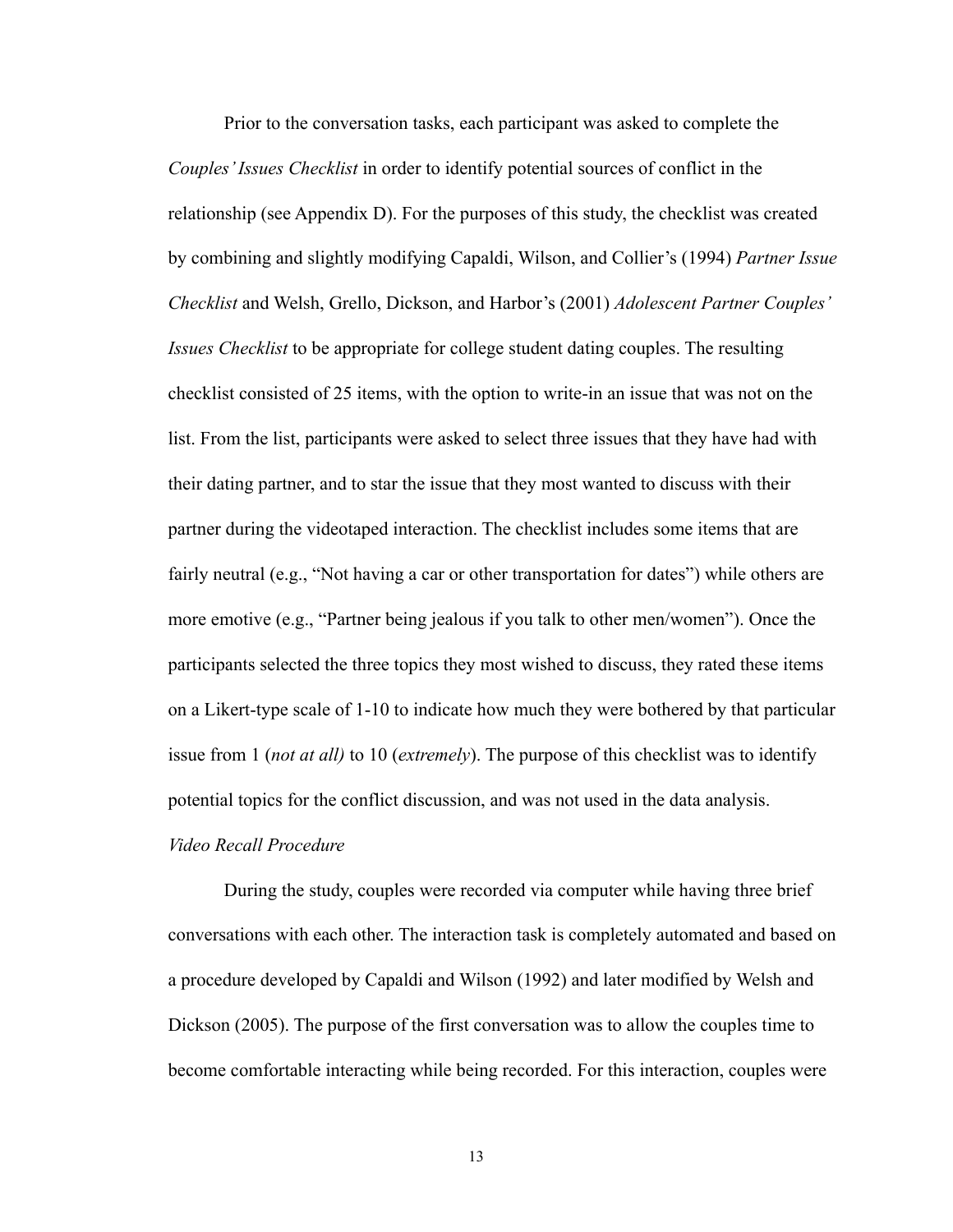Prior to the conversation tasks, each participant was asked to complete the *Couples' Issues Checklist* in order to identify potential sources of conflict in the relationship (see Appendix D). For the purposes of this study, the checklist was created by combining and slightly modifying Capaldi, Wilson, and Collier's (1994) *Partner Issue Checklist* and Welsh, Grello, Dickson, and Harbor's (2001) *Adolescent Partner Couples' Issues Checklist* to be appropriate for college student dating couples. The resulting checklist consisted of 25 items, with the option to write-in an issue that was not on the list. From the list, participants were asked to select three issues that they have had with their dating partner, and to star the issue that they most wanted to discuss with their partner during the videotaped interaction. The checklist includes some items that are fairly neutral (e.g., "Not having a car or other transportation for dates") while others are more emotive (e.g., "Partner being jealous if you talk to other men/women"). Once the participants selected the three topics they most wished to discuss, they rated these items on a Likert-type scale of 1-10 to indicate how much they were bothered by that particular issue from 1 (*not at all)* to 10 (*extremely*). The purpose of this checklist was to identify potential topics for the conflict discussion, and was not used in the data analysis.

### *Video Recall Procedure*

During the study, couples were recorded via computer while having three brief conversations with each other. The interaction task is completely automated and based on a procedure developed by Capaldi and Wilson (1992) and later modified by Welsh and Dickson (2005). The purpose of the first conversation was to allow the couples time to become comfortable interacting while being recorded. For this interaction, couples were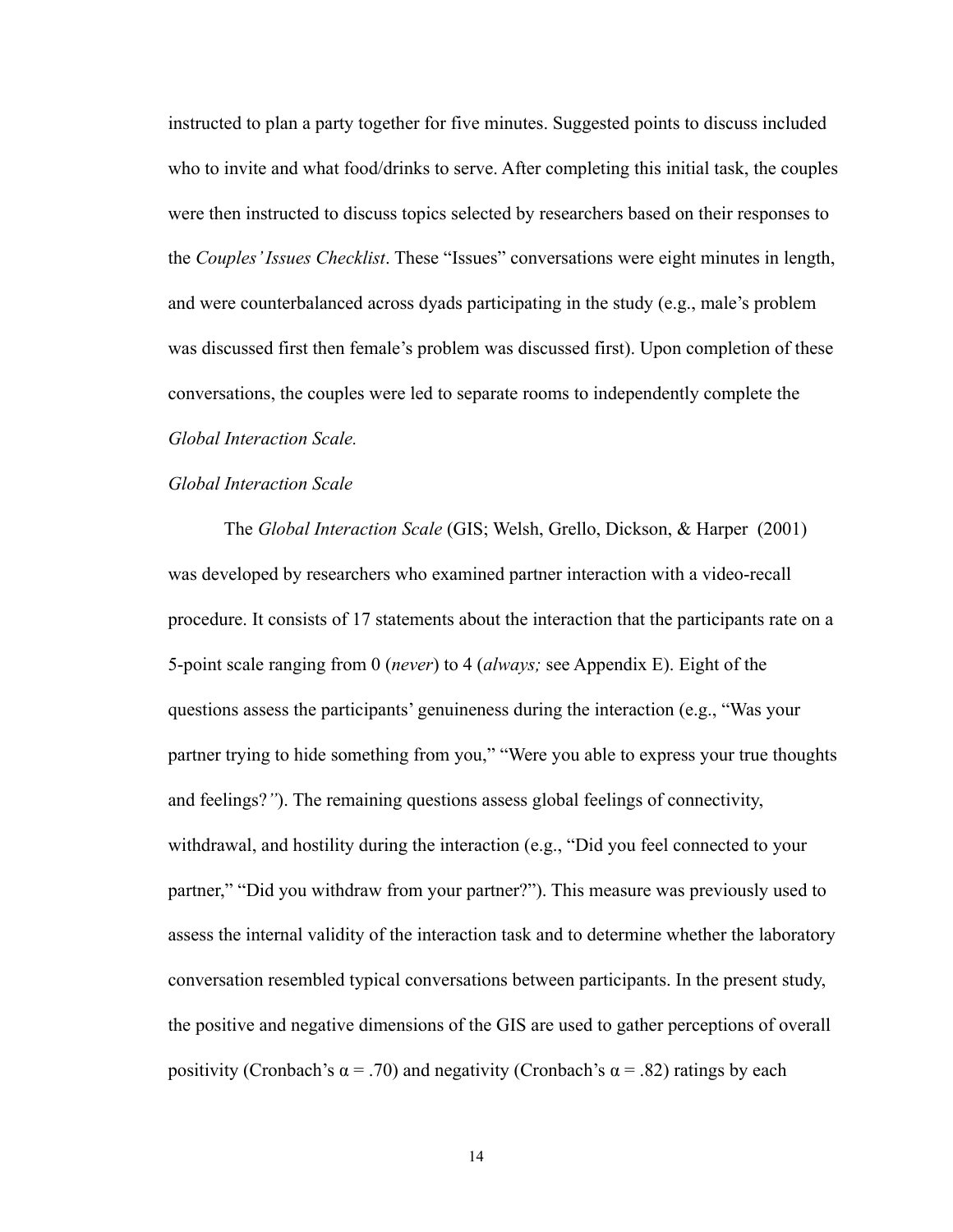instructed to plan a party together for five minutes. Suggested points to discuss included who to invite and what food/drinks to serve. After completing this initial task, the couples were then instructed to discuss topics selected by researchers based on their responses to the *Couples' Issues Checklist*. These "Issues" conversations were eight minutes in length, and were counterbalanced across dyads participating in the study (e.g., male's problem was discussed first then female's problem was discussed first). Upon completion of these conversations, the couples were led to separate rooms to independently complete the *Global Interaction Scale.*

#### *Global Interaction Scale*

The *Global Interaction Scale* (GIS; Welsh, Grello, Dickson, & Harper (2001) was developed by researchers who examined partner interaction with a video-recall procedure. It consists of 17 statements about the interaction that the participants rate on a 5-point scale ranging from 0 (*never*) to 4 (*always;* see Appendix E). Eight of the questions assess the participants' genuineness during the interaction (e.g., "Was your partner trying to hide something from you," "Were you able to express your true thoughts and feelings?*"*). The remaining questions assess global feelings of connectivity, withdrawal, and hostility during the interaction (e.g., "Did you feel connected to your partner," "Did you withdraw from your partner?"). This measure was previously used to assess the internal validity of the interaction task and to determine whether the laboratory conversation resembled typical conversations between participants. In the present study, the positive and negative dimensions of the GIS are used to gather perceptions of overall positivity (Cronbach's  $\alpha$  = .70) and negativity (Cronbach's  $\alpha$  = .82) ratings by each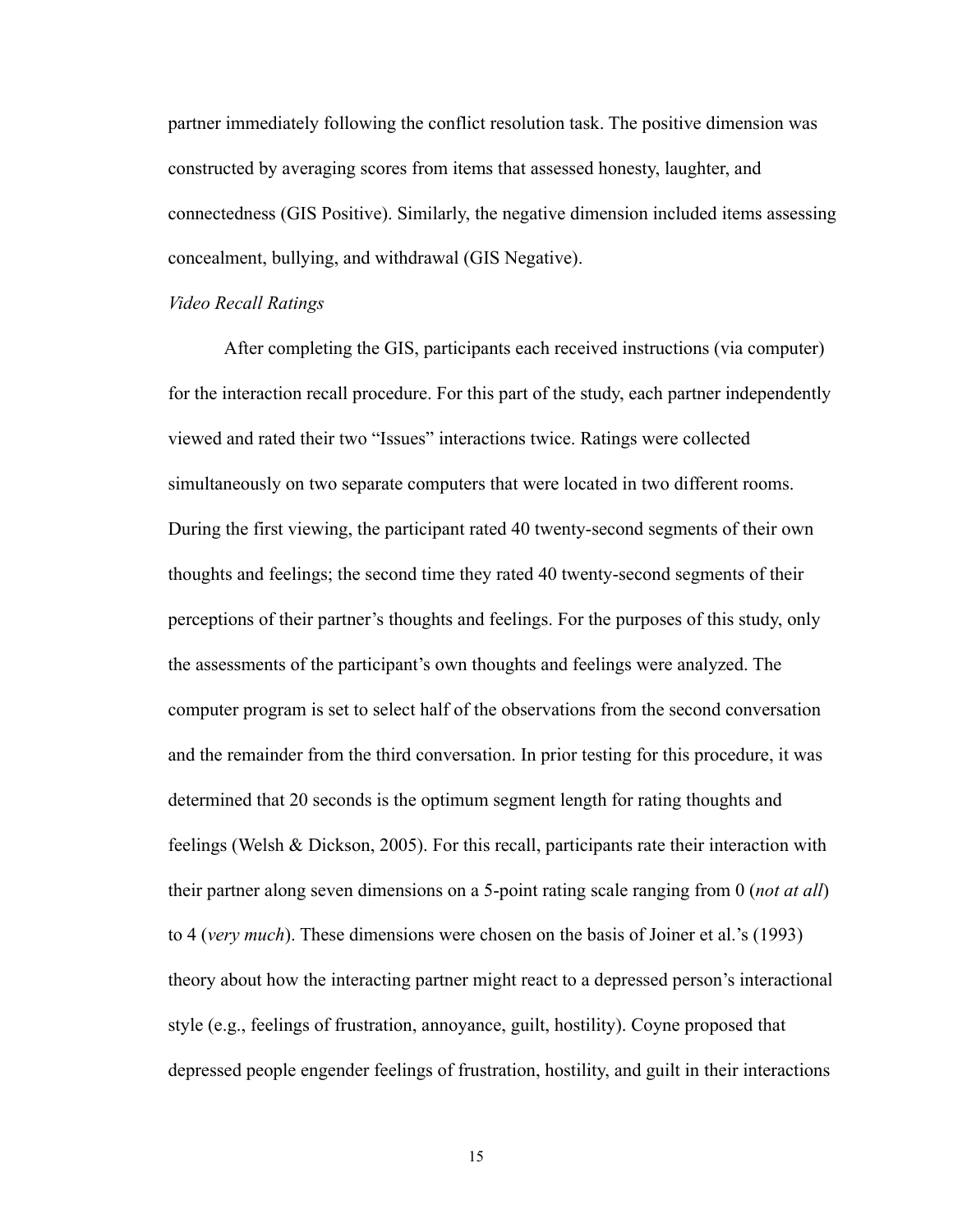partner immediately following the conflict resolution task. The positive dimension was constructed by averaging scores from items that assessed honesty, laughter, and connectedness (GIS Positive). Similarly, the negative dimension included items assessing concealment, bullying, and withdrawal (GIS Negative).

#### *Video Recall Ratings*

After completing the GIS, participants each received instructions (via computer) for the interaction recall procedure. For this part of the study, each partner independently viewed and rated their two "Issues" interactions twice. Ratings were collected simultaneously on two separate computers that were located in two different rooms. During the first viewing, the participant rated 40 twenty-second segments of their own thoughts and feelings; the second time they rated 40 twenty-second segments of their perceptions of their partner's thoughts and feelings. For the purposes of this study, only the assessments of the participant's own thoughts and feelings were analyzed. The computer program is set to select half of the observations from the second conversation and the remainder from the third conversation. In prior testing for this procedure, it was determined that 20 seconds is the optimum segment length for rating thoughts and feelings (Welsh & Dickson, 2005). For this recall, participants rate their interaction with their partner along seven dimensions on a 5-point rating scale ranging from 0 (*not at all*) to 4 (*very much*). These dimensions were chosen on the basis of Joiner et al.'s (1993) theory about how the interacting partner might react to a depressed person's interactional style (e.g., feelings of frustration, annoyance, guilt, hostility). Coyne proposed that depressed people engender feelings of frustration, hostility, and guilt in their interactions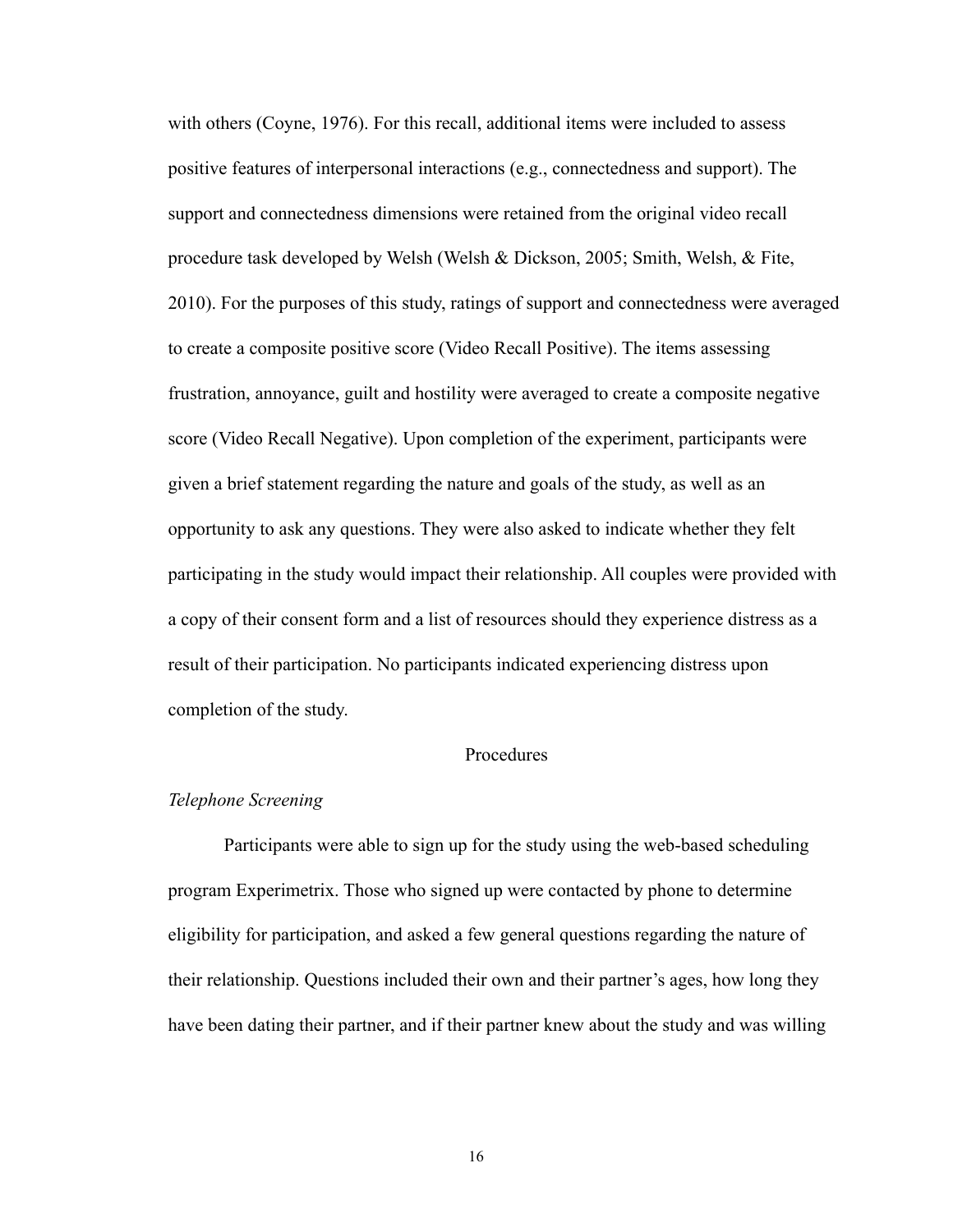with others (Coyne, 1976). For this recall, additional items were included to assess positive features of interpersonal interactions (e.g., connectedness and support). The support and connectedness dimensions were retained from the original video recall procedure task developed by Welsh (Welsh & Dickson, 2005; Smith, Welsh, & Fite, 2010). For the purposes of this study, ratings of support and connectedness were averaged to create a composite positive score (Video Recall Positive). The items assessing frustration, annoyance, guilt and hostility were averaged to create a composite negative score (Video Recall Negative). Upon completion of the experiment, participants were given a brief statement regarding the nature and goals of the study, as well as an opportunity to ask any questions. They were also asked to indicate whether they felt participating in the study would impact their relationship. All couples were provided with a copy of their consent form and a list of resources should they experience distress as a result of their participation. No participants indicated experiencing distress upon completion of the study.

#### Procedures

#### *Telephone Screening*

Participants were able to sign up for the study using the web-based scheduling program Experimetrix. Those who signed up were contacted by phone to determine eligibility for participation, and asked a few general questions regarding the nature of their relationship. Questions included their own and their partner's ages, how long they have been dating their partner, and if their partner knew about the study and was willing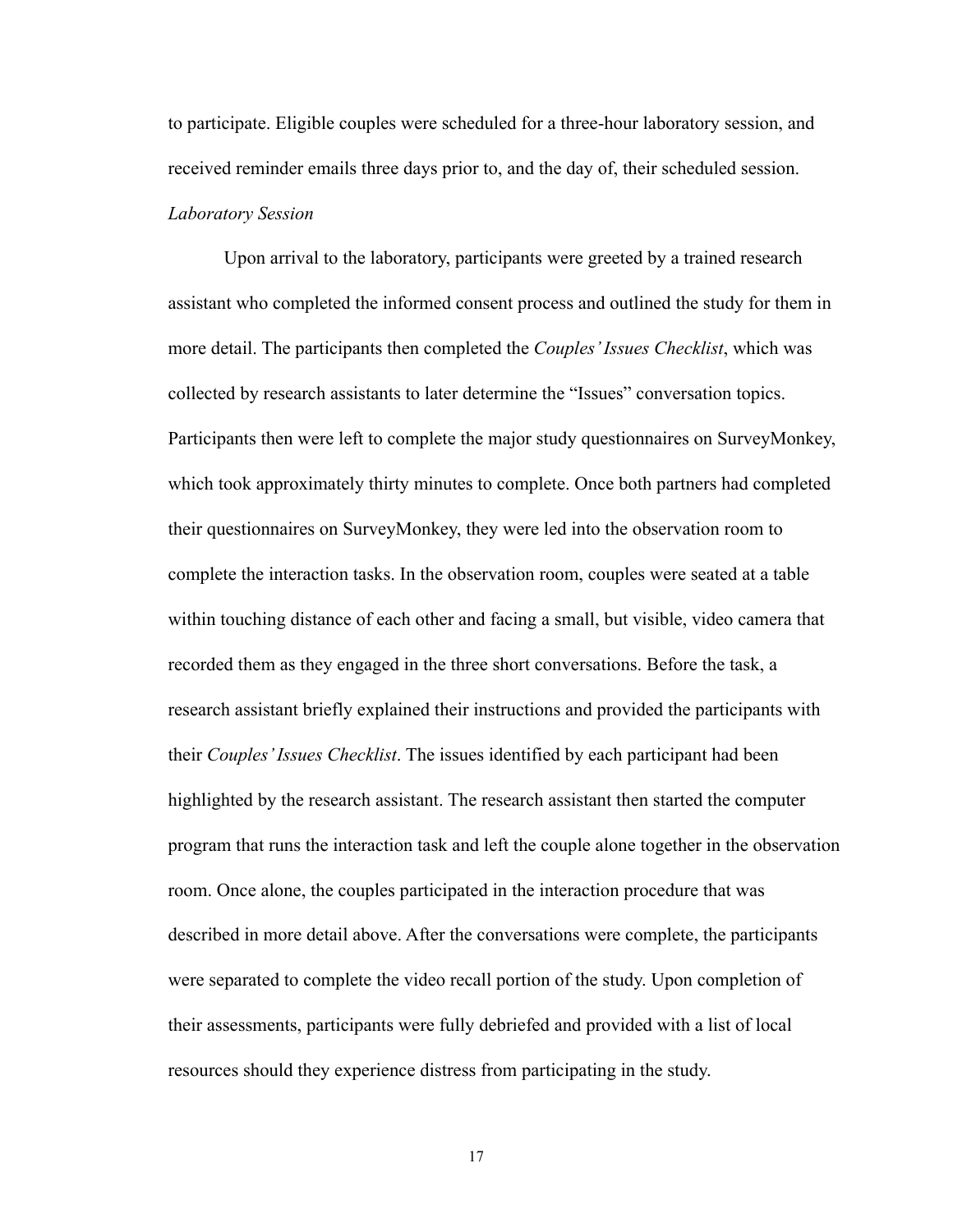to participate. Eligible couples were scheduled for a three-hour laboratory session, and received reminder emails three days prior to, and the day of, their scheduled session. *Laboratory Session*

 Upon arrival to the laboratory, participants were greeted by a trained research assistant who completed the informed consent process and outlined the study for them in more detail. The participants then completed the *Couples' Issues Checklist*, which was collected by research assistants to later determine the "Issues" conversation topics. Participants then were left to complete the major study questionnaires on SurveyMonkey, which took approximately thirty minutes to complete. Once both partners had completed their questionnaires on SurveyMonkey, they were led into the observation room to complete the interaction tasks. In the observation room, couples were seated at a table within touching distance of each other and facing a small, but visible, video camera that recorded them as they engaged in the three short conversations. Before the task, a research assistant briefly explained their instructions and provided the participants with their *Couples' Issues Checklist*. The issues identified by each participant had been highlighted by the research assistant. The research assistant then started the computer program that runs the interaction task and left the couple alone together in the observation room. Once alone, the couples participated in the interaction procedure that was described in more detail above. After the conversations were complete, the participants were separated to complete the video recall portion of the study. Upon completion of their assessments, participants were fully debriefed and provided with a list of local resources should they experience distress from participating in the study.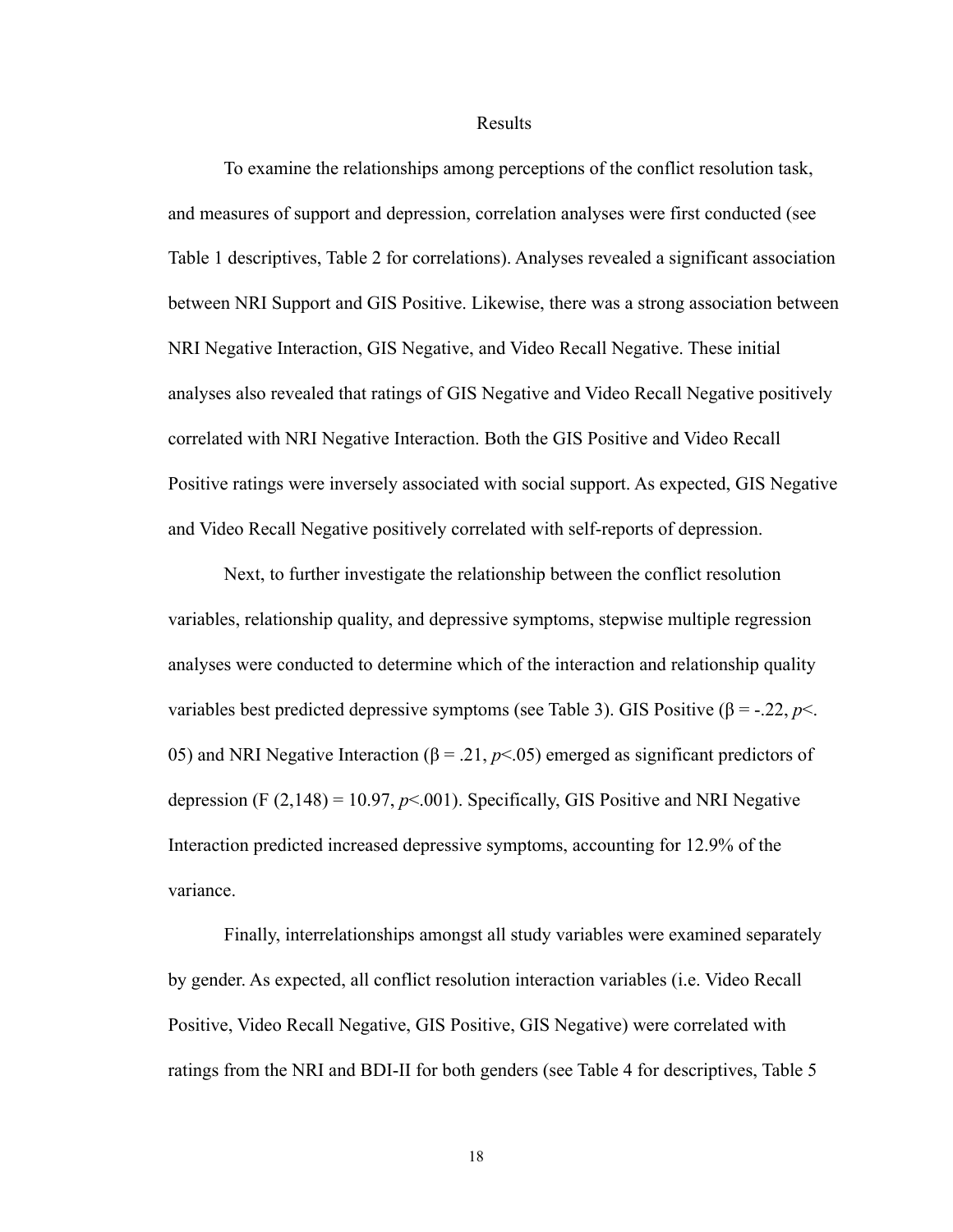Results

 To examine the relationships among perceptions of the conflict resolution task, and measures of support and depression, correlation analyses were first conducted (see Table 1 descriptives, Table 2 for correlations). Analyses revealed a significant association between NRI Support and GIS Positive. Likewise, there was a strong association between NRI Negative Interaction, GIS Negative, and Video Recall Negative. These initial analyses also revealed that ratings of GIS Negative and Video Recall Negative positively correlated with NRI Negative Interaction. Both the GIS Positive and Video Recall Positive ratings were inversely associated with social support. As expected, GIS Negative and Video Recall Negative positively correlated with self-reports of depression.

 Next, to further investigate the relationship between the conflict resolution variables, relationship quality, and depressive symptoms, stepwise multiple regression analyses were conducted to determine which of the interaction and relationship quality variables best predicted depressive symptoms (see Table 3). GIS Positive ( $\beta$  = -.22, *p*<. 05) and NRI Negative Interaction ( $\beta$  = .21,  $p$ <.05) emerged as significant predictors of depression (F  $(2,148) = 10.97$ ,  $p<0.001$ ). Specifically, GIS Positive and NRI Negative Interaction predicted increased depressive symptoms, accounting for 12.9% of the variance.

 Finally, interrelationships amongst all study variables were examined separately by gender. As expected, all conflict resolution interaction variables (i.e. Video Recall Positive, Video Recall Negative, GIS Positive, GIS Negative) were correlated with ratings from the NRI and BDI-II for both genders (see Table 4 for descriptives, Table 5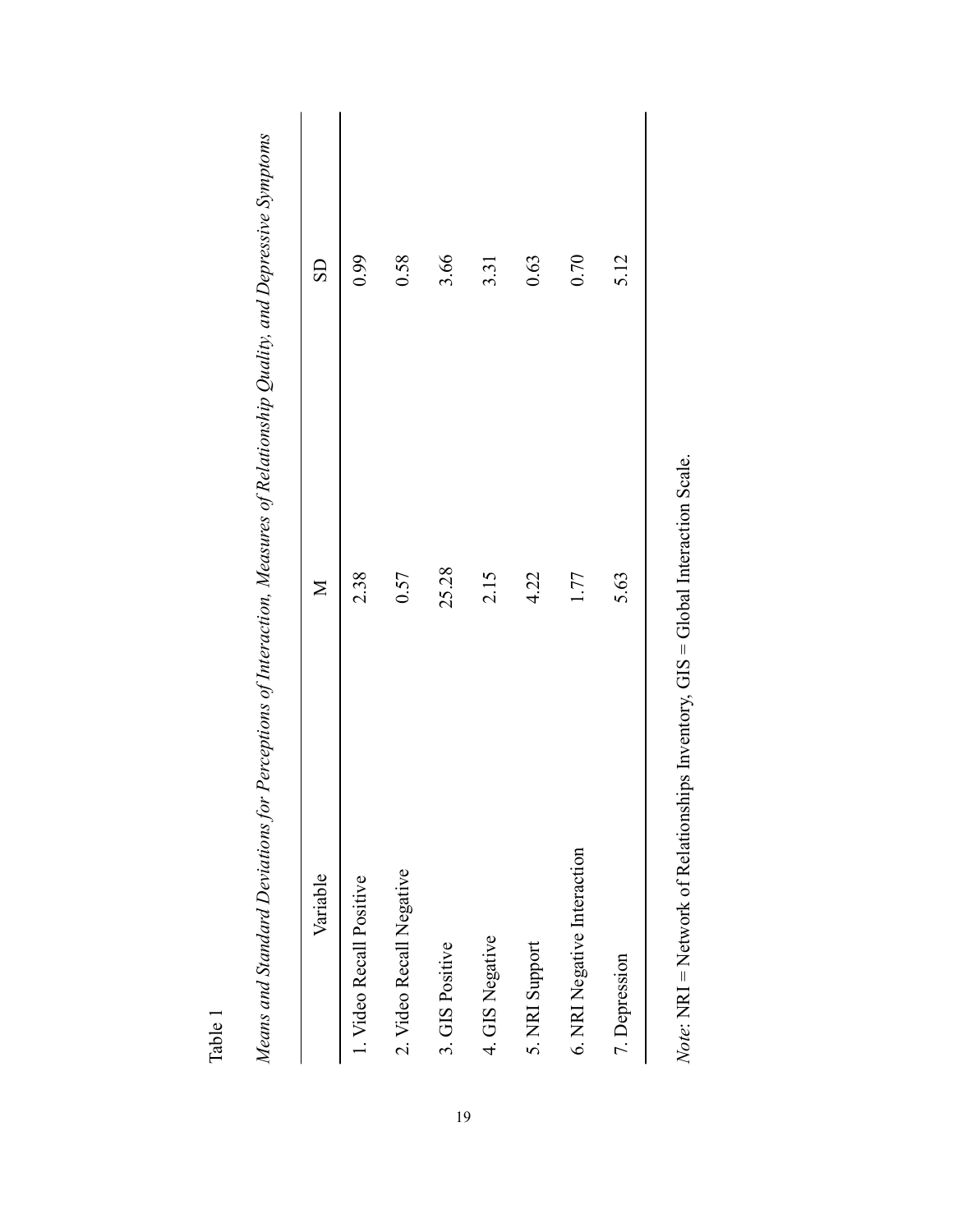| 25.28<br>2.38<br>0.57<br>2.15<br>2. Video Recall Negative<br>I. Video Recall Positive<br>4. GIS Negative<br>3. GIS Positive | 0.58<br>3.66<br>0.99 |  |
|-----------------------------------------------------------------------------------------------------------------------------|----------------------|--|
|                                                                                                                             |                      |  |
|                                                                                                                             |                      |  |
|                                                                                                                             |                      |  |
|                                                                                                                             | 3.31                 |  |
| 4.22<br>5. NRI Support                                                                                                      | 0.63                 |  |
| 1.77<br>6. NRI Negative Interaction                                                                                         | 0.70                 |  |
| 5.63<br>7. Depression                                                                                                       | 5.12                 |  |

Table 1

Note: NRI = Network of Relationships Inventory, GIS = Global Interaction Scale. *Note*: NRI = Network of Relationships Inventory, GIS = Global Interaction Scale.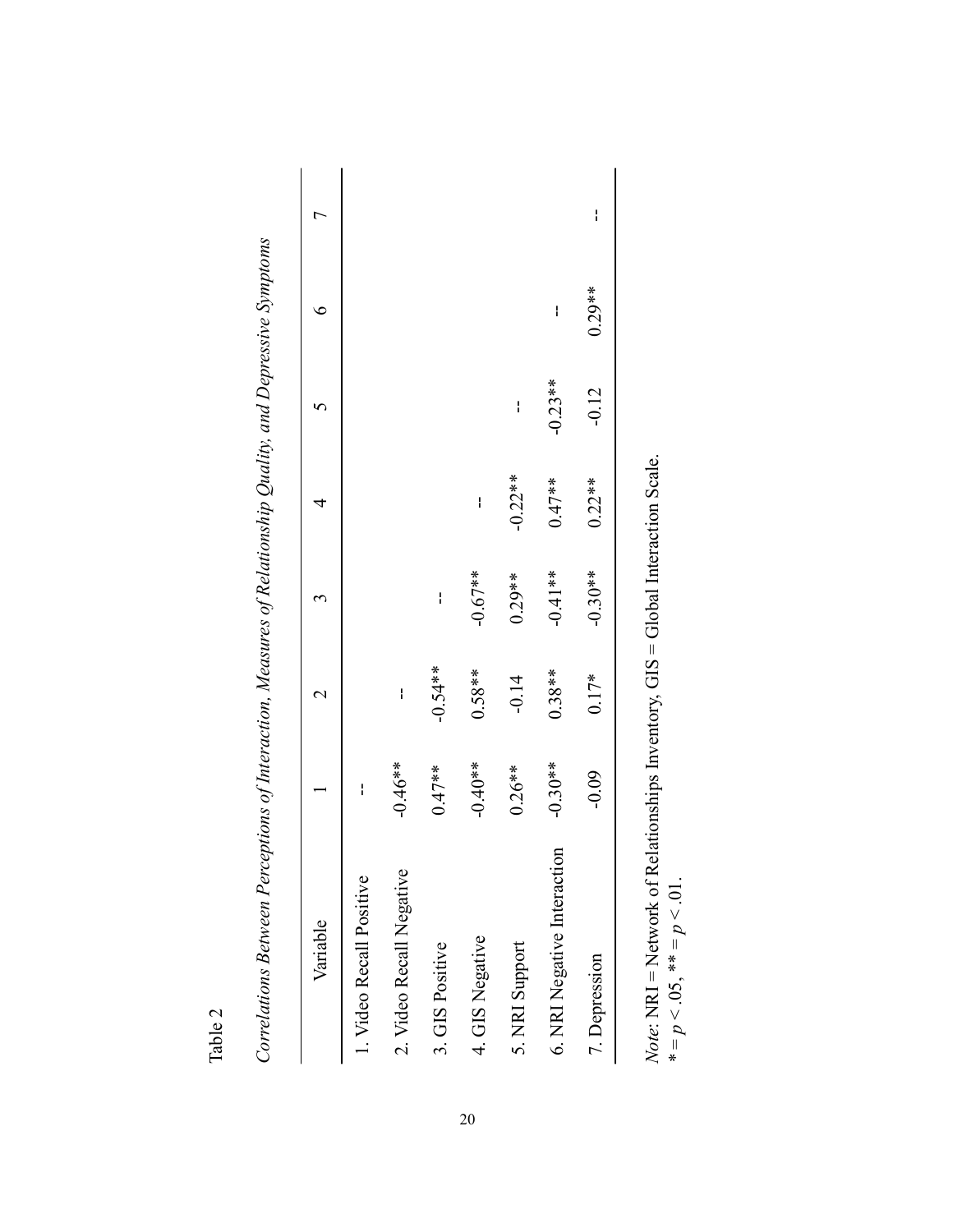| υ |  |
|---|--|
| r |  |
| z |  |
|   |  |

| ľ<br>Ì<br>ľ<br>Í<br>l      |  |
|----------------------------|--|
| くうさ<br>ì<br>J<br>l         |  |
| j<br>ĺ                     |  |
| í<br>Ì                     |  |
| ļ                          |  |
| f                          |  |
| ļ<br>l<br>l uəəl<br>l<br>I |  |
|                            |  |

| I<br>Ľ<br>$0.29**$<br>I<br>$-0.23**$<br>$-0.12$<br>I<br>$-0.22**$<br>$0.22**$<br>$0.47**$<br>ł<br>$-0.30**$<br>$-0.41**$<br>$-0.67**$<br>$0.29**$<br>I<br>$-0.54**$<br>$0.58**$<br>$0.38**$<br>$0.17*$<br>$-0.14$<br>ł<br>$-0.30**$<br>$-0.40**$<br>$-0.46**$<br>$0.47**$<br>$0.26***$<br>$-0.09$<br>I<br>6. NRI Negative Interaction<br>1. Video Recall Positive<br>Variable<br>7. Depression |                          |  |  |  |  |
|------------------------------------------------------------------------------------------------------------------------------------------------------------------------------------------------------------------------------------------------------------------------------------------------------------------------------------------------------------------------------------------------|--------------------------|--|--|--|--|
|                                                                                                                                                                                                                                                                                                                                                                                                |                          |  |  |  |  |
|                                                                                                                                                                                                                                                                                                                                                                                                |                          |  |  |  |  |
|                                                                                                                                                                                                                                                                                                                                                                                                | 2. Video Recall Negative |  |  |  |  |
|                                                                                                                                                                                                                                                                                                                                                                                                | 3. GIS Positive          |  |  |  |  |
|                                                                                                                                                                                                                                                                                                                                                                                                | 4. GIS Negative          |  |  |  |  |
|                                                                                                                                                                                                                                                                                                                                                                                                | 5. NRI Support           |  |  |  |  |
|                                                                                                                                                                                                                                                                                                                                                                                                |                          |  |  |  |  |
|                                                                                                                                                                                                                                                                                                                                                                                                |                          |  |  |  |  |

*Note*: NRI = Network of Relationships Inventory, GIS = Global Interaction Scale. *Note:* NRI = Network of Relationships Inventory, GIS = Global Interaction Scale.<br>  $* = p < .05$ ,  $** = p < .01$ .  $* = p \lt .05, ** = p \lt .01.$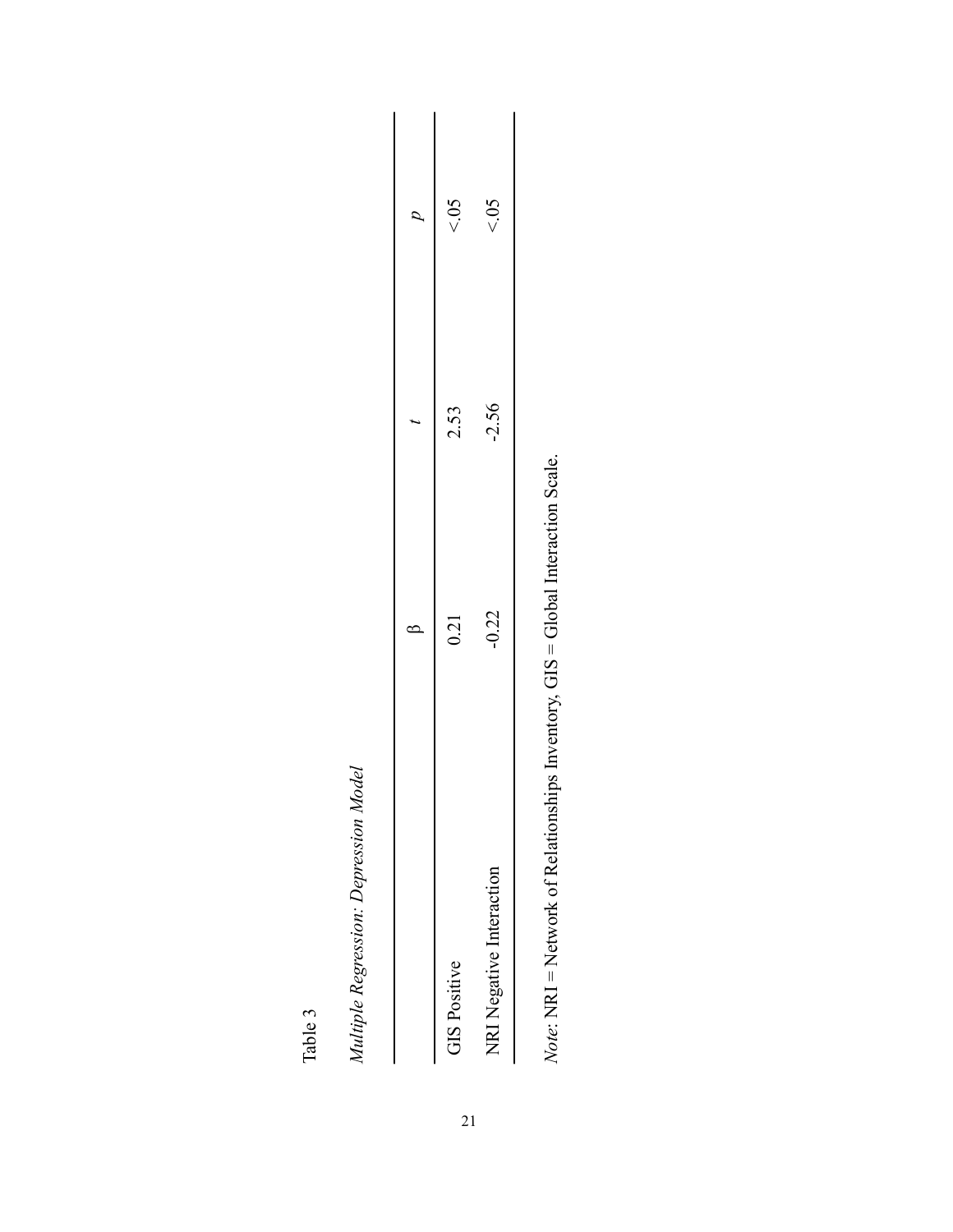|                          | ١       |         | $\sigma$ |
|--------------------------|---------|---------|----------|
| <b>GIS Positive</b>      | 0.21    | 2.53    | 50 >     |
| NRI Negative Interaction | $-0.22$ | $-2.56$ | 50       |
|                          |         |         |          |

Note: NRI = Network of Relationships Inventory, GIS = Global Interaction Scale. *Note*: NRI = Network of Relationships Inventory, GIS = Global Interaction Scale.

Table 3

*Multiple Regression: Depression Model*

Multiple Regression: Depression Model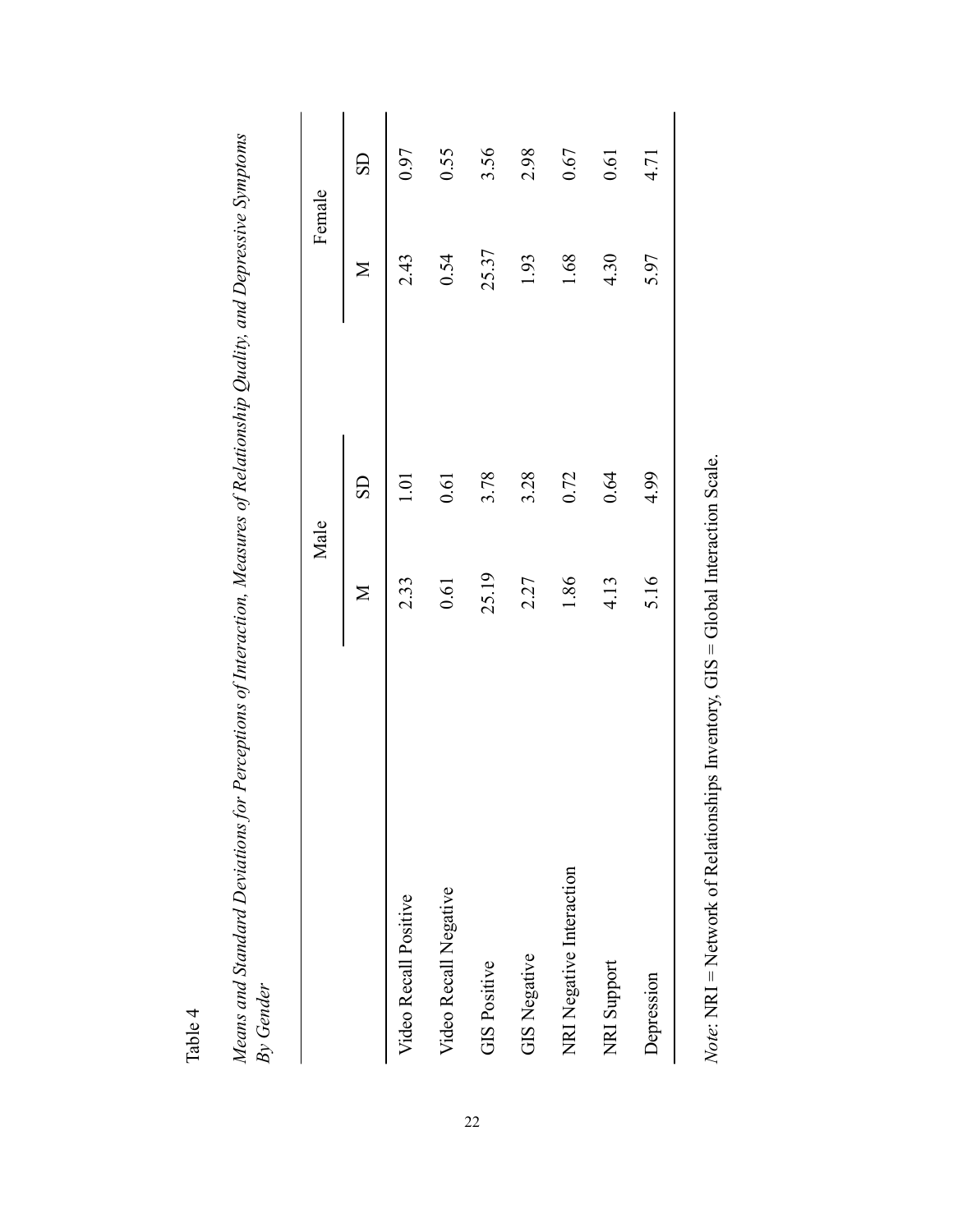Table 4

| :<br>)<br>ane and Standard Dovintions<br>בית באו ושי שוני שני וני של בי די ויי<br>ייני אייני- איי<br>. שאינט<br>ĺ<br>Ī |  |
|------------------------------------------------------------------------------------------------------------------------|--|
|                                                                                                                        |  |
|                                                                                                                        |  |
|                                                                                                                        |  |
|                                                                                                                        |  |
|                                                                                                                        |  |
|                                                                                                                        |  |
|                                                                                                                        |  |
|                                                                                                                        |  |
|                                                                                                                        |  |
|                                                                                                                        |  |
|                                                                                                                        |  |
|                                                                                                                        |  |
|                                                                                                                        |  |
|                                                                                                                        |  |
|                                                                                                                        |  |
|                                                                                                                        |  |
|                                                                                                                        |  |
|                                                                                                                        |  |
|                                                                                                                        |  |
|                                                                                                                        |  |
|                                                                                                                        |  |

|                          | Male         |           | Female |                        |
|--------------------------|--------------|-----------|--------|------------------------|
|                          | $\mathbb{N}$ | <b>GS</b> | $\geq$ | $\overline{\text{SD}}$ |
| Video Recall Positive    | 2.33         | ē         | 2.43   | 0.97                   |
| Video Recall Negative    | 0.61         | 0.61      | 0.54   | 0.55                   |
| <b>GIS Positive</b>      | 25.19        | 3.78      | 25.37  | 3.56                   |
| <b>GIS Negative</b>      | 2.27         | 3.28      | 1.93   | 2.98                   |
| NRI Negative Interaction | 1.86         | 0.72      | 1.68   | 0.67                   |
| NRI Support              | 4.13         | 0.64      | 4.30   | 0.61                   |
| Depression               | 5.16         | 4.99      | 5.97   | 4.71                   |
|                          |              |           |        |                        |

Note: NRI = Network of Relationships Inventory, GIS = Global Interaction Scale. *Note*: NRI = Network of Relationships Inventory, GIS = Global Interaction Scale.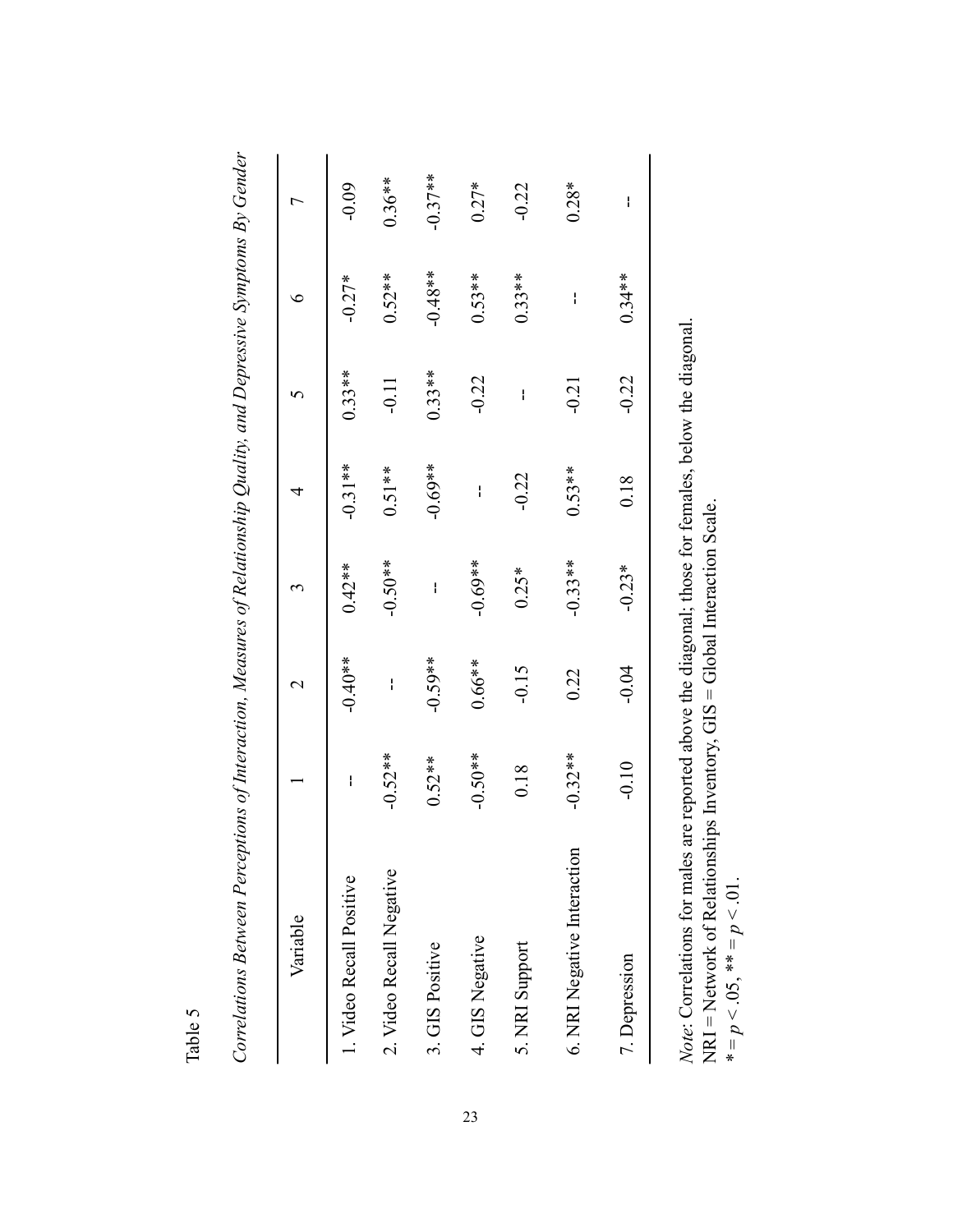| Variable                    |           | $\mathbin{\sim}$ | 3         | 4         |          | €         | r         |
|-----------------------------|-----------|------------------|-----------|-----------|----------|-----------|-----------|
| 1. Video Recall Positive    | ł         | $-0.40**$        | $0.42**$  | $-0.31**$ | $0.33**$ | $-0.27*$  | $-0.09$   |
| 2. Video Recall Negative    | $-0.52**$ | I                | $-0.50**$ | $0.51**$  | $-0.11$  | $0.52**$  | $0.36**$  |
| 3. GIS Positive             | $0.52**$  | $-0.59**$        | ł         | $-0.69**$ | $0.33**$ | $-0.48**$ | $-0.37**$ |
| 4. GIS Negative             | $-0.50**$ | $0.66***$        | $-0.69**$ | I         | $-0.22$  | $0.53**$  | $0.27*$   |
| 5. NRI Support              | 0.18      | $-0.15$          | $0.25*$   | $-0.22$   | ł        | $0.33**$  | $-0.22$   |
| 6. NRI Negative Interaction | $-0.32**$ | 0.22             | $-0.33**$ | $0.53**$  | $-0.21$  | ł         | $0.28*$   |
| 7. Depression               | $-0.10$   | $-0.04$          | $-0.23*$  | 0.18      | $-0.22$  | $0.34**$  | I         |
|                             |           |                  |           |           |          |           |           |

Table 5

Note: Correlations for males are reported above the diagonal; those for females, below the diagonal. *Note*: Correlations for males are reported above the diagonal; those for females, below the diagonal. NRI = Network of Relationships Inventory, GIS = Global Interaction Scale. NRI = Network of Relationships Inventory, GIS = Global Interaction Scale.  $* = p < .05, ** = p < .01.$  $* = p < 0.05, ** = p < 0.01$ .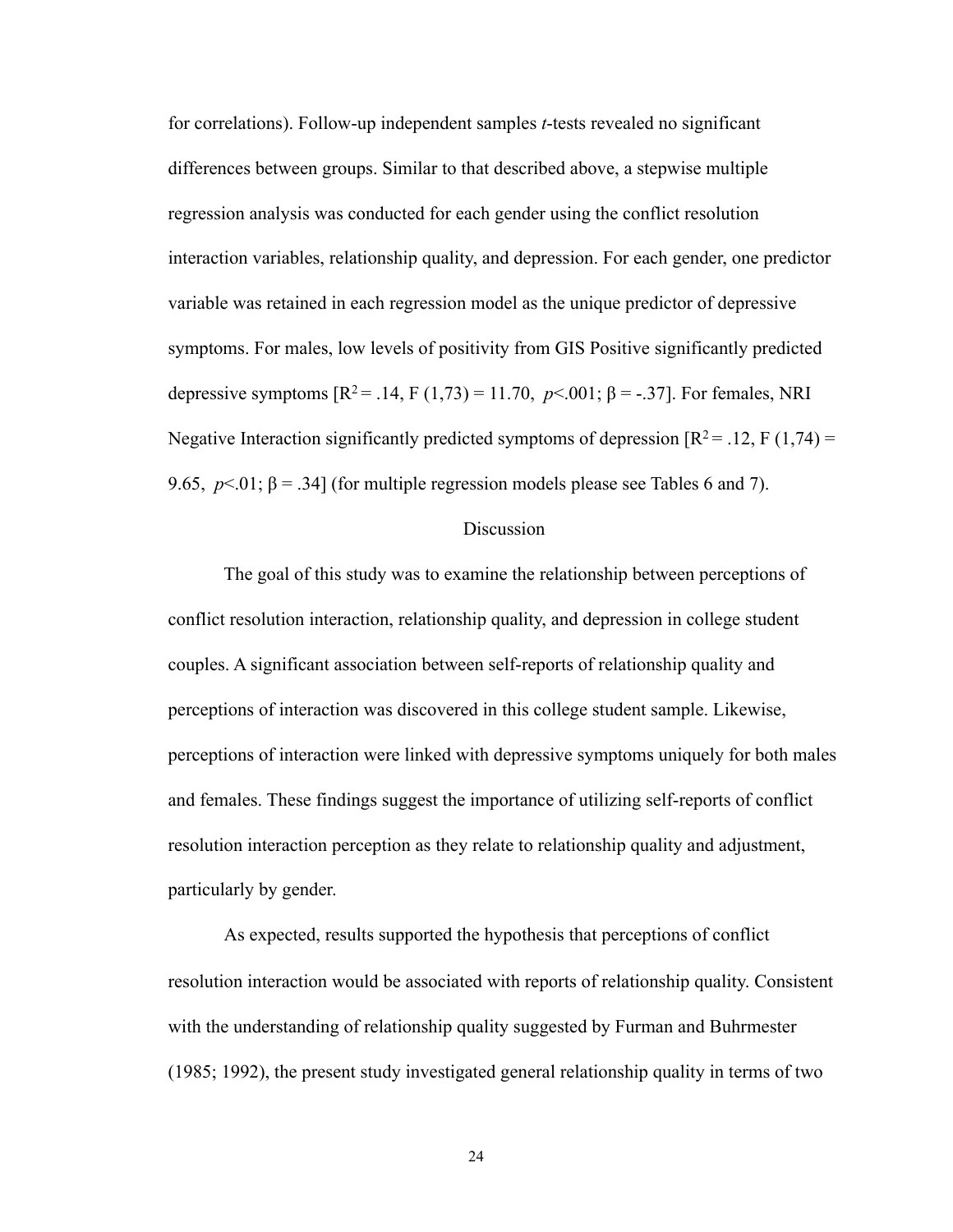for correlations). Follow-up independent samples *t*-tests revealed no significant differences between groups. Similar to that described above, a stepwise multiple regression analysis was conducted for each gender using the conflict resolution interaction variables, relationship quality, and depression. For each gender, one predictor variable was retained in each regression model as the unique predictor of depressive symptoms. For males, low levels of positivity from GIS Positive significantly predicted depressive symptoms  $[R^2 = .14, F(1,73) = 11.70, p<.001; \beta = -.37]$ . For females, NRI Negative Interaction significantly predicted symptoms of depression  $\mathbb{R}^2 = .12$ , F (1,74) = 9.65,  $p < 01$ ;  $\beta = .34$ ] (for multiple regression models please see Tables 6 and 7).

#### Discussion

 The goal of this study was to examine the relationship between perceptions of conflict resolution interaction, relationship quality, and depression in college student couples. A significant association between self-reports of relationship quality and perceptions of interaction was discovered in this college student sample. Likewise, perceptions of interaction were linked with depressive symptoms uniquely for both males and females. These findings suggest the importance of utilizing self-reports of conflict resolution interaction perception as they relate to relationship quality and adjustment, particularly by gender.

As expected, results supported the hypothesis that perceptions of conflict resolution interaction would be associated with reports of relationship quality. Consistent with the understanding of relationship quality suggested by Furman and Buhrmester (1985; 1992), the present study investigated general relationship quality in terms of two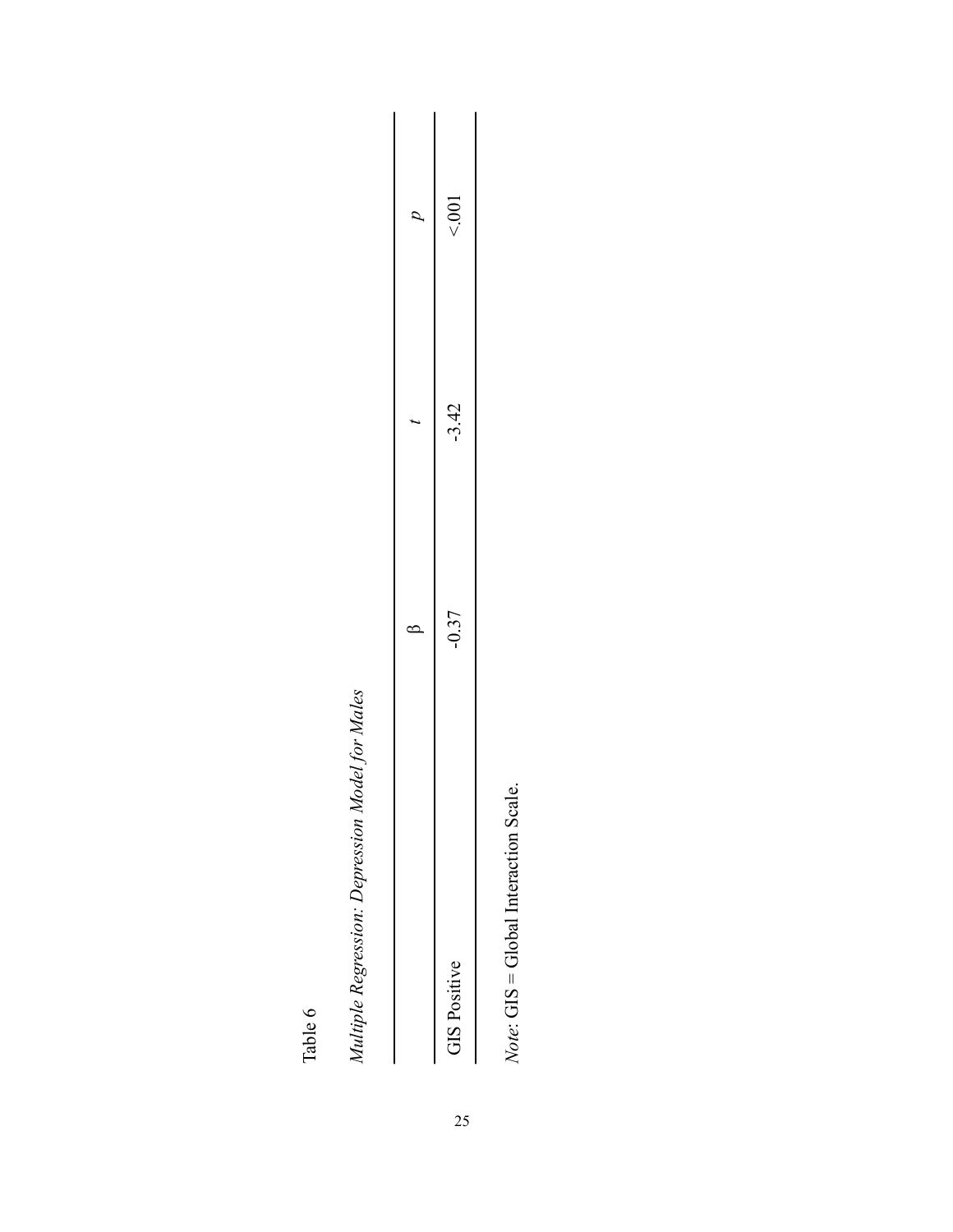Table 6

Multiple Regression: Depression Model for Males *Multiple Regression: Depression Model for Males*

|                     | ť<br>١  |         | 2   |
|---------------------|---------|---------|-----|
| <b>GIS Positive</b> | $-0.37$ | $-3.42$ | 001 |

 $Note: GIS = Global Integration Scale.$ *Note*: GIS = Global Interaction Scale.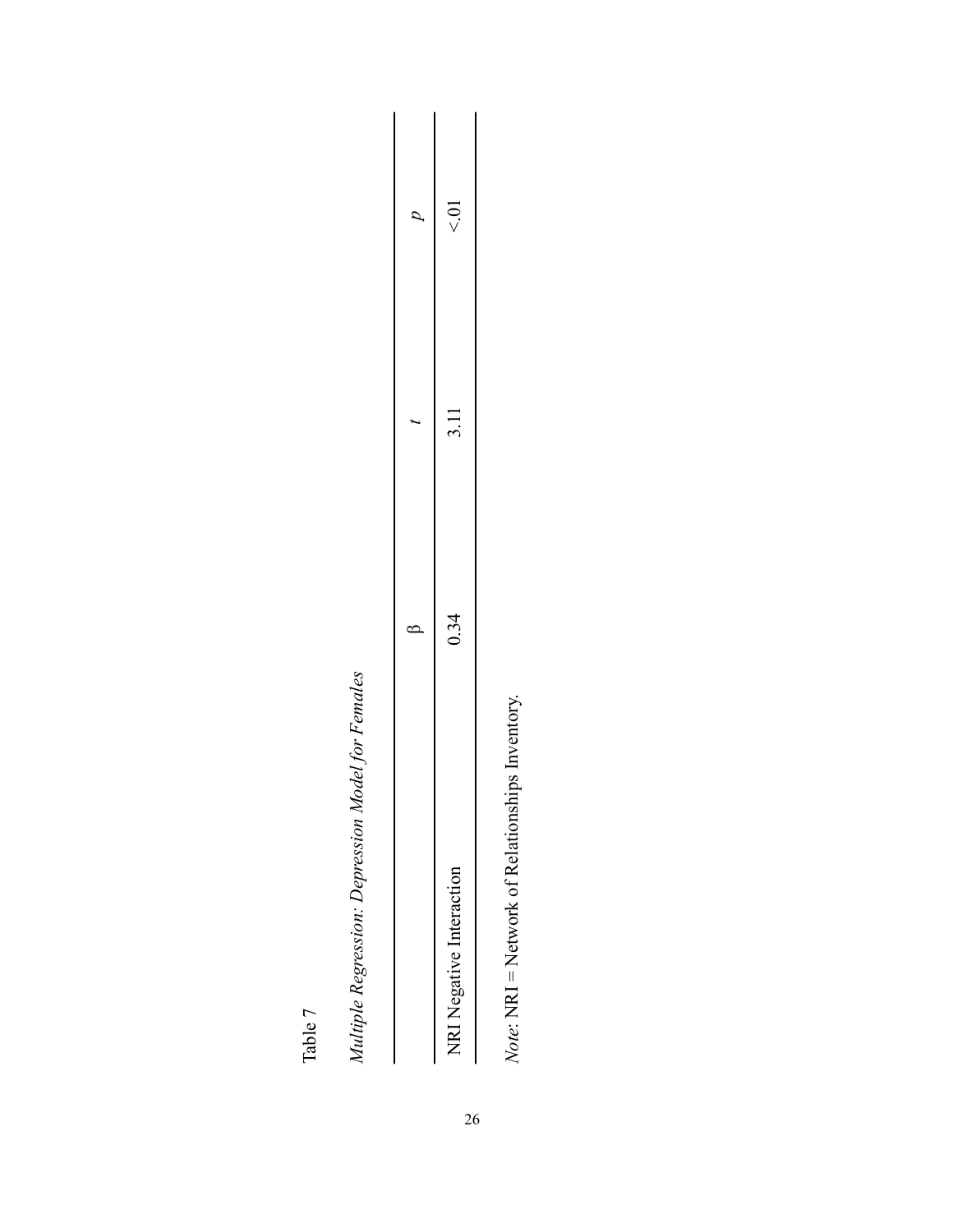Table 7

Multiple Regression: Depression Model for Females *Multiple Regression: Depression Model for Females*

| $\sigma$ | $\leqslant$                                        |
|----------|----------------------------------------------------|
|          | 3.11                                               |
| נ<br>ŕ   | 0.34                                               |
|          | $\sum_{i=1}^{n}$<br>ntara ni<br>Jegative I<br>NRI. |

Note: NRI = Network of Relationships Inventory. *Note*: NRI = Network of Relationships Inventory.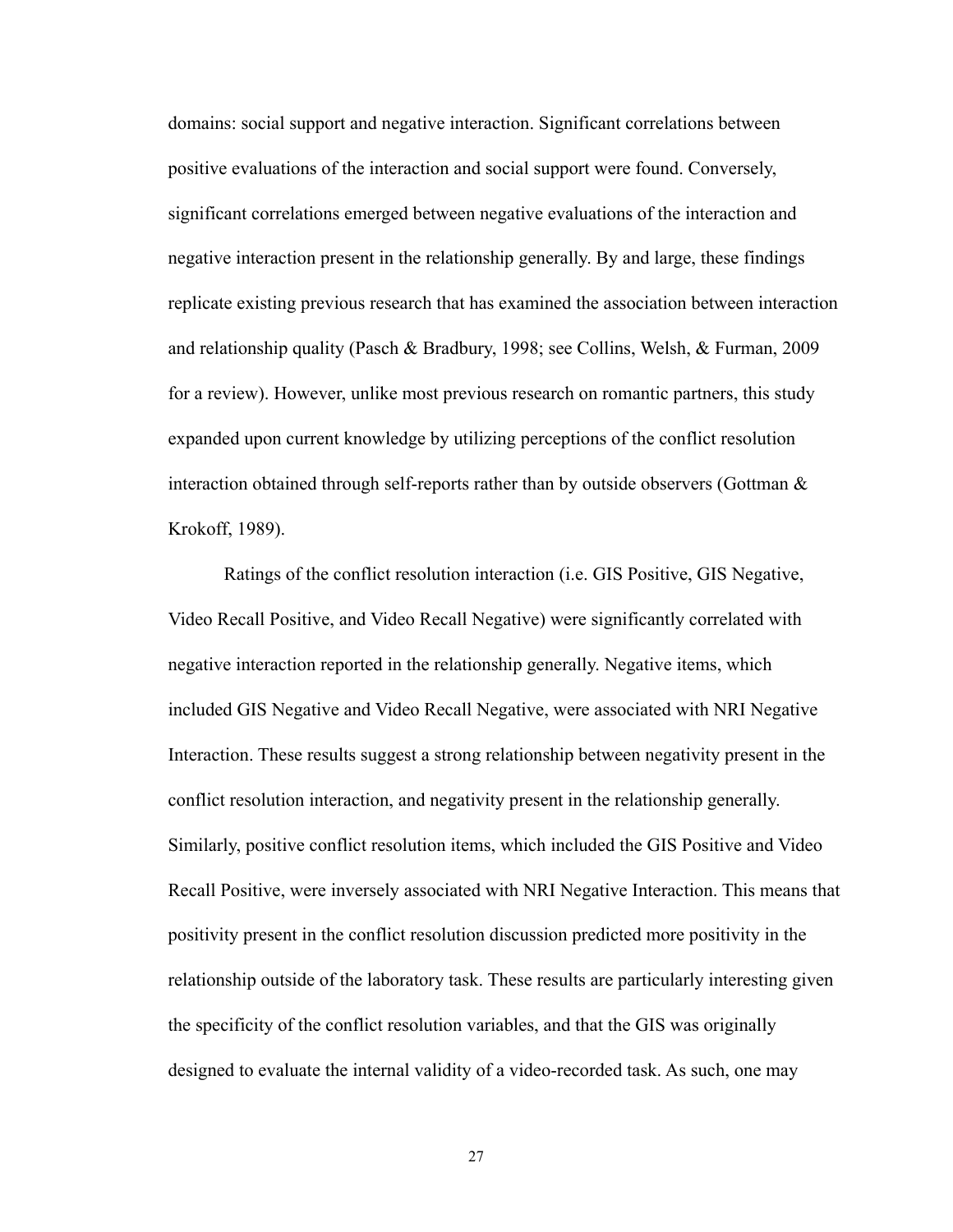domains: social support and negative interaction. Significant correlations between positive evaluations of the interaction and social support were found. Conversely, significant correlations emerged between negative evaluations of the interaction and negative interaction present in the relationship generally. By and large, these findings replicate existing previous research that has examined the association between interaction and relationship quality (Pasch & Bradbury, 1998; see Collins, Welsh, & Furman, 2009 for a review). However, unlike most previous research on romantic partners, this study expanded upon current knowledge by utilizing perceptions of the conflict resolution interaction obtained through self-reports rather than by outside observers (Gottman  $\&$ Krokoff, 1989).

 Ratings of the conflict resolution interaction (i.e. GIS Positive, GIS Negative, Video Recall Positive, and Video Recall Negative) were significantly correlated with negative interaction reported in the relationship generally. Negative items, which included GIS Negative and Video Recall Negative, were associated with NRI Negative Interaction. These results suggest a strong relationship between negativity present in the conflict resolution interaction, and negativity present in the relationship generally. Similarly, positive conflict resolution items, which included the GIS Positive and Video Recall Positive, were inversely associated with NRI Negative Interaction. This means that positivity present in the conflict resolution discussion predicted more positivity in the relationship outside of the laboratory task. These results are particularly interesting given the specificity of the conflict resolution variables, and that the GIS was originally designed to evaluate the internal validity of a video-recorded task. As such, one may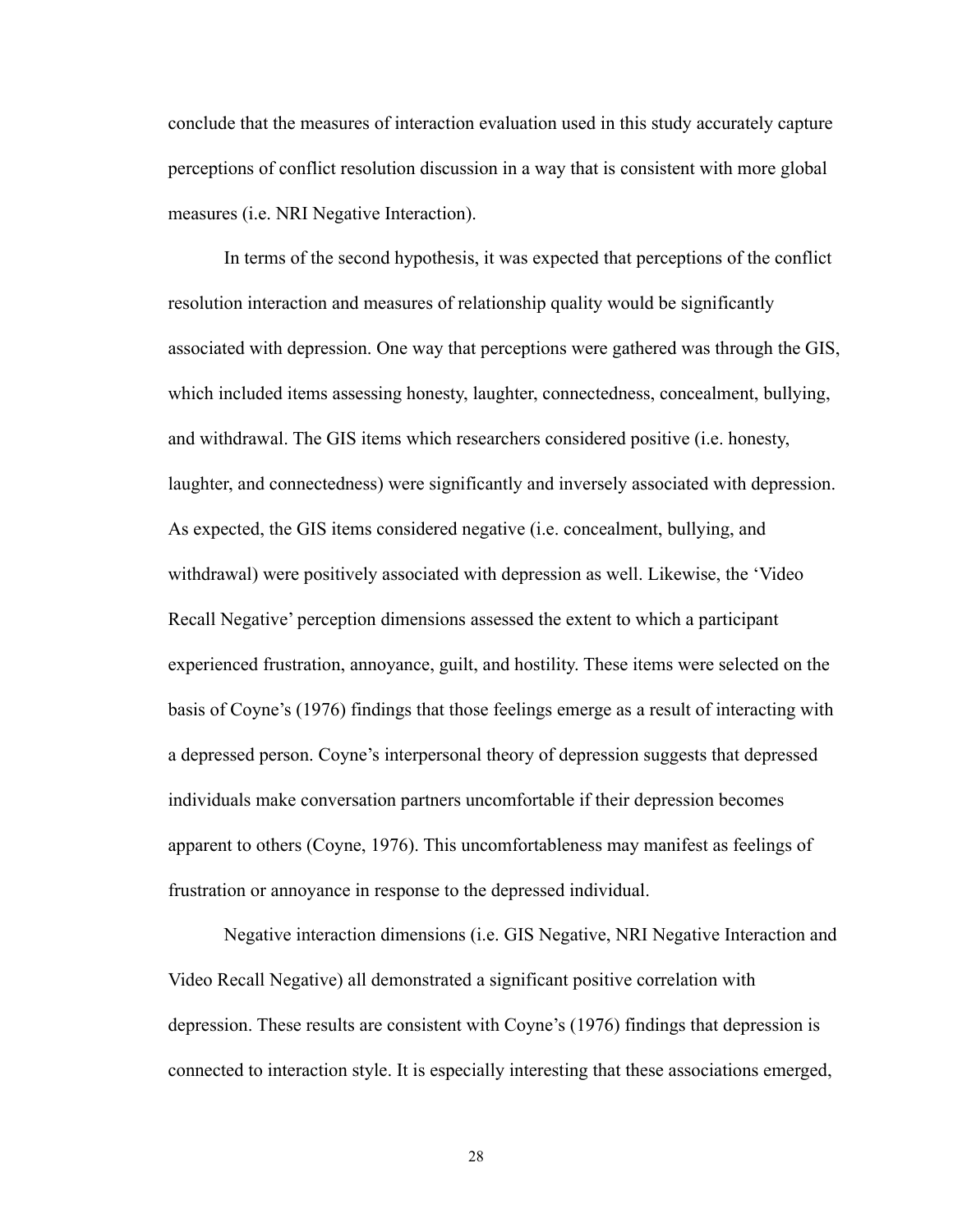conclude that the measures of interaction evaluation used in this study accurately capture perceptions of conflict resolution discussion in a way that is consistent with more global measures (i.e. NRI Negative Interaction).

 In terms of the second hypothesis, it was expected that perceptions of the conflict resolution interaction and measures of relationship quality would be significantly associated with depression. One way that perceptions were gathered was through the GIS, which included items assessing honesty, laughter, connectedness, concealment, bullying, and withdrawal. The GIS items which researchers considered positive (i.e. honesty, laughter, and connectedness) were significantly and inversely associated with depression. As expected, the GIS items considered negative (i.e. concealment, bullying, and withdrawal) were positively associated with depression as well. Likewise, the 'Video Recall Negative' perception dimensions assessed the extent to which a participant experienced frustration, annoyance, guilt, and hostility. These items were selected on the basis of Coyne's (1976) findings that those feelings emerge as a result of interacting with a depressed person. Coyne's interpersonal theory of depression suggests that depressed individuals make conversation partners uncomfortable if their depression becomes apparent to others (Coyne, 1976). This uncomfortableness may manifest as feelings of frustration or annoyance in response to the depressed individual.

 Negative interaction dimensions (i.e. GIS Negative, NRI Negative Interaction and Video Recall Negative) all demonstrated a significant positive correlation with depression. These results are consistent with Coyne's (1976) findings that depression is connected to interaction style. It is especially interesting that these associations emerged,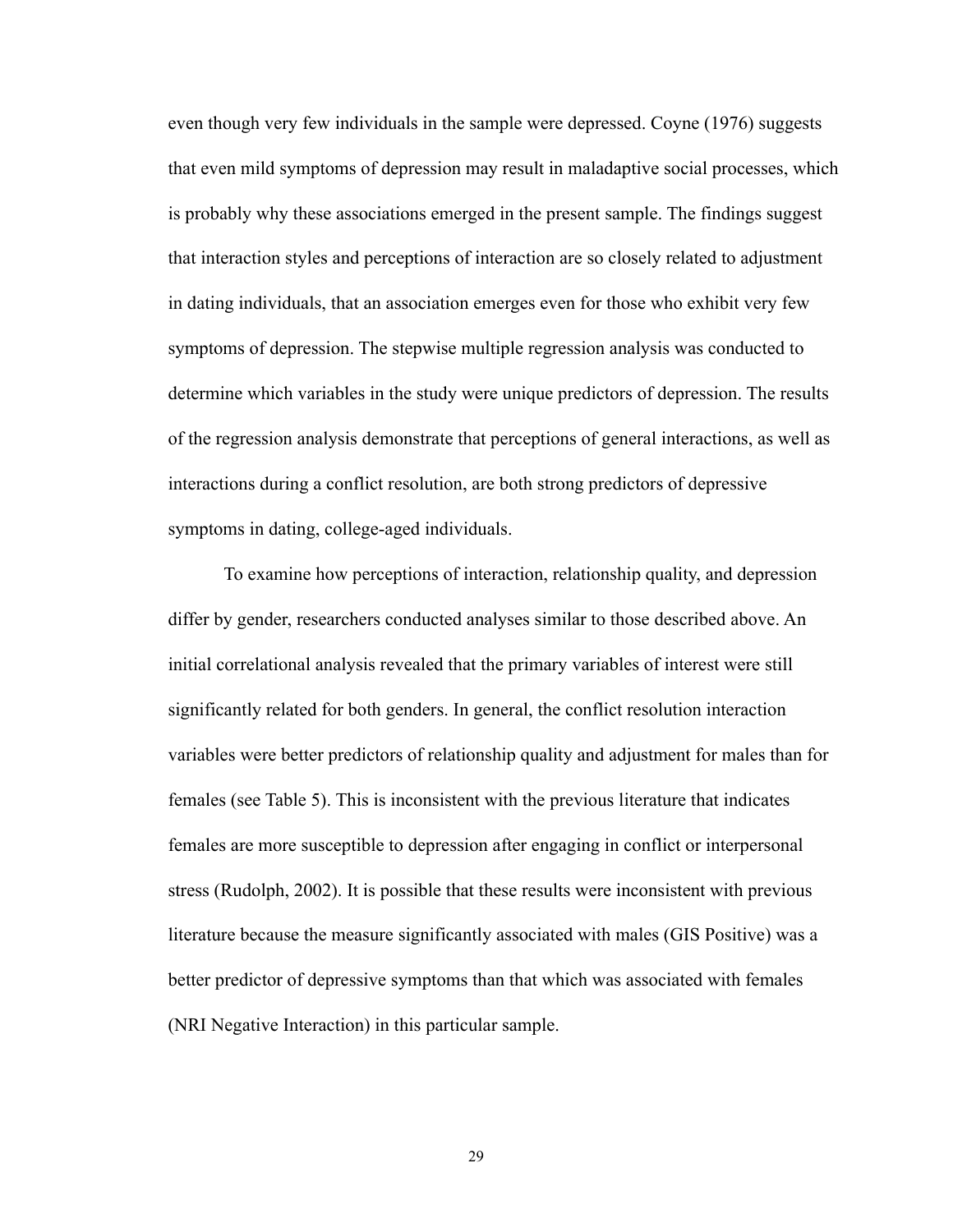even though very few individuals in the sample were depressed. Coyne (1976) suggests that even mild symptoms of depression may result in maladaptive social processes, which is probably why these associations emerged in the present sample. The findings suggest that interaction styles and perceptions of interaction are so closely related to adjustment in dating individuals, that an association emerges even for those who exhibit very few symptoms of depression. The stepwise multiple regression analysis was conducted to determine which variables in the study were unique predictors of depression. The results of the regression analysis demonstrate that perceptions of general interactions, as well as interactions during a conflict resolution, are both strong predictors of depressive symptoms in dating, college-aged individuals.

 To examine how perceptions of interaction, relationship quality, and depression differ by gender, researchers conducted analyses similar to those described above. An initial correlational analysis revealed that the primary variables of interest were still significantly related for both genders. In general, the conflict resolution interaction variables were better predictors of relationship quality and adjustment for males than for females (see Table 5). This is inconsistent with the previous literature that indicates females are more susceptible to depression after engaging in conflict or interpersonal stress (Rudolph, 2002). It is possible that these results were inconsistent with previous literature because the measure significantly associated with males (GIS Positive) was a better predictor of depressive symptoms than that which was associated with females (NRI Negative Interaction) in this particular sample.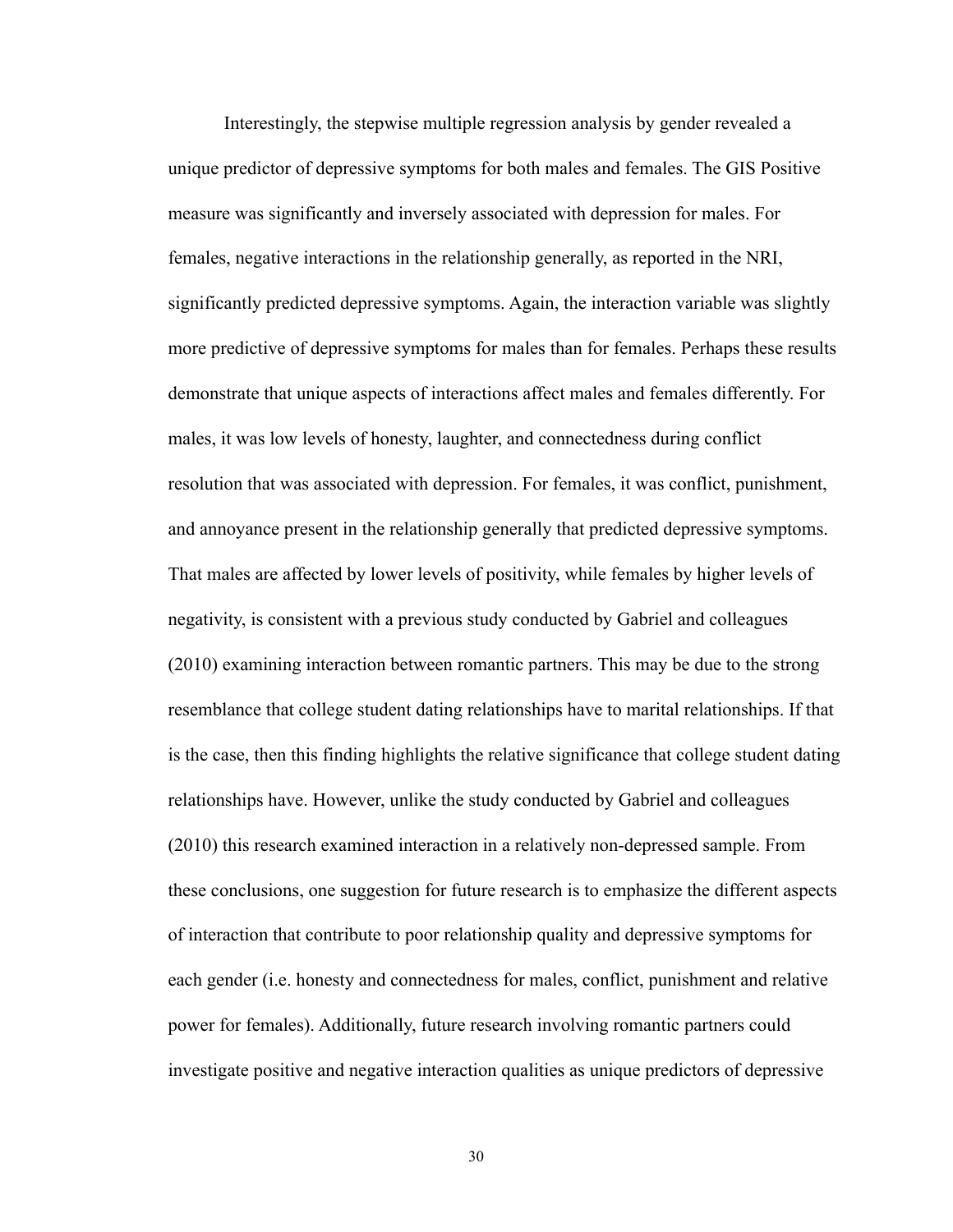Interestingly, the stepwise multiple regression analysis by gender revealed a unique predictor of depressive symptoms for both males and females. The GIS Positive measure was significantly and inversely associated with depression for males. For females, negative interactions in the relationship generally, as reported in the NRI, significantly predicted depressive symptoms. Again, the interaction variable was slightly more predictive of depressive symptoms for males than for females. Perhaps these results demonstrate that unique aspects of interactions affect males and females differently. For males, it was low levels of honesty, laughter, and connectedness during conflict resolution that was associated with depression. For females, it was conflict, punishment, and annoyance present in the relationship generally that predicted depressive symptoms. That males are affected by lower levels of positivity, while females by higher levels of negativity, is consistent with a previous study conducted by Gabriel and colleagues (2010) examining interaction between romantic partners. This may be due to the strong resemblance that college student dating relationships have to marital relationships. If that is the case, then this finding highlights the relative significance that college student dating relationships have. However, unlike the study conducted by Gabriel and colleagues (2010) this research examined interaction in a relatively non-depressed sample. From these conclusions, one suggestion for future research is to emphasize the different aspects of interaction that contribute to poor relationship quality and depressive symptoms for each gender (i.e. honesty and connectedness for males, conflict, punishment and relative power for females). Additionally, future research involving romantic partners could investigate positive and negative interaction qualities as unique predictors of depressive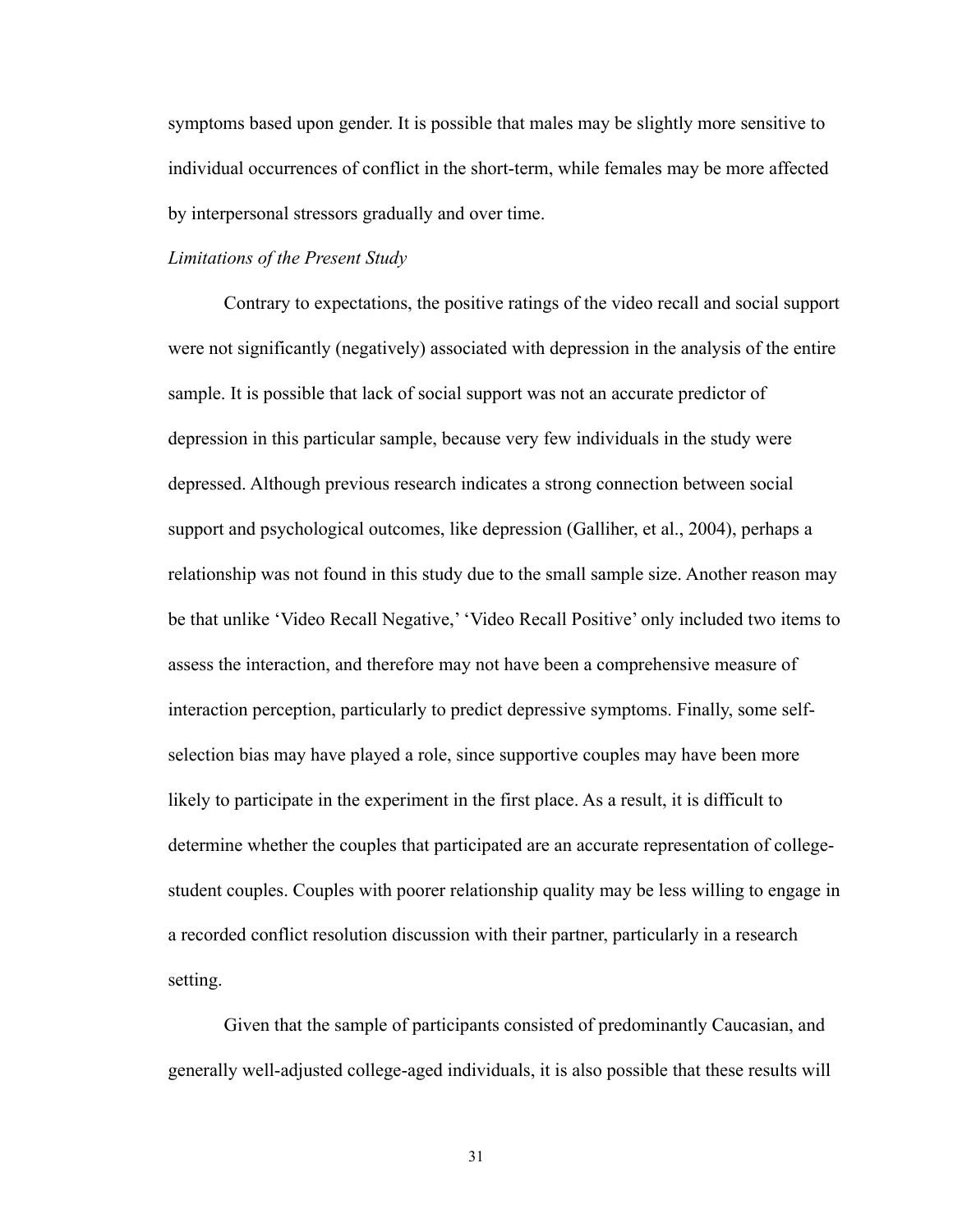symptoms based upon gender. It is possible that males may be slightly more sensitive to individual occurrences of conflict in the short-term, while females may be more affected by interpersonal stressors gradually and over time.

#### *Limitations of the Present Study*

 Contrary to expectations, the positive ratings of the video recall and social support were not significantly (negatively) associated with depression in the analysis of the entire sample. It is possible that lack of social support was not an accurate predictor of depression in this particular sample, because very few individuals in the study were depressed. Although previous research indicates a strong connection between social support and psychological outcomes, like depression (Galliher, et al., 2004), perhaps a relationship was not found in this study due to the small sample size. Another reason may be that unlike 'Video Recall Negative,' 'Video Recall Positive' only included two items to assess the interaction, and therefore may not have been a comprehensive measure of interaction perception, particularly to predict depressive symptoms. Finally, some selfselection bias may have played a role, since supportive couples may have been more likely to participate in the experiment in the first place. As a result, it is difficult to determine whether the couples that participated are an accurate representation of collegestudent couples. Couples with poorer relationship quality may be less willing to engage in a recorded conflict resolution discussion with their partner, particularly in a research setting.

 Given that the sample of participants consisted of predominantly Caucasian, and generally well-adjusted college-aged individuals, it is also possible that these results will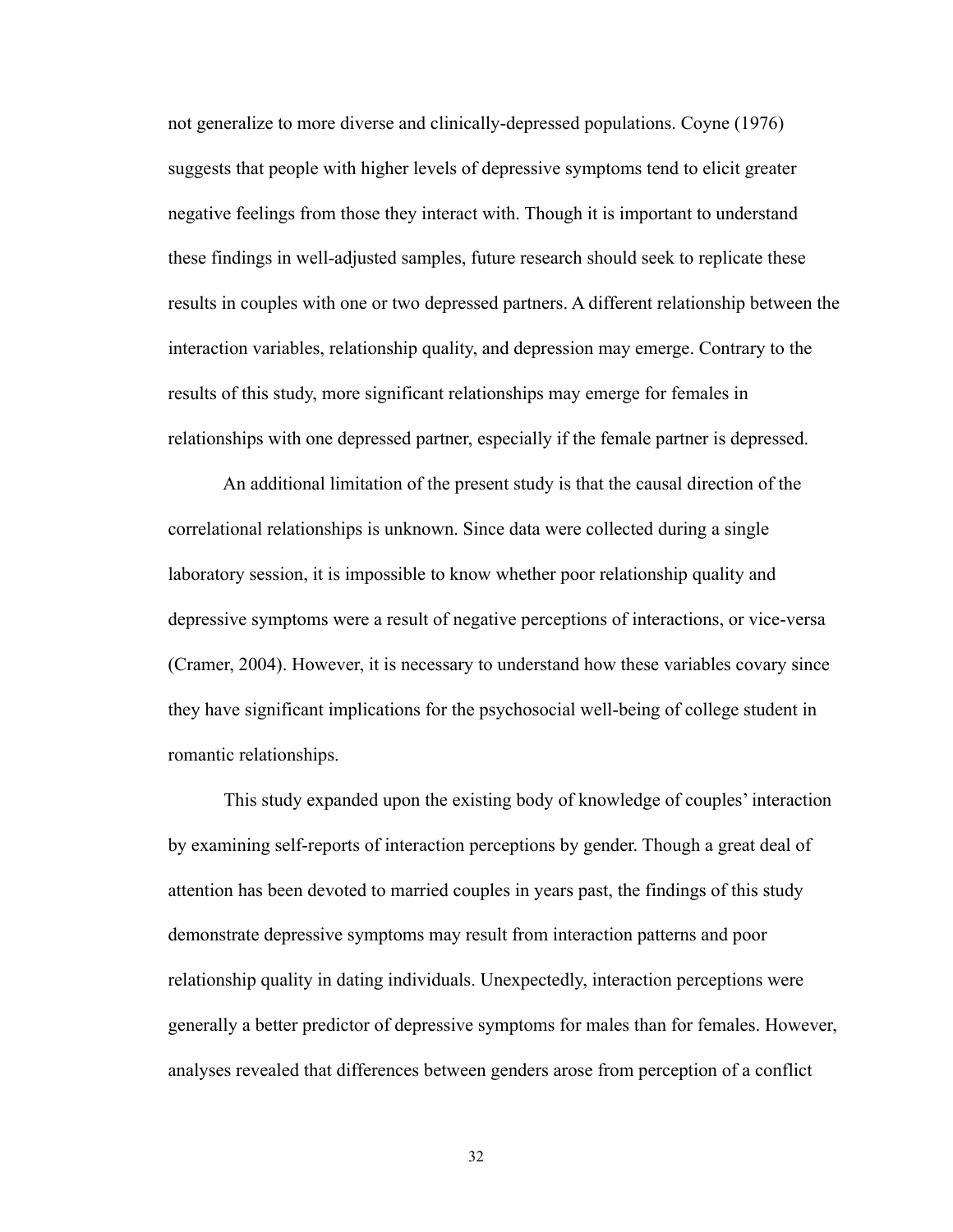not generalize to more diverse and clinically-depressed populations. Coyne (1976) suggests that people with higher levels of depressive symptoms tend to elicit greater negative feelings from those they interact with. Though it is important to understand these findings in well-adjusted samples, future research should seek to replicate these results in couples with one or two depressed partners. A different relationship between the interaction variables, relationship quality, and depression may emerge. Contrary to the results of this study, more significant relationships may emerge for females in relationships with one depressed partner, especially if the female partner is depressed.

 An additional limitation of the present study is that the causal direction of the correlational relationships is unknown. Since data were collected during a single laboratory session, it is impossible to know whether poor relationship quality and depressive symptoms were a result of negative perceptions of interactions, or vice-versa (Cramer, 2004). However, it is necessary to understand how these variables covary since they have significant implications for the psychosocial well-being of college student in romantic relationships.

 This study expanded upon the existing body of knowledge of couples' interaction by examining self-reports of interaction perceptions by gender. Though a great deal of attention has been devoted to married couples in years past, the findings of this study demonstrate depressive symptoms may result from interaction patterns and poor relationship quality in dating individuals. Unexpectedly, interaction perceptions were generally a better predictor of depressive symptoms for males than for females. However, analyses revealed that differences between genders arose from perception of a conflict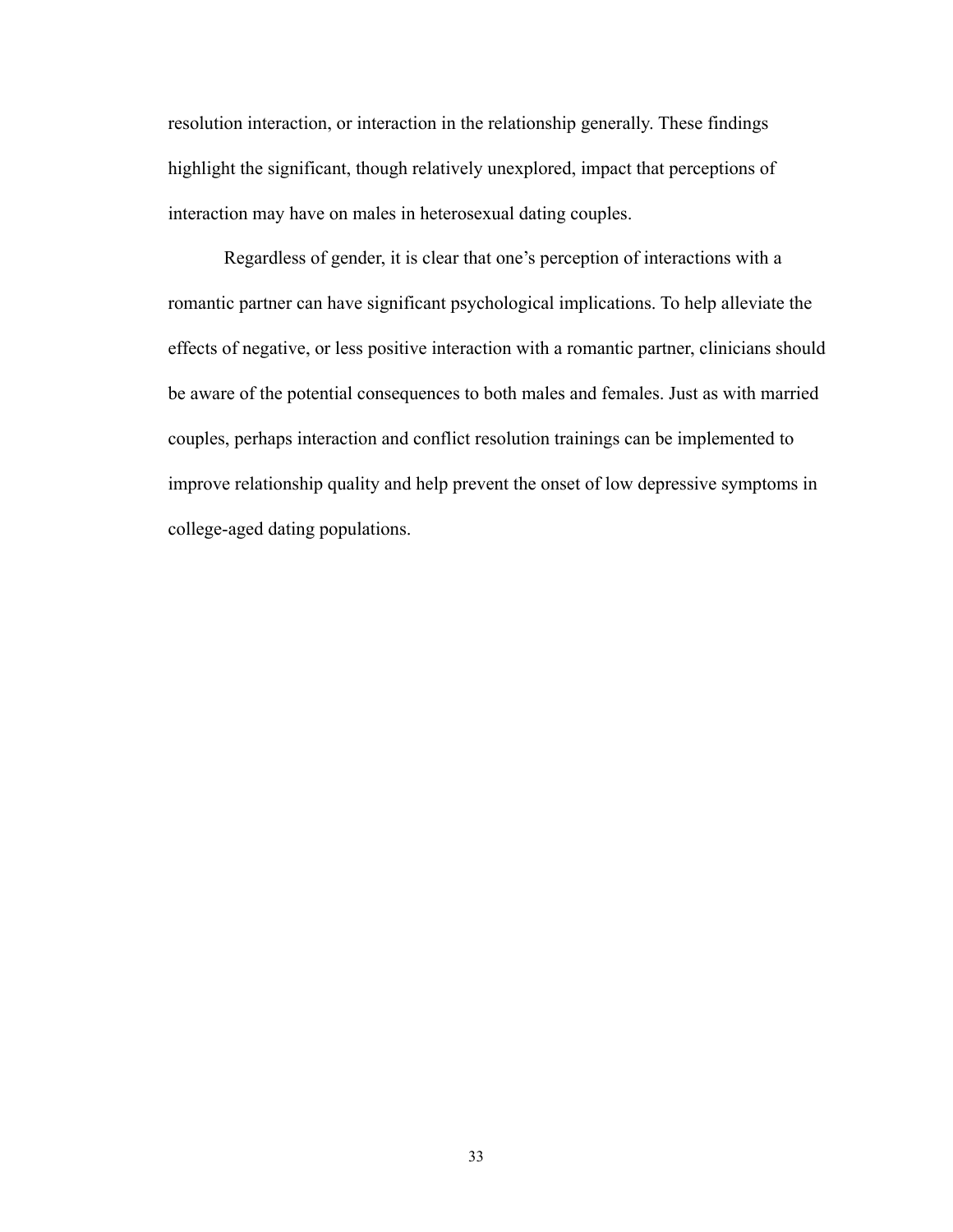resolution interaction, or interaction in the relationship generally. These findings highlight the significant, though relatively unexplored, impact that perceptions of interaction may have on males in heterosexual dating couples.

 Regardless of gender, it is clear that one's perception of interactions with a romantic partner can have significant psychological implications. To help alleviate the effects of negative, or less positive interaction with a romantic partner, clinicians should be aware of the potential consequences to both males and females. Just as with married couples, perhaps interaction and conflict resolution trainings can be implemented to improve relationship quality and help prevent the onset of low depressive symptoms in college-aged dating populations.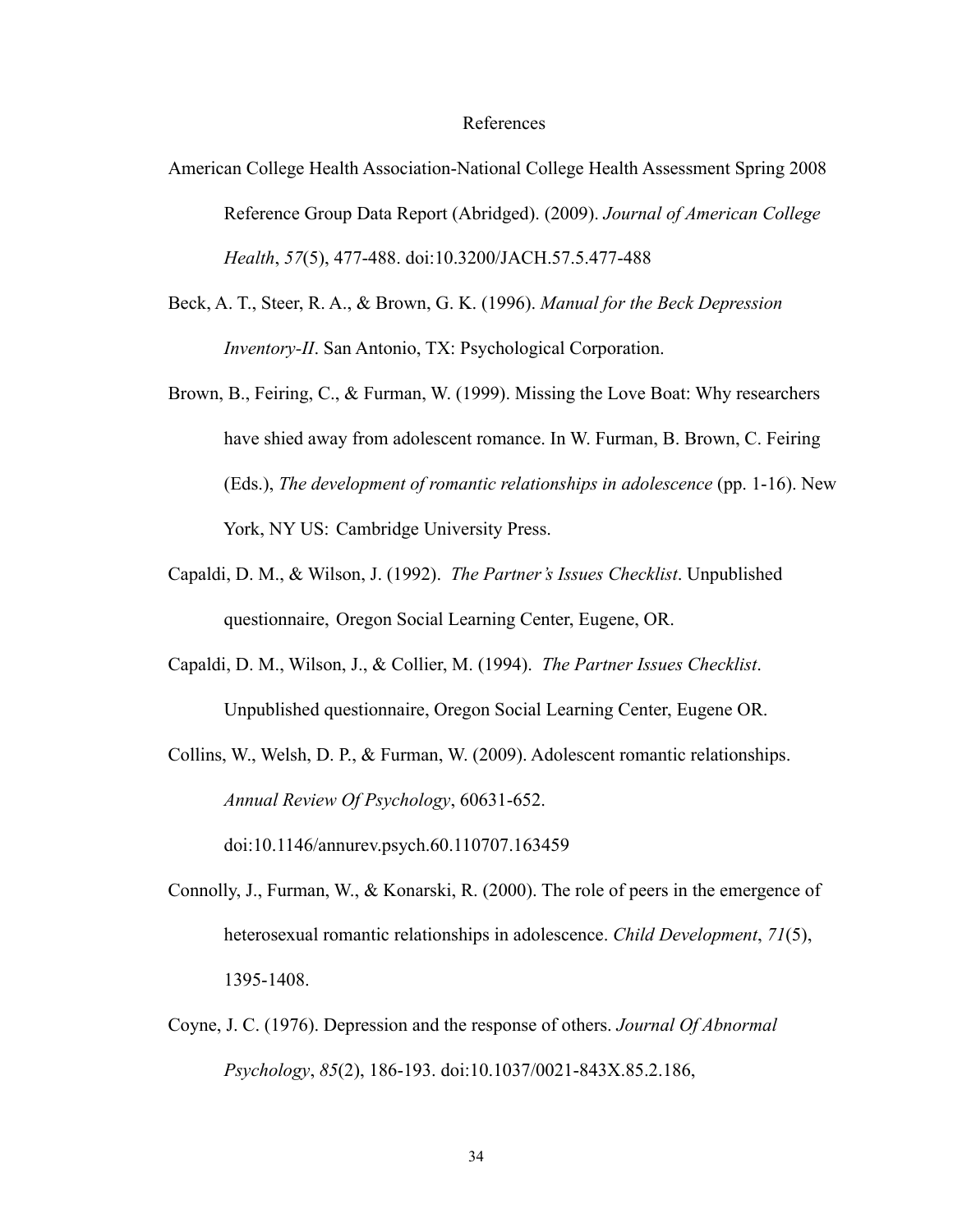#### References

- American College Health Association-National College Health Assessment Spring 2008 Reference Group Data Report (Abridged). (2009). *Journal of American College Health*, *57*(5), 477-488. doi:10.3200/JACH.57.5.477-488
- Beck, A. T., Steer, R. A., & Brown, G. K. (1996). *Manual for the Beck Depression Inventory-II*. San Antonio, TX: Psychological Corporation.
- Brown, B., Feiring, C., & Furman, W. (1999). Missing the Love Boat: Why researchers have shied away from adolescent romance. In W. Furman, B. Brown, C. Feiring (Eds.), *The development of romantic relationships in adolescence* (pp. 1-16). New York, NY US: Cambridge University Press.
- Capaldi, D. M., & Wilson, J. (1992). *The Partner's Issues Checklist*. Unpublished questionnaire, Oregon Social Learning Center, Eugene, OR.
- Capaldi, D. M., Wilson, J., & Collier, M. (1994). *The Partner Issues Checklist*. Unpublished questionnaire, Oregon Social Learning Center, Eugene OR.
- Collins, W., Welsh, D. P., & Furman, W. (2009). Adolescent romantic relationships. *Annual Review Of Psychology*, 60631-652.

doi:10.1146/annurev.psych.60.110707.163459

- Connolly, J., Furman, W., & Konarski, R. (2000). The role of peers in the emergence of heterosexual romantic relationships in adolescence. *Child Development*, *71*(5), 1395-1408.
- Coyne, J. C. (1976). Depression and the response of others. *Journal Of Abnormal Psychology*, *85*(2), 186-193. doi:10.1037/0021-843X.85.2.186,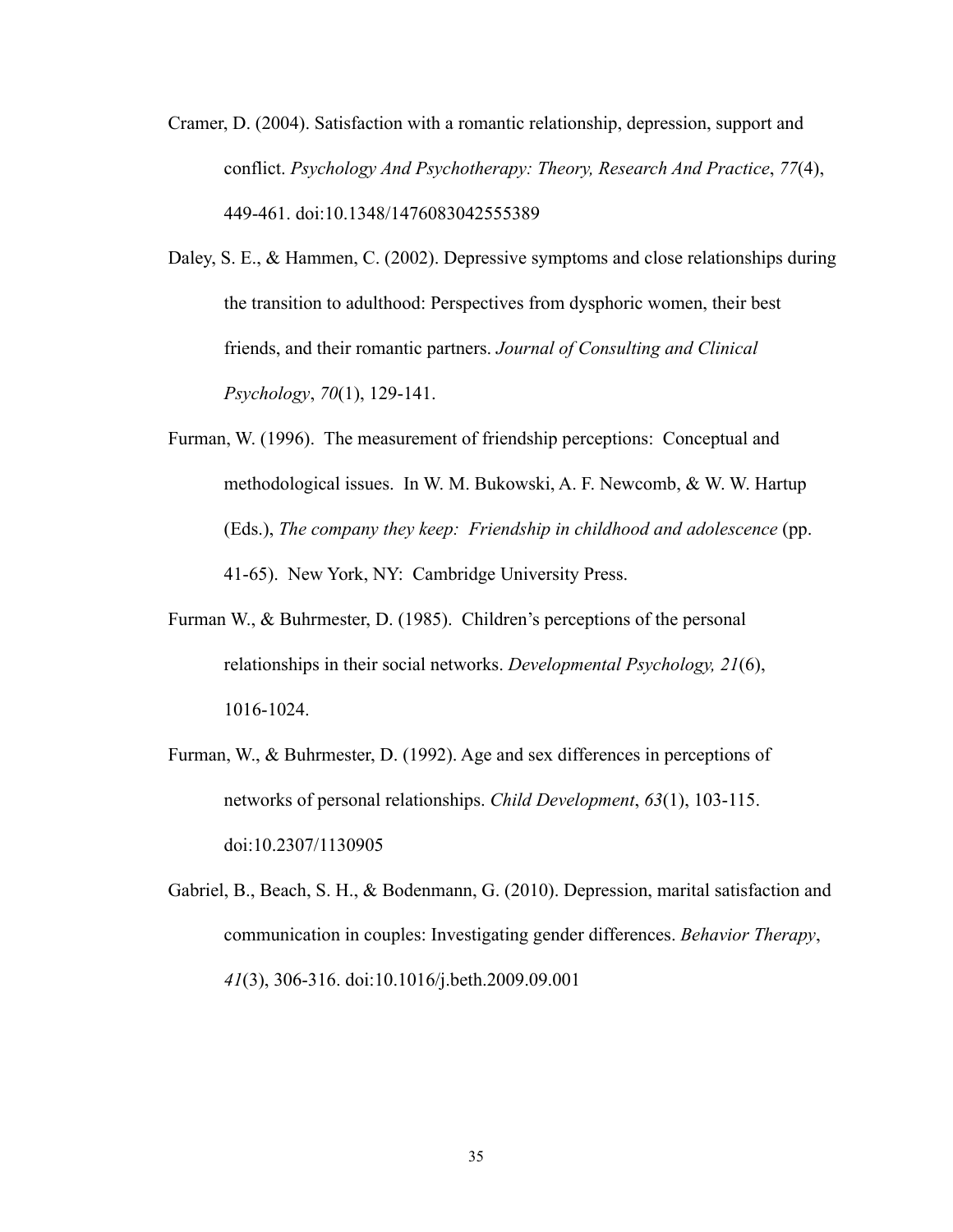- Cramer, D. (2004). Satisfaction with a romantic relationship, depression, support and conflict. *Psychology And Psychotherapy: Theory, Research And Practice*, *77*(4), 449-461. doi:10.1348/1476083042555389
- Daley, S. E., & Hammen, C. (2002). Depressive symptoms and close relationships during the transition to adulthood: Perspectives from dysphoric women, their best friends, and their romantic partners. *Journal of Consulting and Clinical Psychology*, *70*(1), 129-141.
- Furman, W. (1996). The measurement of friendship perceptions: Conceptual and methodological issues. In W. M. Bukowski, A. F. Newcomb, & W. W. Hartup (Eds.), *The company they keep: Friendship in childhood and adolescence* (pp. 41-65). New York, NY: Cambridge University Press.
- Furman W., & Buhrmester, D. (1985). Children's perceptions of the personal relationships in their social networks. *Developmental Psychology, 21*(6), 1016-1024.
- Furman, W., & Buhrmester, D. (1992). Age and sex differences in perceptions of networks of personal relationships. *Child Development*, *63*(1), 103-115. doi:10.2307/1130905
- Gabriel, B., Beach, S. H., & Bodenmann, G. (2010). Depression, marital satisfaction and communication in couples: Investigating gender differences. *Behavior Therapy*, *41*(3), 306-316. doi:10.1016/j.beth.2009.09.001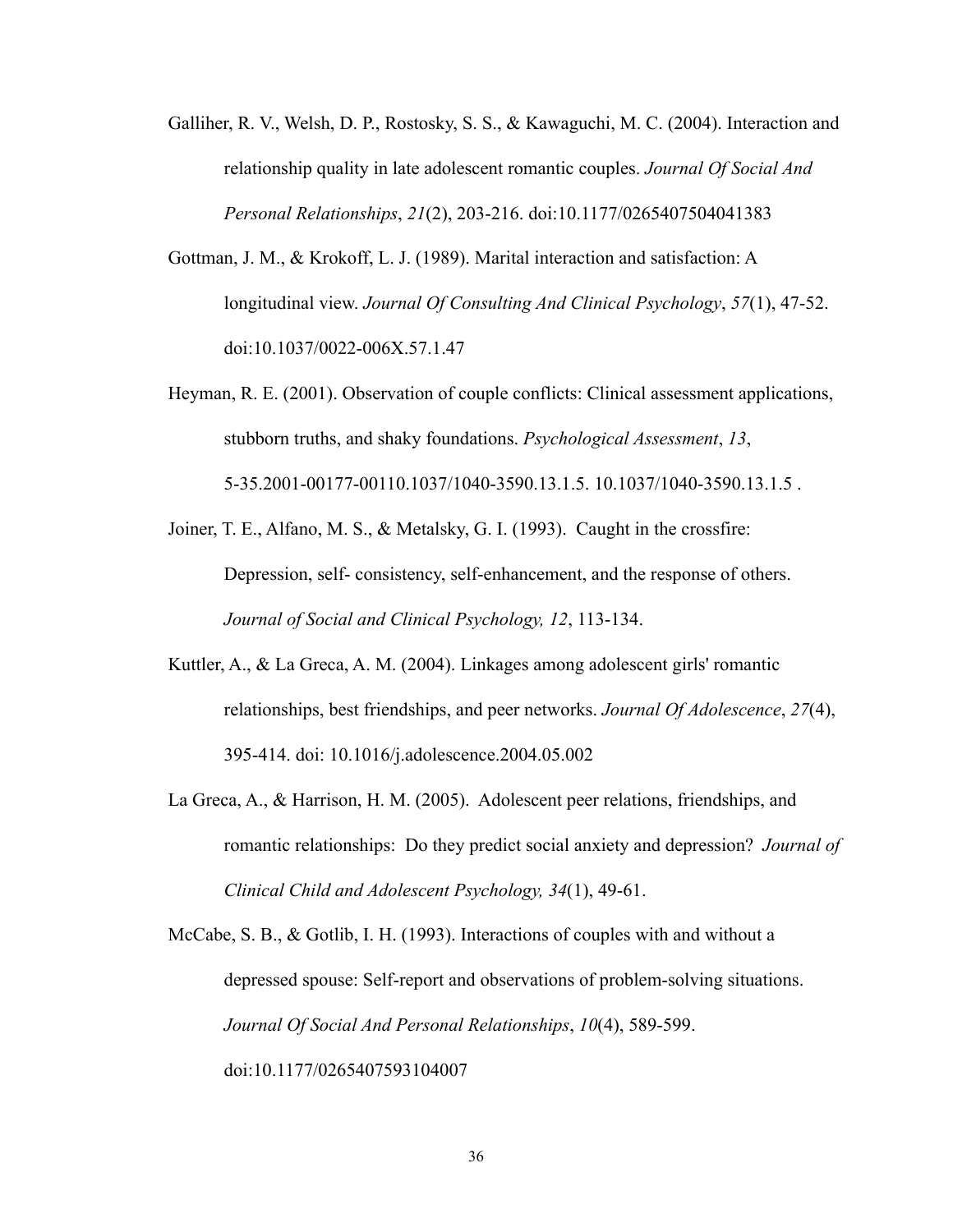- Galliher, R. V., Welsh, D. P., Rostosky, S. S., & Kawaguchi, M. C. (2004). Interaction and relationship quality in late adolescent romantic couples. *Journal Of Social And Personal Relationships*, *21*(2), 203-216. doi:10.1177/0265407504041383
- Gottman, J. M., & Krokoff, L. J. (1989). Marital interaction and satisfaction: A longitudinal view. *Journal Of Consulting And Clinical Psychology*, *57*(1), 47-52. doi:10.1037/0022-006X.57.1.47
- Heyman, R. E. (2001). Observation of couple conflicts: Clinical assessment applications, stubborn truths, and shaky foundations. *Psychological Assessment*, *13*, 5-35.2001-00177-00110.1037/1040-3590.13.1.5. [10.1037/1040-3590.13.1.5](http://dx.doi.org.prxy4.ursus.maine.edu/10.1037/1040-3590.13.1.5) .
- Joiner, T. E., Alfano, M. S., & Metalsky, G. I. (1993). Caught in the crossfire: Depression, self- consistency, self-enhancement, and the response of others. *Journal of Social and Clinical Psychology, 12*, 113-134.
- Kuttler, A., & La Greca, A. M. (2004). Linkages among adolescent girls' romantic relationships, best friendships, and peer networks. *Journal Of Adolescence*, *27*(4), 395-414. doi: 10.1016/j.adolescence.2004.05.002
- La Greca, A., & Harrison, H. M. (2005). Adolescent peer relations, friendships, and romantic relationships: Do they predict social anxiety and depression? *Journal of Clinical Child and Adolescent Psychology, 34*(1), 49-61.

McCabe, S. B., & Gotlib, I. H. (1993). Interactions of couples with and without a depressed spouse: Self-report and observations of problem-solving situations. *Journal Of Social And Personal Relationships*, *10*(4), 589-599. doi:10.1177/0265407593104007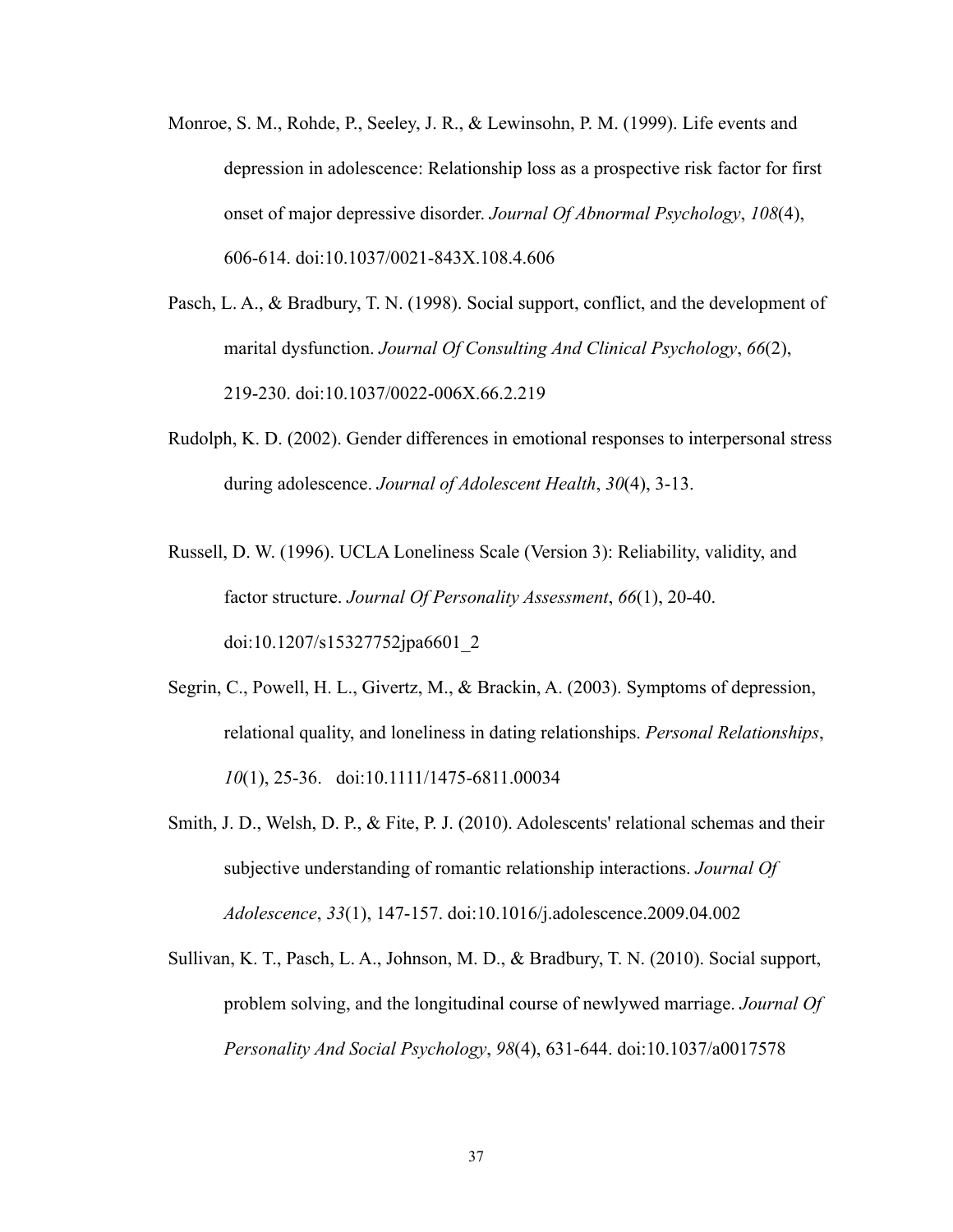- Monroe, S. M., Rohde, P., Seeley, J. R., & Lewinsohn, P. M. (1999). Life events and depression in adolescence: Relationship loss as a prospective risk factor for first onset of major depressive disorder. *Journal Of Abnormal Psychology*, *108*(4), 606-614. doi:10.1037/0021-843X.108.4.606
- Pasch, L. A., & Bradbury, T. N. (1998). Social support, conflict, and the development of marital dysfunction. *Journal Of Consulting And Clinical Psychology*, *66*(2), 219-230. doi:10.1037/0022-006X.66.2.219
- Rudolph, K. D. (2002). Gender differences in emotional responses to interpersonal stress during adolescence. *Journal of Adolescent Health*, *30*(4), 3-13.
- Russell, D. W. (1996). UCLA Loneliness Scale (Version 3): Reliability, validity, and factor structure. *Journal Of Personality Assessment*, *66*(1), 20-40. doi:10.1207/s15327752jpa6601\_2
- Segrin, C., Powell, H. L., Givertz, M., & Brackin, A. (2003). Symptoms of depression, relational quality, and loneliness in dating relationships. *Personal Relationships*, *10*(1), 25-36. doi:10.1111/1475-6811.00034
- Smith, J. D., Welsh, D. P., & Fite, P. J. (2010). Adolescents' relational schemas and their subjective understanding of romantic relationship interactions. *Journal Of Adolescence*, *33*(1), 147-157. doi:10.1016/j.adolescence.2009.04.002
- Sullivan, K. T., Pasch, L. A., Johnson, M. D., & Bradbury, T. N. (2010). Social support, problem solving, and the longitudinal course of newlywed marriage. *Journal Of Personality And Social Psychology*, *98*(4), 631-644. doi:10.1037/a0017578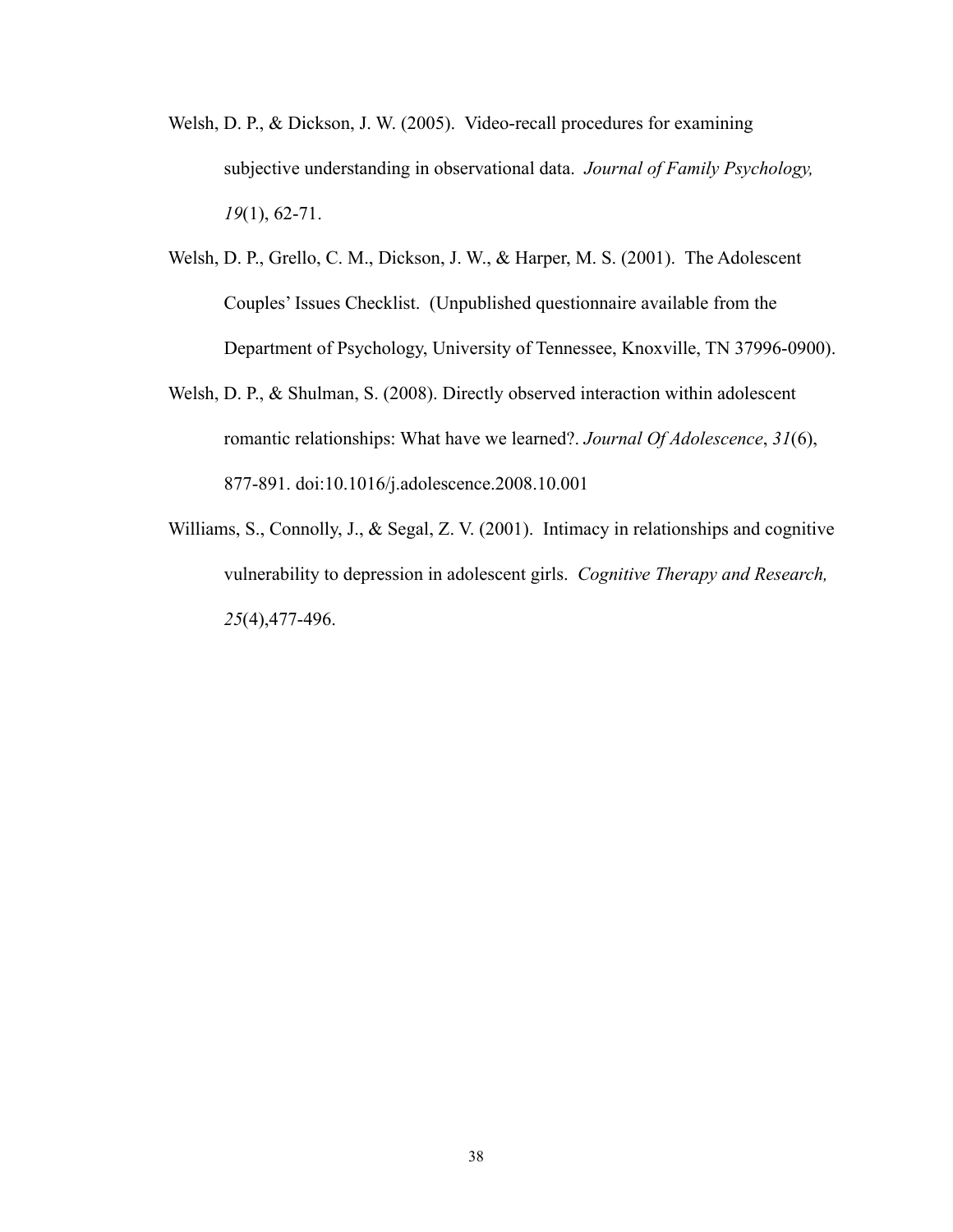- Welsh, D. P., & Dickson, J. W. (2005). Video-recall procedures for examining subjective understanding in observational data. *Journal of Family Psychology, 19*(1), 62-71.
- Welsh, D. P., Grello, C. M., Dickson, J. W., & Harper, M. S. (2001). The Adolescent Couples' Issues Checklist. (Unpublished questionnaire available from the Department of Psychology, University of Tennessee, Knoxville, TN 37996-0900).
- Welsh, D. P., & Shulman, S. (2008). Directly observed interaction within adolescent romantic relationships: What have we learned?. *Journal Of Adolescence*, *31*(6), 877-891. doi:10.1016/j.adolescence.2008.10.001
- Williams, S., Connolly, J., & Segal, Z. V. (2001). Intimacy in relationships and cognitive vulnerability to depression in adolescent girls. *Cognitive Therapy and Research, 25*(4),477-496.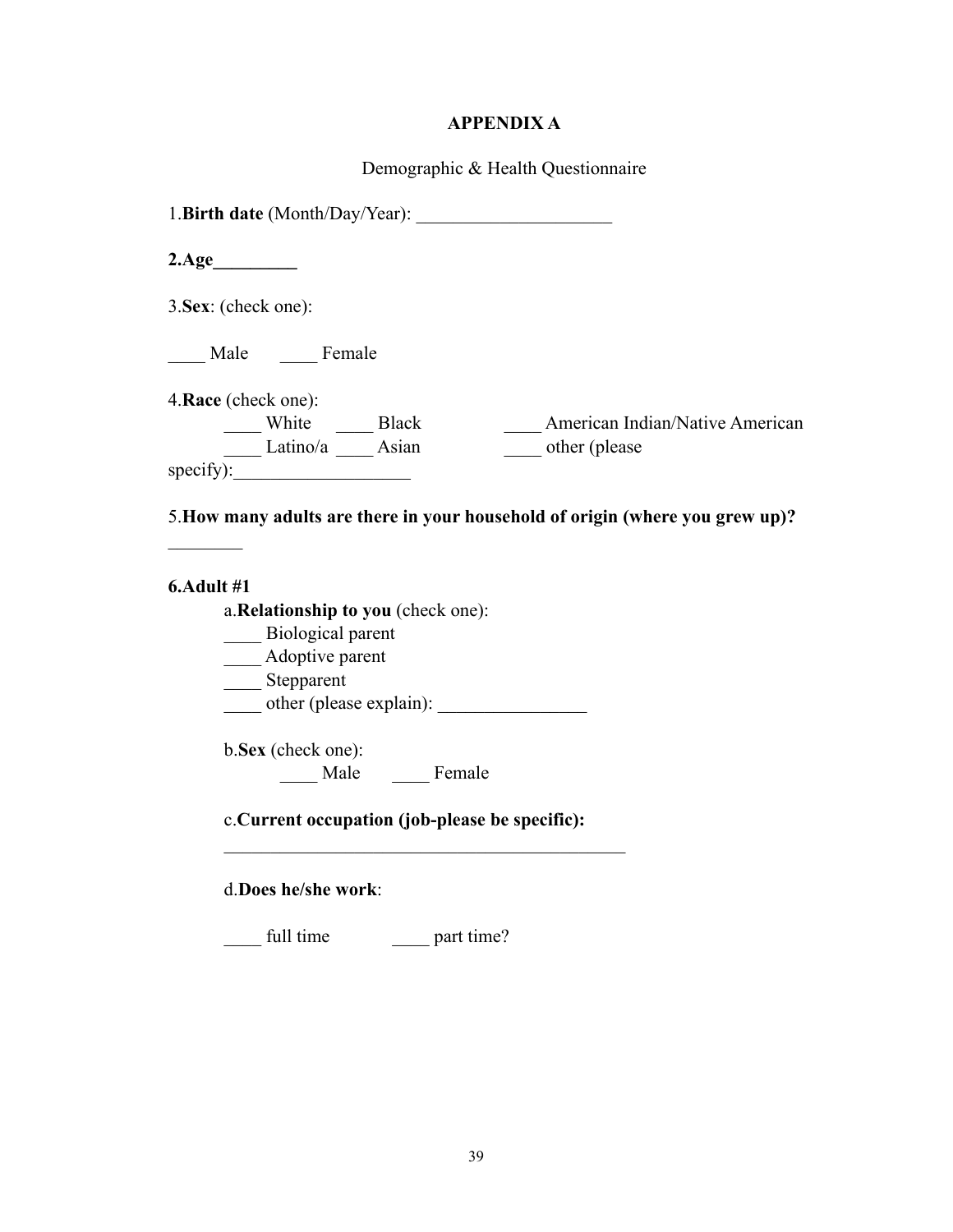# **APPENDIX A**

Demographic & Health Questionnaire

| 1. Birth date (Month/Day/Year):                                                                                                                                       |
|-----------------------------------------------------------------------------------------------------------------------------------------------------------------------|
| $2.\text{Age}$                                                                                                                                                        |
| 3. Sex: (check one):                                                                                                                                                  |
| Male Female                                                                                                                                                           |
| 4. Race (check one):                                                                                                                                                  |
| $\underbrace{\hspace{2cm}}$ White $\underbrace{\hspace{2cm}}$ Black<br>Latino/a $\underbrace{\hspace{2cm}}$ Asian<br>American Indian/Native American<br>other (please |
| specify):                                                                                                                                                             |
| 5. How many adults are there in your household of origin (where you grew up)?                                                                                         |
| 6.Adult #1                                                                                                                                                            |
| a. Relationship to you (check one):<br>Biological parent                                                                                                              |
| ___ Adoptive parent                                                                                                                                                   |
| Stepparent                                                                                                                                                            |
|                                                                                                                                                                       |
| b.Sex (check one):                                                                                                                                                    |
| Male Female                                                                                                                                                           |
| c. Current occupation (job-please be specific):                                                                                                                       |
| d.Does he/she work:                                                                                                                                                   |
| full time part time?                                                                                                                                                  |
|                                                                                                                                                                       |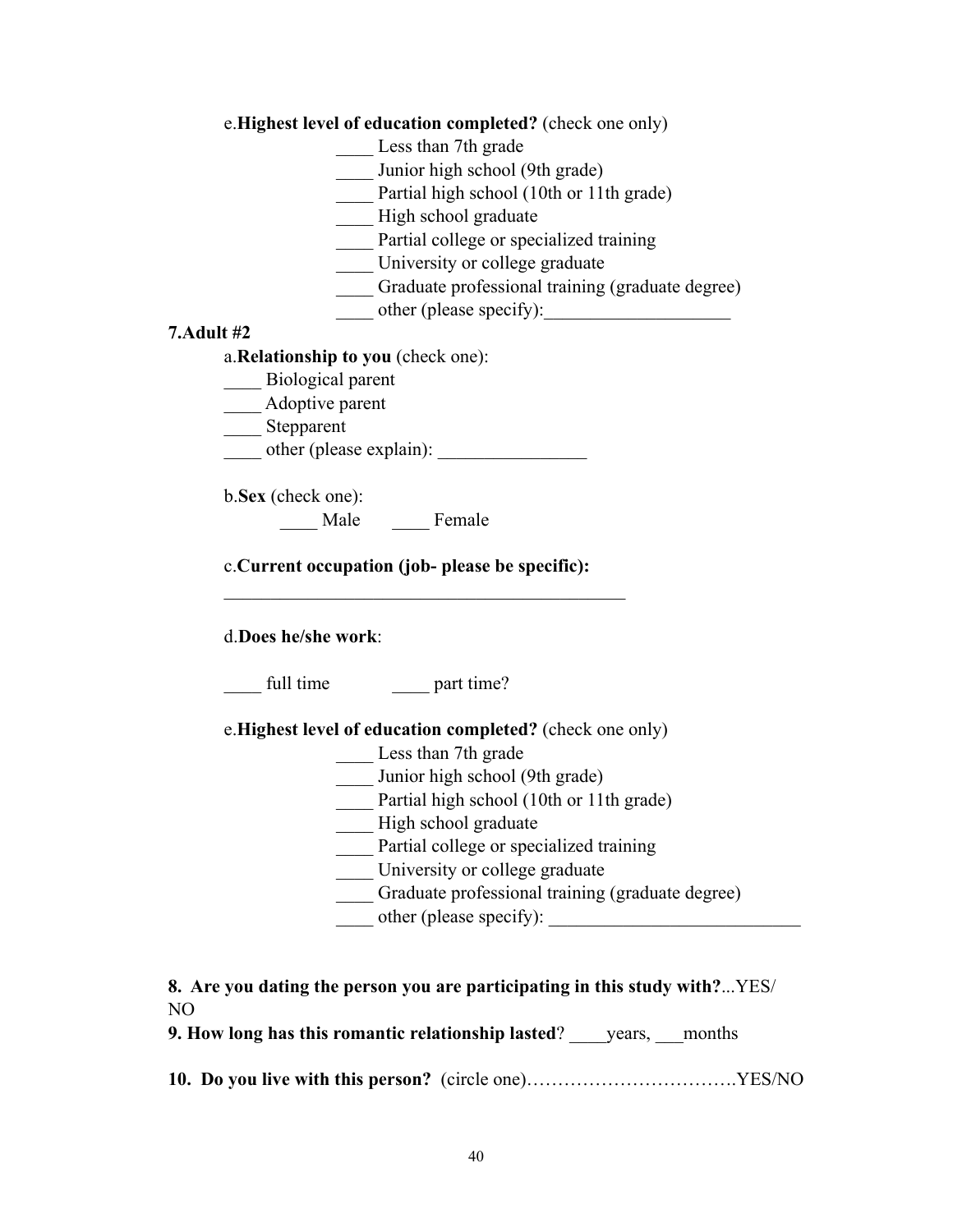| e. Highest level of education completed? (check one only) |  |
|-----------------------------------------------------------|--|
|-----------------------------------------------------------|--|

Less than 7th grade

- Junior high school (9th grade)
- Partial high school (10th or 11th grade)
- \_\_\_\_ High school graduate
- Partial college or specialized training
- \_\_\_\_ University or college graduate
- \_\_\_\_ Graduate professional training (graduate degree)
- $\longrightarrow$  other (please specify):

### **7.Adult #2**

### a.**Relationship to you** (check one):

- \_\_\_\_ Biological parent
- \_\_\_\_ Adoptive parent
- \_\_\_\_\_ Stepparent
- other (please explain):
- b.**Sex** (check one):
	- \_\_\_\_ Male \_\_\_\_ Female

c.**Current occupation (job- please be specific):**

 $\mathcal{L}_\text{max}$  , and the contract of the contract of the contract of the contract of the contract of the contract of the contract of the contract of the contract of the contract of the contract of the contract of the contr

### d.**Does he/she work**:

full time  $part time?$ 

e.**Highest level of education completed?** (check one only)

- Less than 7th grade
- \_\_\_\_ Junior high school (9th grade)
- Partial high school (10th or 11th grade)
- \_\_\_\_ High school graduate
- Partial college or specialized training
- \_\_\_\_ University or college graduate
- \_\_\_\_ Graduate professional training (graduate degree)
- other (please specify):

| 8. Are you dating the person you are participating in this study with?YES/ |  |
|----------------------------------------------------------------------------|--|
| NO.                                                                        |  |

| 9. How long has this romantic relationship lasted?<br>vears. | months |
|--------------------------------------------------------------|--------|
|--------------------------------------------------------------|--------|

**10. Do you live with this person?** (circle one)…………………………….YES/NO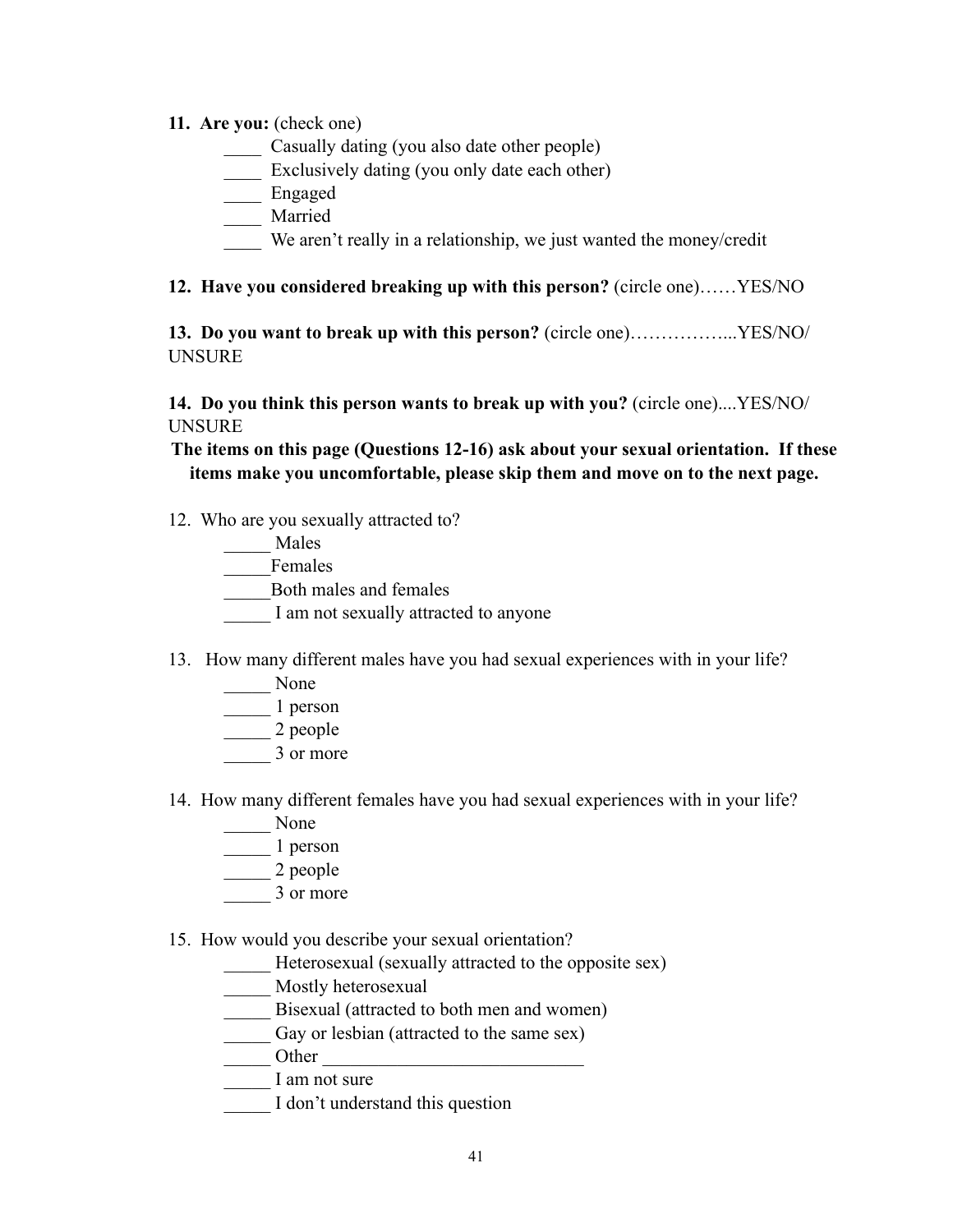### **11. Are you:** (check one)

- Casually dating (you also date other people)
- \_\_\_\_ Exclusively dating (you only date each other)
- \_\_\_\_ Engaged
- \_\_\_\_ Married
- We aren't really in a relationship, we just wanted the money/credit

### **12. Have you considered breaking up with this person?** (circle one)……YES/NO

**13. Do you want to break up with this person?** (circle one)……………...YES/NO/ UNSURE

**14. Do you think this person wants to break up with you?** (circle one)....YES/NO/ UNSURE

**The items on this page (Questions 12-16) ask about your sexual orientation. If these items make you uncomfortable, please skip them and move on to the next page.** 

12. Who are you sexually attracted to?

| Males                  |
|------------------------|
| Females                |
| Both males and females |

- I am not sexually attracted to anyone
- 13. How many different males have you had sexual experiences with in your life?
	- \_\_\_\_\_ None
	- $\frac{1}{2}$  person
	- $\frac{1}{2}$  people
	- \_\_\_\_\_ 3 or more
- 14. How many different females have you had sexual experiences with in your life?
	- \_\_\_\_\_ None
	- $\frac{1}{1}$  person
	- \_\_\_\_\_ 2 people
	- \_\_\_\_\_ 3 or more
- 15. How would you describe your sexual orientation?
	- \_\_\_\_\_ Heterosexual (sexually attracted to the opposite sex)
	- \_\_\_\_\_ Mostly heterosexual
	- Bisexual (attracted to both men and women)
	- \_\_\_\_\_ Gay or lesbian (attracted to the same sex)
	- Other  $\Box$
	- I am not sure
	- I don't understand this question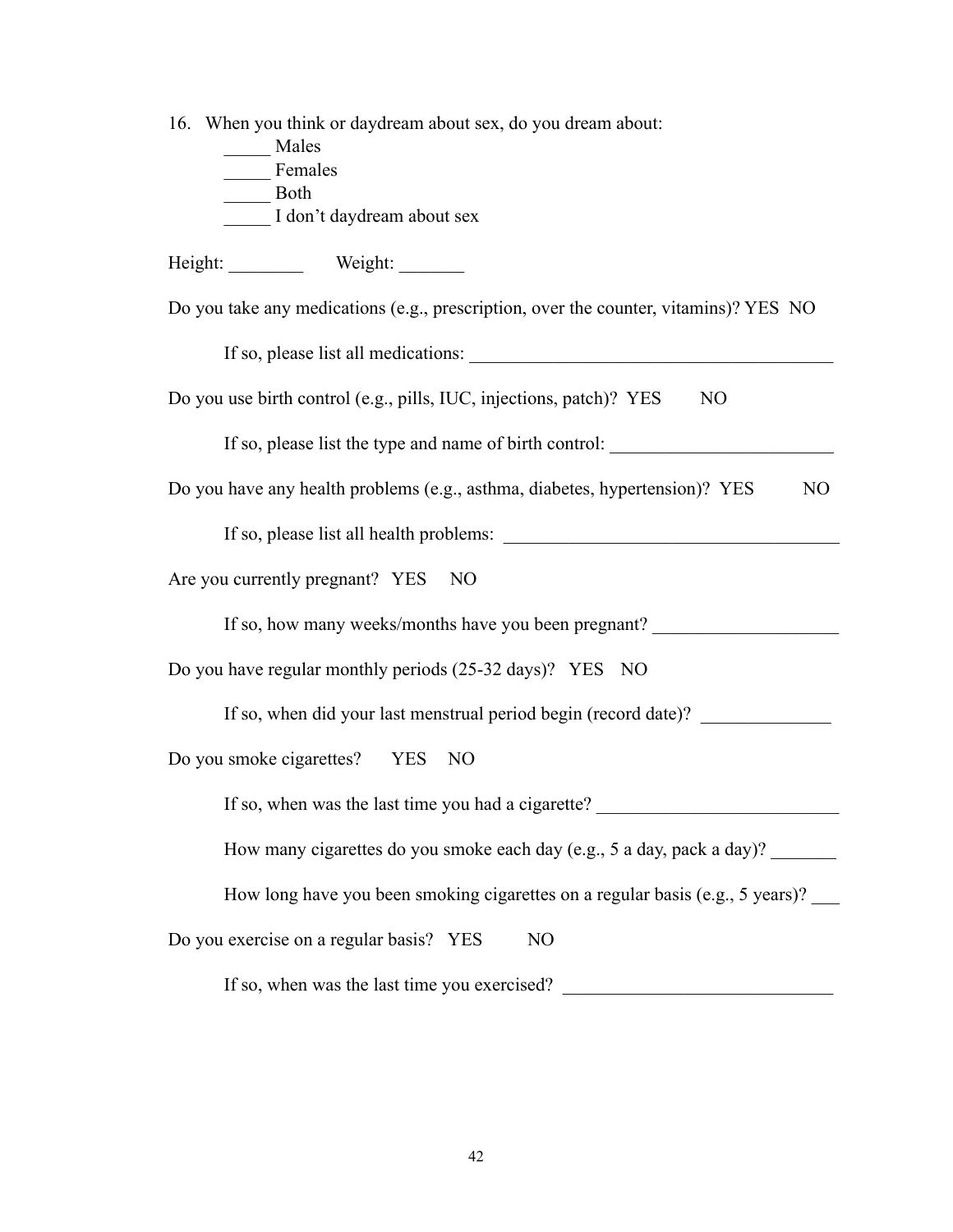16. When you think or daydream about sex, do you dream about:

| Males                                                                                         |
|-----------------------------------------------------------------------------------------------|
| Females                                                                                       |
| Both                                                                                          |
| I don't daydream about sex                                                                    |
| Height: Weight: Weight:                                                                       |
| Do you take any medications (e.g., prescription, over the counter, vitamins)? YES NO          |
|                                                                                               |
| Do you use birth control (e.g., pills, IUC, injections, patch)? YES<br>N <sub>O</sub>         |
| If so, please list the type and name of birth control:                                        |
| Do you have any health problems (e.g., asthma, diabetes, hypertension)? YES<br>N <sub>O</sub> |
|                                                                                               |
| Are you currently pregnant? YES NO                                                            |
| If so, how many weeks/months have you been pregnant?                                          |
| Do you have regular monthly periods (25-32 days)? YES NO                                      |
| If so, when did your last menstrual period begin (record date)? ________________              |
| Do you smoke cigarettes? YES NO                                                               |
| If so, when was the last time you had a cigarette?                                            |
| How many cigarettes do you smoke each day (e.g., 5 a day, pack a day)?                        |
| How long have you been smoking cigarettes on a regular basis (e.g., 5 years)?                 |
| Do you exercise on a regular basis? YES<br>N <sub>O</sub>                                     |
| If so, when was the last time you exercised?                                                  |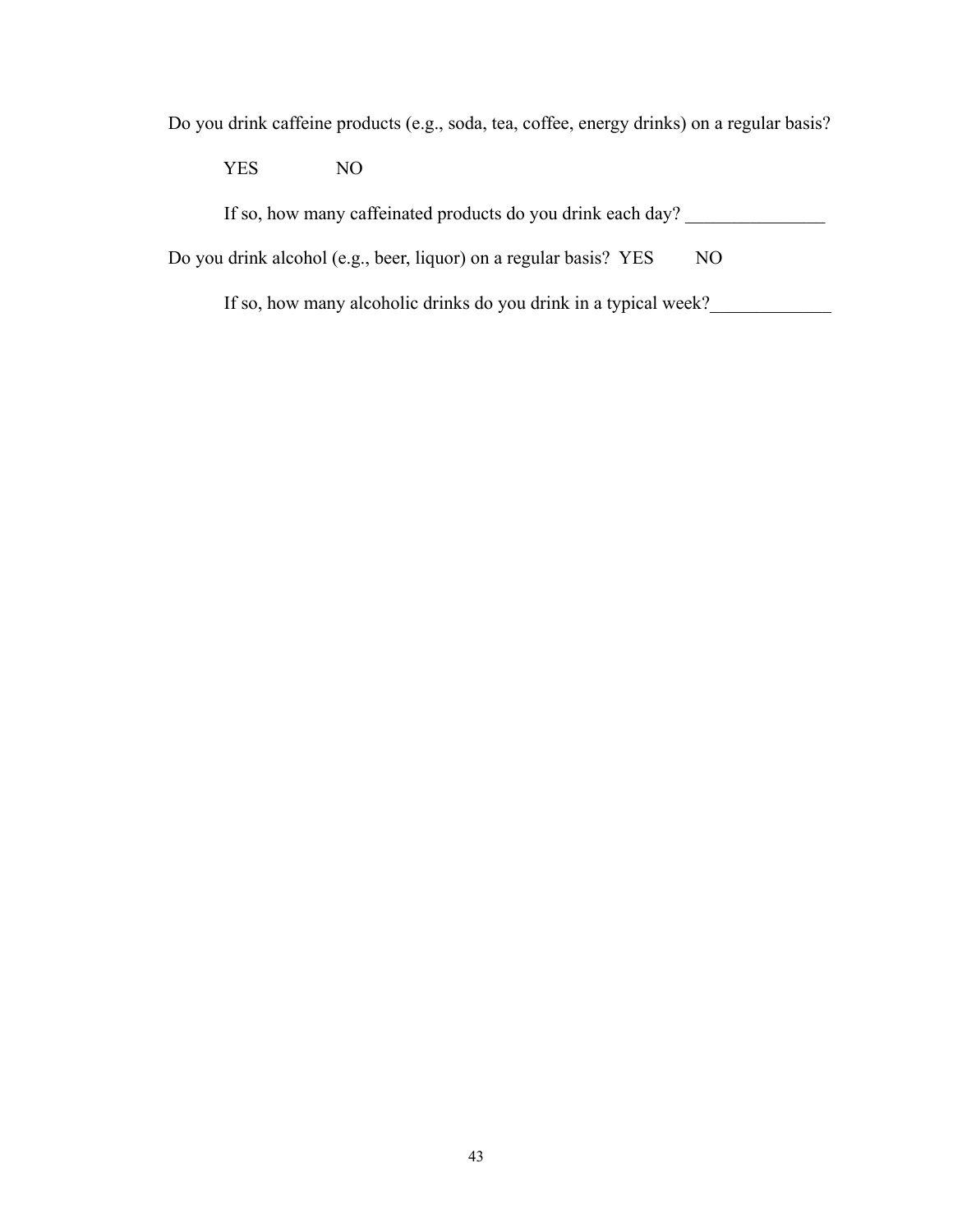Do you drink caffeine products (e.g., soda, tea, coffee, energy drinks) on a regular basis?

YES NO

| If so, how many caffeinated products do you drink each day? |
|-------------------------------------------------------------|
|                                                             |

Do you drink alcohol (e.g., beer, liquor) on a regular basis? YES NO

If so, how many alcoholic drinks do you drink in a typical week?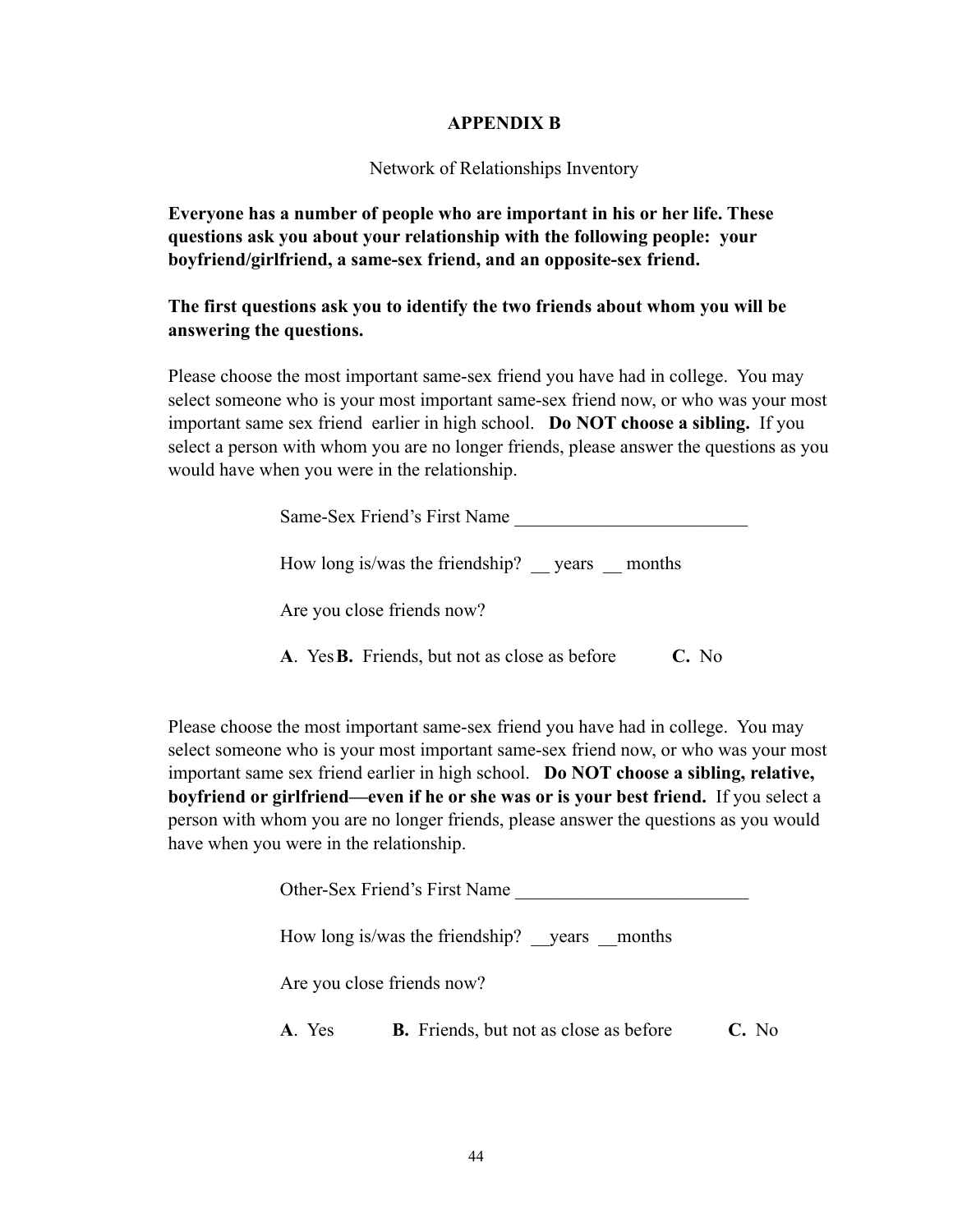### **APPENDIX B**

### Network of Relationships Inventory

**Everyone has a number of people who are important in his or her life. These questions ask you about your relationship with the following people: your boyfriend/girlfriend, a same-sex friend, and an opposite-sex friend.** 

### **The first questions ask you to identify the two friends about whom you will be answering the questions.**

Please choose the most important same-sex friend you have had in college. You may select someone who is your most important same-sex friend now, or who was your most important same sex friend earlier in high school. **Do NOT choose a sibling.** If you select a person with whom you are no longer friends, please answer the questions as you would have when you were in the relationship.

| Same-Sex Friend's First Name |
|------------------------------|
|------------------------------|

How long is/was the friendship? \_\_ years \_\_ months

Are you close friends now?

**A**. Yes **B.** Friends, but not as close as before **C.** No

Please choose the most important same-sex friend you have had in college. You may select someone who is your most important same-sex friend now, or who was your most important same sex friend earlier in high school. **Do NOT choose a sibling, relative, boyfriend or girlfriend—even if he or she was or is your best friend.** If you select a person with whom you are no longer friends, please answer the questions as you would have when you were in the relationship.

|       | Other-Sex Friend's First Name                 |       |
|-------|-----------------------------------------------|-------|
|       | How long is/was the friendship? years months  |       |
|       | Are you close friends now?                    |       |
| A Yes | <b>B.</b> Friends, but not as close as before | C. No |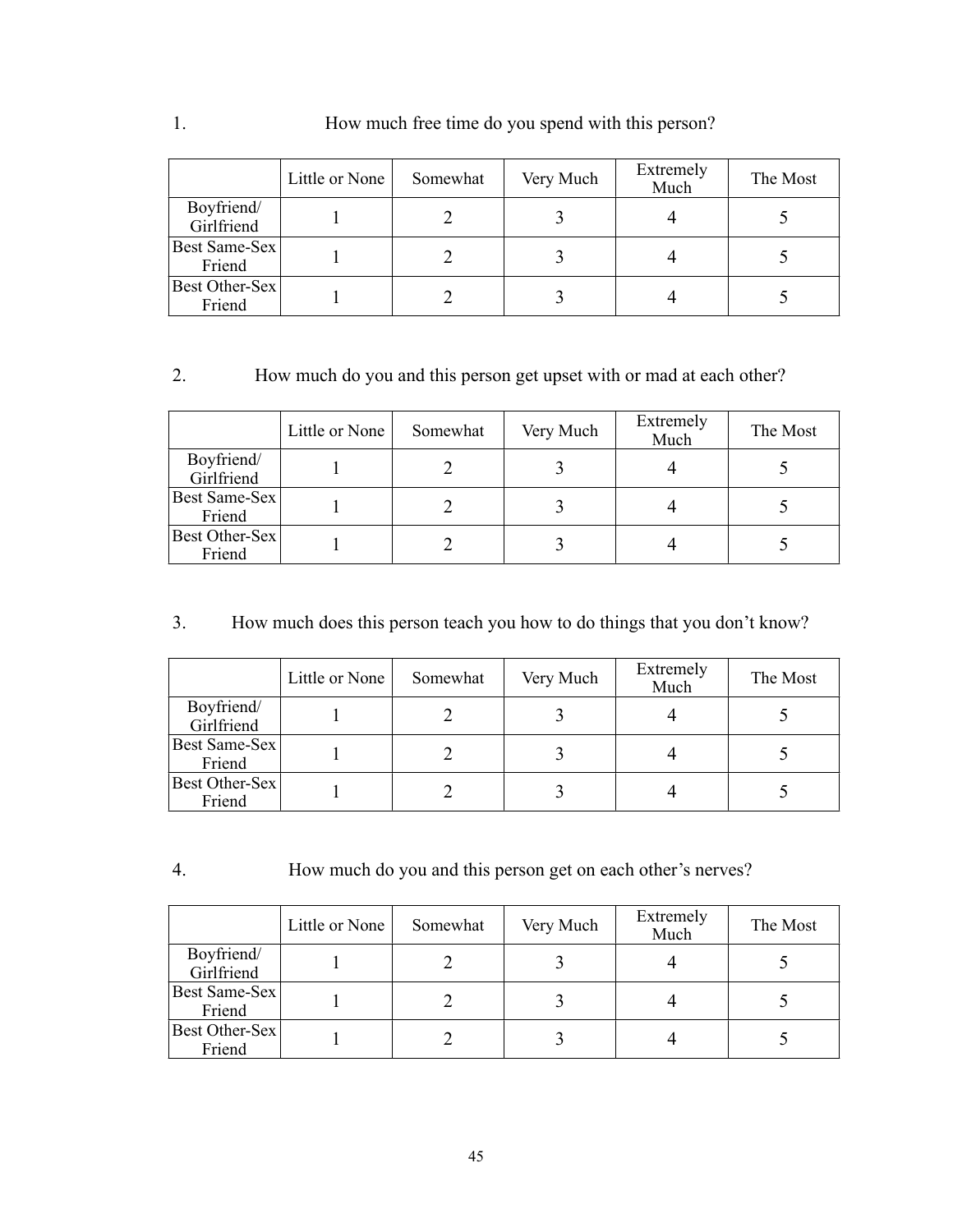|                          | Little or None | Somewhat | Very Much | Extremely<br>Much | The Most |
|--------------------------|----------------|----------|-----------|-------------------|----------|
| Boyfriend/<br>Girlfriend |                |          |           |                   |          |
| Best Same-Sex<br>Friend  |                |          |           |                   |          |
| Best Other-Sex<br>Friend |                |          |           |                   |          |

### 2. How much do you and this person get upset with or mad at each other?

|                          | Little or None | Somewhat | Very Much | Extremely<br>Much | The Most |
|--------------------------|----------------|----------|-----------|-------------------|----------|
| Boyfriend/<br>Girlfriend |                |          |           |                   |          |
| Best Same-Sex<br>Friend  |                |          |           |                   |          |
| Best Other-Sex<br>Friend |                |          |           |                   |          |

# 3. How much does this person teach you how to do things that you don't know?

|                          | Little or None | Somewhat | Very Much | Extremely<br>Much | The Most |
|--------------------------|----------------|----------|-----------|-------------------|----------|
| Boyfriend/<br>Girlfriend |                |          |           |                   |          |
| Best Same-Sex<br>Friend  |                |          |           |                   |          |
| Best Other-Sex<br>Friend |                |          |           |                   |          |

4. How much do you and this person get on each other's nerves?

|                          | Little or None | Somewhat | Very Much | Extremely<br>Much | The Most |
|--------------------------|----------------|----------|-----------|-------------------|----------|
| Boyfriend/<br>Girlfriend |                |          |           |                   |          |
| Best Same-Sex<br>Friend  |                |          |           |                   |          |
| Best Other-Sex<br>Friend |                |          |           |                   |          |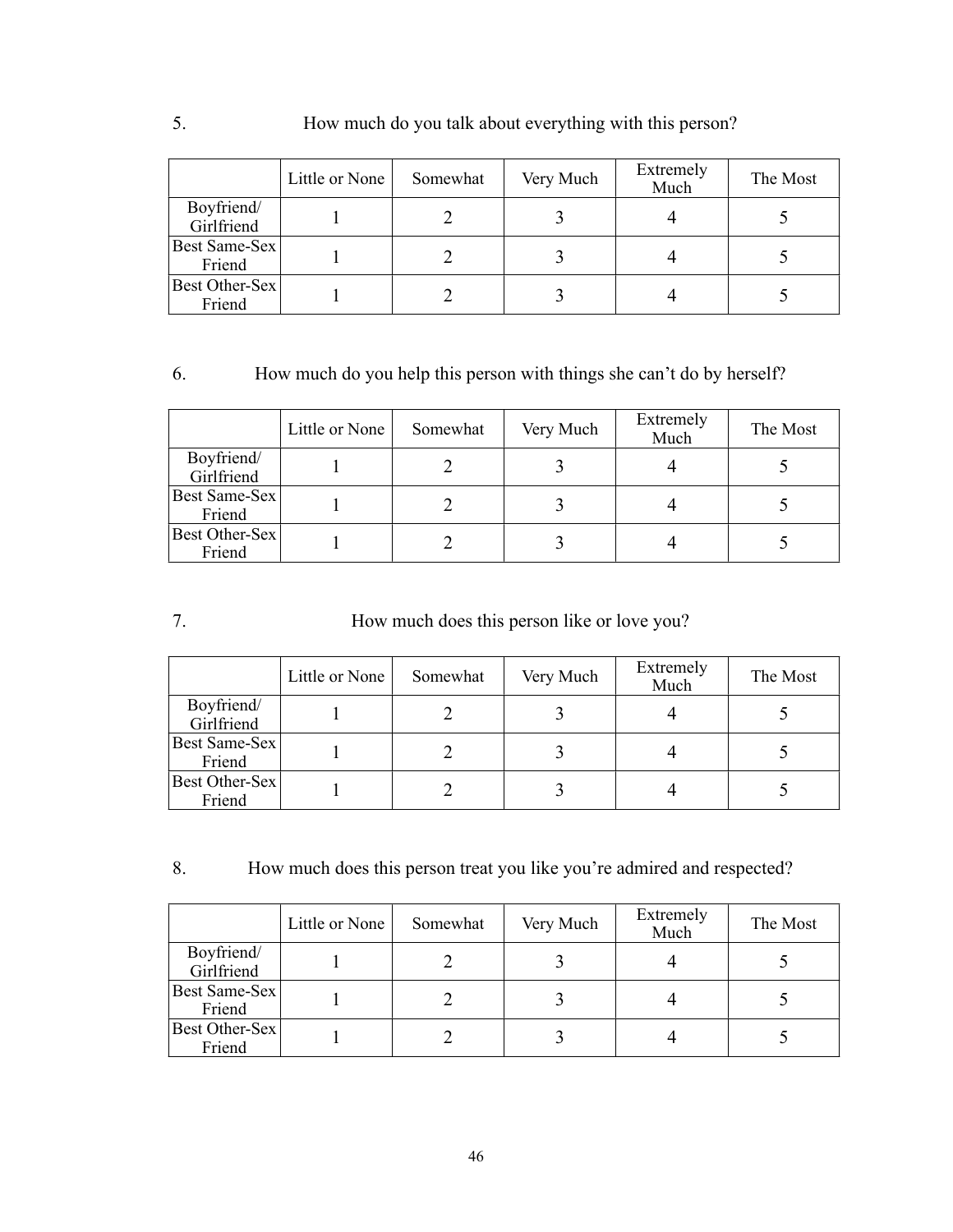|                          | Little or None | Somewhat | Very Much | Extremely<br>Much | The Most |
|--------------------------|----------------|----------|-----------|-------------------|----------|
| Boyfriend/<br>Girlfriend |                |          |           |                   |          |
| Best Same-Sex<br>Friend  |                |          |           |                   |          |
| Best Other-Sex<br>Friend |                |          |           |                   |          |

# 6. How much do you help this person with things she can't do by herself?

|                          | Little or None | Somewhat | Very Much | Extremely<br>Much | The Most |
|--------------------------|----------------|----------|-----------|-------------------|----------|
| Boyfriend/<br>Girlfriend |                |          |           |                   |          |
| Best Same-Sex<br>Friend  |                |          |           |                   |          |
| Best Other-Sex<br>Friend |                |          |           |                   |          |

# 7. How much does this person like or love you?

|                          | Little or None | Somewhat | Very Much | Extremely<br>Much | The Most |
|--------------------------|----------------|----------|-----------|-------------------|----------|
| Boyfriend/<br>Girlfriend |                |          |           |                   |          |
| Best Same-Sex<br>Friend  |                |          |           |                   |          |
| Best Other-Sex<br>Friend |                |          |           |                   |          |

8. How much does this person treat you like you're admired and respected?

|                          | Little or None | Somewhat | Very Much | Extremely<br>Much | The Most |
|--------------------------|----------------|----------|-----------|-------------------|----------|
| Boyfriend/<br>Girlfriend |                |          |           |                   |          |
| Best Same-Sex<br>Friend  |                |          |           |                   |          |
| Best Other-Sex<br>Friend |                |          |           |                   |          |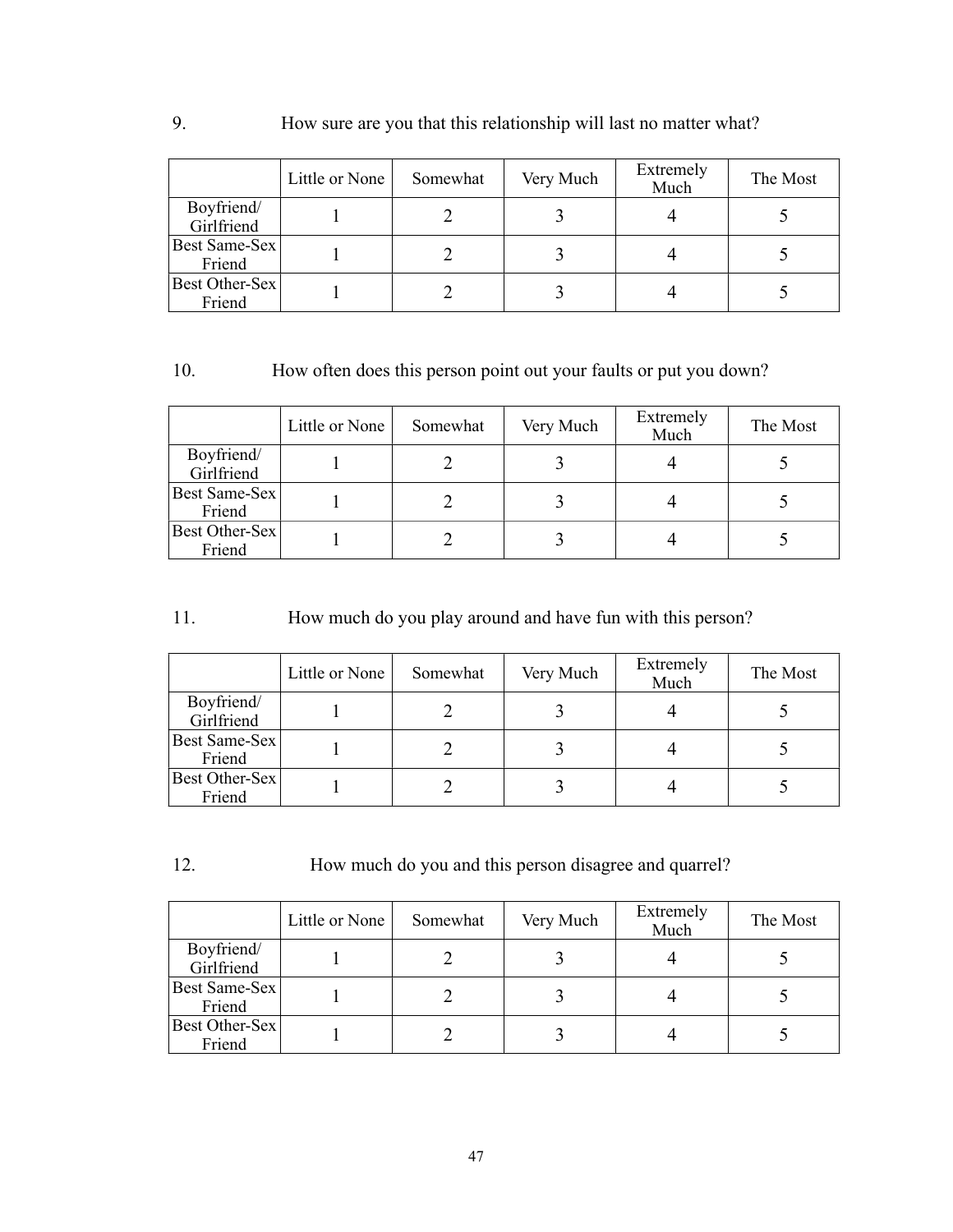# 9. How sure are you that this relationship will last no matter what?

|                          | Little or None | Somewhat | Very Much | Extremely<br>Much | The Most |
|--------------------------|----------------|----------|-----------|-------------------|----------|
| Boyfriend/<br>Girlfriend |                |          |           |                   |          |
| Best Same-Sex<br>Friend  |                |          |           |                   |          |
| Best Other-Sex<br>Friend |                |          |           |                   |          |

# 10. How often does this person point out your faults or put you down?

|                          | Little or None | Somewhat | Very Much | Extremely<br>Much | The Most |
|--------------------------|----------------|----------|-----------|-------------------|----------|
| Boyfriend/<br>Girlfriend |                |          |           |                   |          |
| Best Same-Sex<br>Friend  |                |          |           |                   |          |
| Best Other-Sex<br>Friend |                |          |           |                   |          |

# 11. How much do you play around and have fun with this person?

|                          | Little or None | Somewhat | Very Much | Extremely<br>Much | The Most |
|--------------------------|----------------|----------|-----------|-------------------|----------|
| Boyfriend/<br>Girlfriend |                |          |           |                   |          |
| Best Same-Sex<br>Friend  |                |          |           |                   |          |
| Best Other-Sex<br>Friend |                |          |           |                   |          |

12. How much do you and this person disagree and quarrel?

|                                | Little or None | Somewhat | Very Much | Extremely<br>Much | The Most |
|--------------------------------|----------------|----------|-----------|-------------------|----------|
| Boyfriend/<br>Girlfriend       |                |          |           |                   |          |
| <b>Best Same-Sex</b><br>Friend |                |          |           |                   |          |
| Best Other-Sex<br>Friend       |                |          |           |                   |          |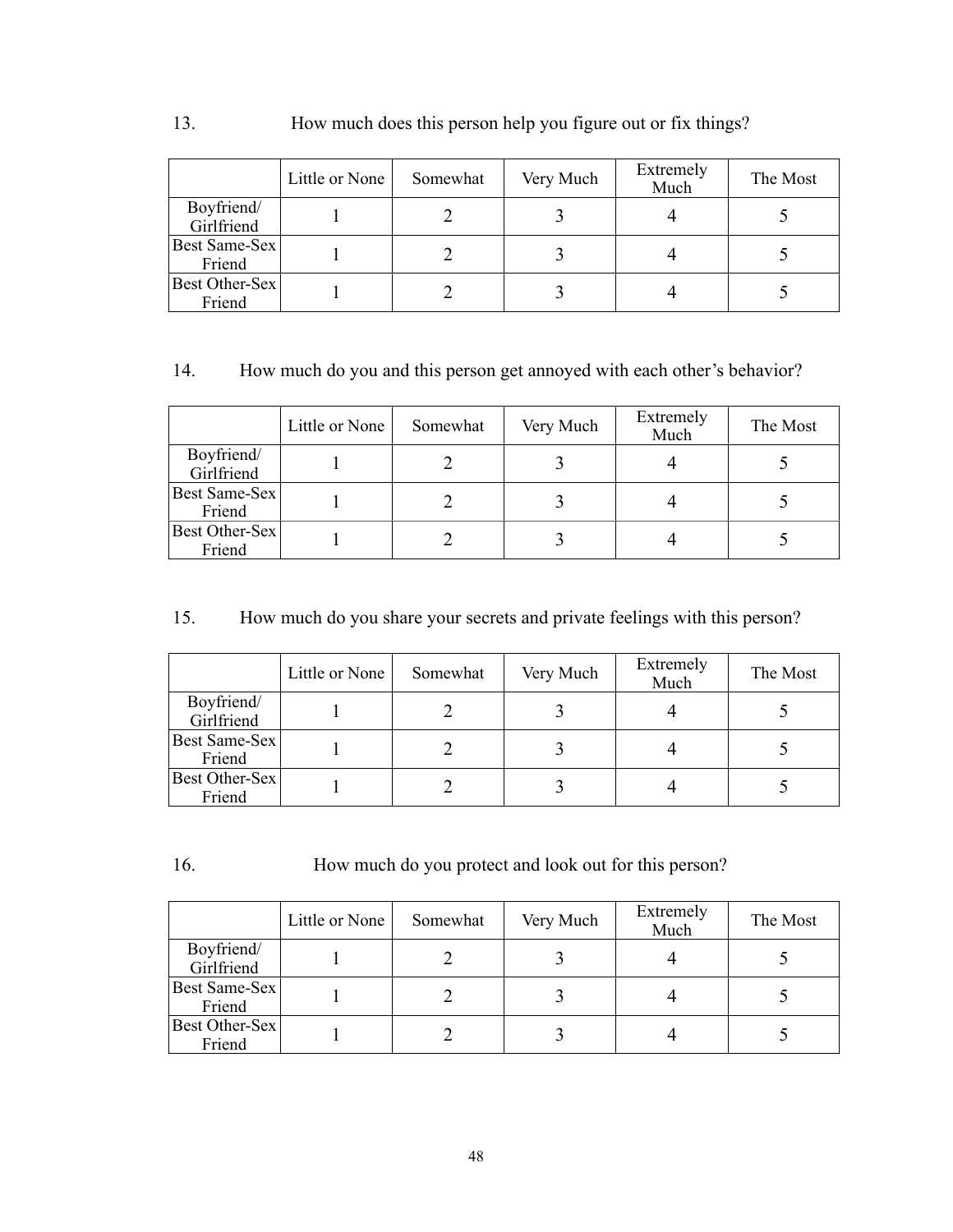# 13. How much does this person help you figure out or fix things?

|                                 | Little or None | Somewhat | Very Much | Extremely<br>Much | The Most |
|---------------------------------|----------------|----------|-----------|-------------------|----------|
| Boyfriend/<br>Girlfriend        |                |          |           |                   |          |
| Best Same-Sex<br>Friend         |                |          |           |                   |          |
| <b>Best Other-Sex</b><br>Friend |                |          |           |                   |          |

### 14. How much do you and this person get annoyed with each other's behavior?

|                          | Little or None | Somewhat | Very Much | Extremely<br>Much | The Most |
|--------------------------|----------------|----------|-----------|-------------------|----------|
| Boyfriend/<br>Girlfriend |                |          |           |                   |          |
| Best Same-Sex<br>Friend  |                |          |           |                   |          |
| Best Other-Sex<br>Friend |                |          |           |                   |          |

# 15. How much do you share your secrets and private feelings with this person?

|                          | Little or None | Somewhat | Very Much | Extremely<br>Much | The Most |
|--------------------------|----------------|----------|-----------|-------------------|----------|
| Boyfriend/<br>Girlfriend |                |          |           |                   |          |
| Best Same-Sex<br>Friend  |                |          |           |                   |          |
| Best Other-Sex<br>Friend |                |          |           |                   |          |

16. How much do you protect and look out for this person?

|                          | Little or None | Somewhat | Very Much | Extremely<br>Much | The Most |
|--------------------------|----------------|----------|-----------|-------------------|----------|
| Boyfriend/<br>Girlfriend |                |          |           |                   |          |
| Best Same-Sex<br>Friend  |                |          |           |                   |          |
| Best Other-Sex<br>Friend |                |          |           |                   |          |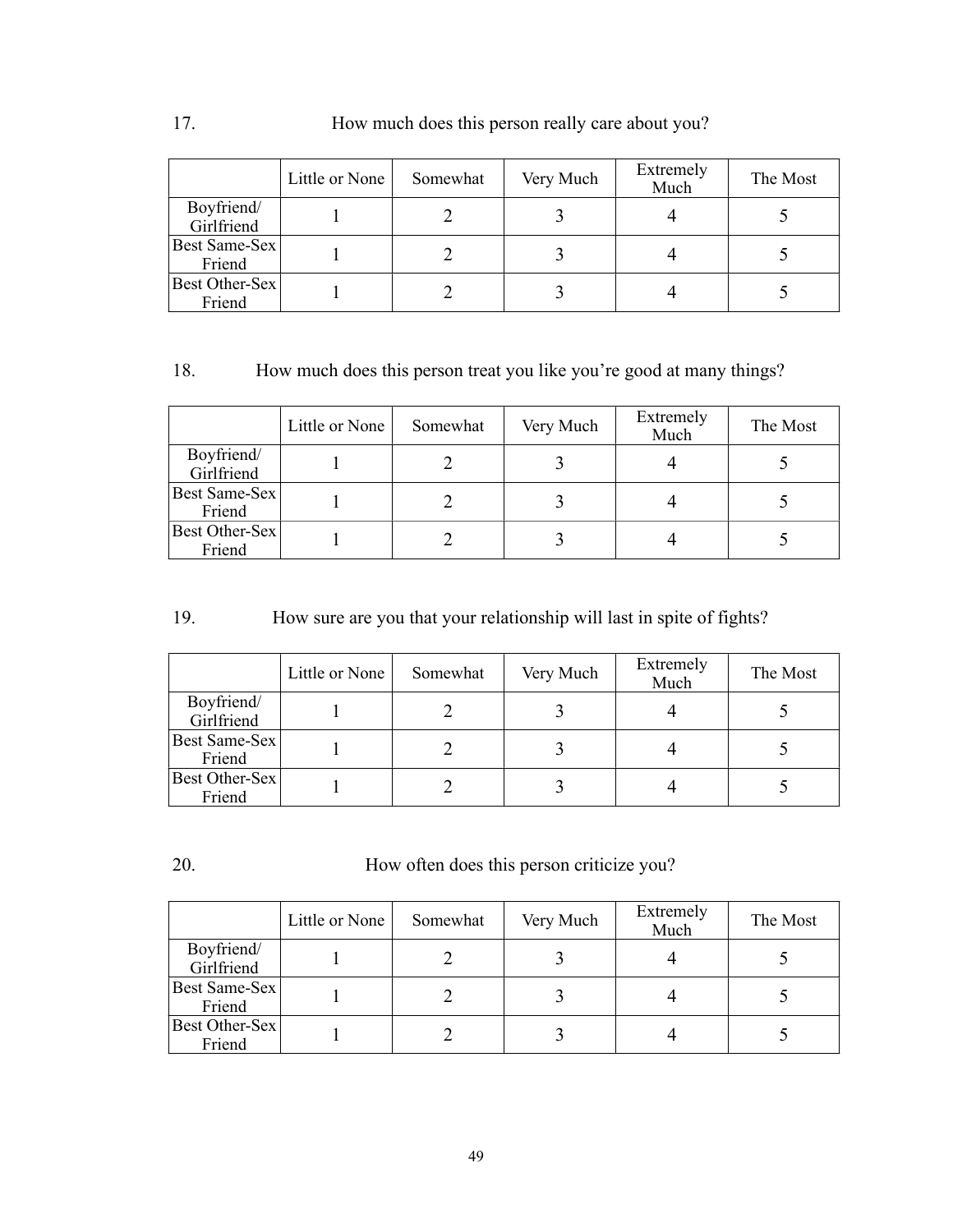|                          | Little or None | Somewhat | Very Much | Extremely<br>Much | The Most |
|--------------------------|----------------|----------|-----------|-------------------|----------|
| Boyfriend/<br>Girlfriend |                |          |           |                   |          |
| Best Same-Sex<br>Friend  |                |          |           |                   |          |
| Best Other-Sex<br>Friend |                |          |           |                   |          |

# 18. How much does this person treat you like you're good at many things?

|                          | Little or None | Somewhat | Very Much | Extremely<br>Much | The Most |
|--------------------------|----------------|----------|-----------|-------------------|----------|
| Boyfriend/<br>Girlfriend |                |          |           |                   |          |
| Best Same-Sex<br>Friend  |                |          |           |                   |          |
| Best Other-Sex<br>Friend |                |          |           |                   |          |

# 19. How sure are you that your relationship will last in spite of fights?

|                          | Little or None | Somewhat | Very Much | Extremely<br>Much | The Most |
|--------------------------|----------------|----------|-----------|-------------------|----------|
| Boyfriend/<br>Girlfriend |                |          |           |                   |          |
| Best Same-Sex<br>Friend  |                |          |           |                   |          |
| Best Other-Sex<br>Friend |                |          |           |                   |          |

20. How often does this person criticize you?

|                          | Little or None | Somewhat | Very Much | Extremely<br>Much | The Most |
|--------------------------|----------------|----------|-----------|-------------------|----------|
| Boyfriend/<br>Girlfriend |                |          |           |                   |          |
| Best Same-Sex<br>Friend  |                |          |           |                   |          |
| Best Other-Sex<br>Friend |                |          |           |                   |          |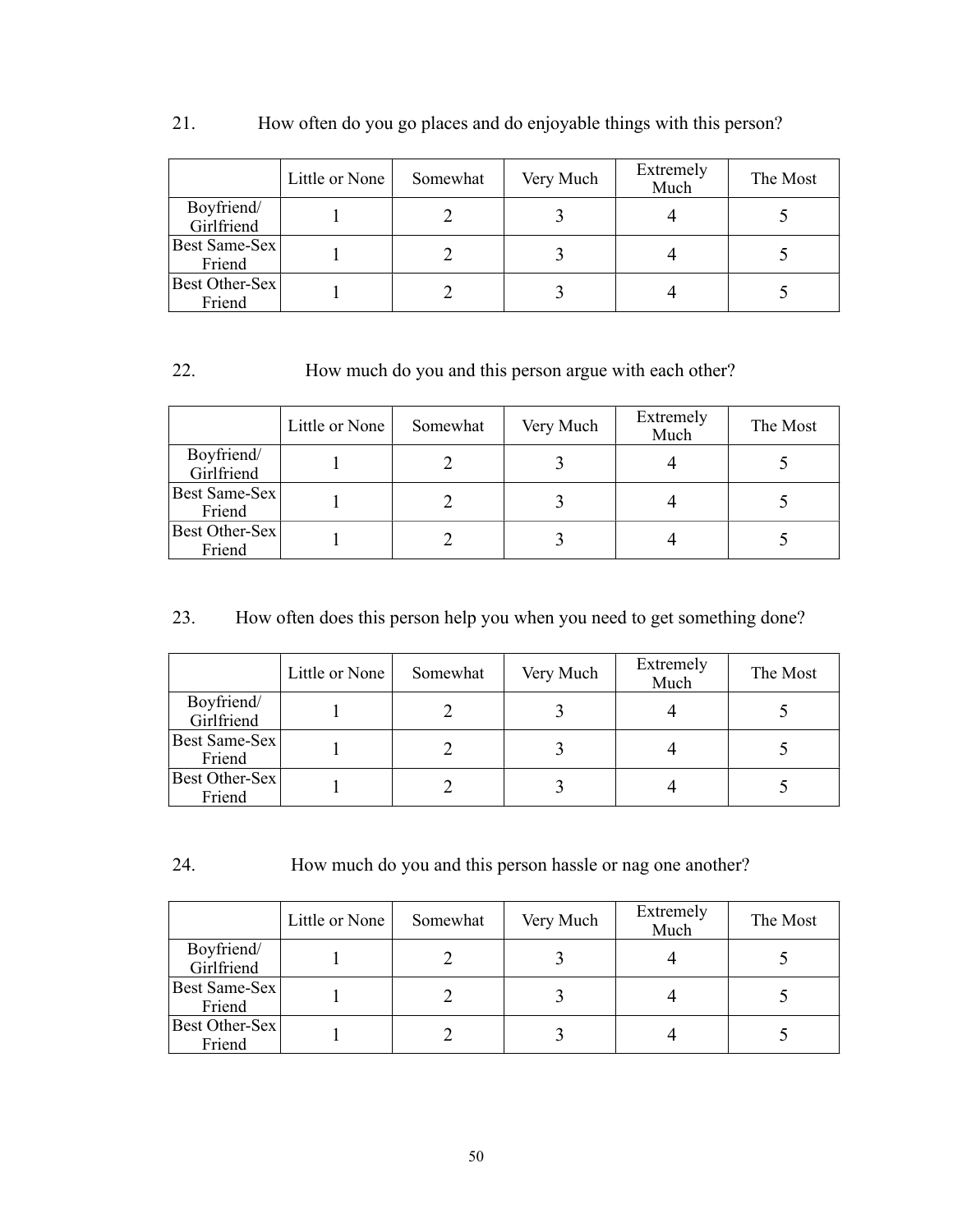|                          | Little or None | Somewhat | Very Much | Extremely<br>Much | The Most |
|--------------------------|----------------|----------|-----------|-------------------|----------|
| Boyfriend/<br>Girlfriend |                |          |           |                   |          |
| Best Same-Sex<br>Friend  |                |          |           |                   |          |
| Best Other-Sex<br>Friend |                |          |           |                   |          |

# 21. How often do you go places and do enjoyable things with this person?

# 22. How much do you and this person argue with each other?

|                          | Little or None | Somewhat | Very Much | Extremely<br>Much | The Most |
|--------------------------|----------------|----------|-----------|-------------------|----------|
| Boyfriend/<br>Girlfriend |                |          |           |                   |          |
| Best Same-Sex<br>Friend  |                |          |           |                   |          |
| Best Other-Sex<br>Friend |                |          |           |                   |          |

# 23. How often does this person help you when you need to get something done?

|                          | Little or None | Somewhat | Very Much | Extremely<br>Much | The Most |
|--------------------------|----------------|----------|-----------|-------------------|----------|
| Boyfriend/<br>Girlfriend |                |          |           |                   |          |
| Best Same-Sex<br>Friend  |                |          |           |                   |          |
| Best Other-Sex<br>Friend |                |          |           |                   |          |

24. How much do you and this person hassle or nag one another?

|                          | Little or None | Somewhat | Very Much | Extremely<br>Much | The Most |
|--------------------------|----------------|----------|-----------|-------------------|----------|
| Boyfriend/<br>Girlfriend |                |          |           |                   |          |
| Best Same-Sex<br>Friend  |                |          |           |                   |          |
| Best Other-Sex<br>Friend |                |          |           |                   |          |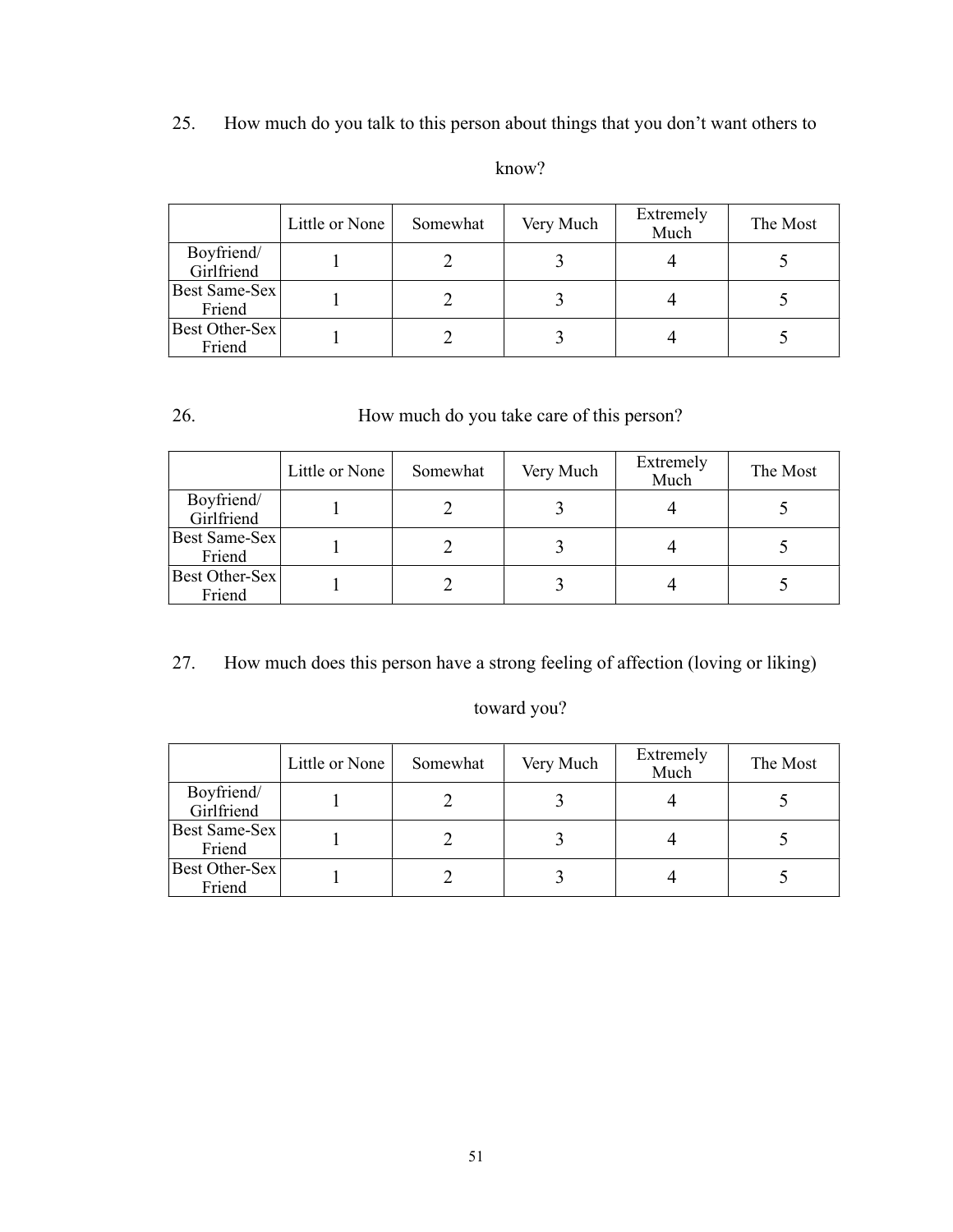# 25. How much do you talk to this person about things that you don't want others to

|                          | Little or None | Somewhat | Very Much | Extremely<br>Much | The Most |
|--------------------------|----------------|----------|-----------|-------------------|----------|
| Boyfriend/<br>Girlfriend |                |          |           |                   |          |
| Best Same-Sex<br>Friend  |                |          |           |                   |          |
| Best Other-Sex<br>Friend |                |          |           |                   |          |

### know?

# 26. How much do you take care of this person?

|                          | Little or None | Somewhat | Very Much | Extremely<br>Much | The Most |
|--------------------------|----------------|----------|-----------|-------------------|----------|
| Boyfriend/<br>Girlfriend |                |          |           |                   |          |
| Best Same-Sex<br>Friend  |                |          |           |                   |          |
| Best Other-Sex<br>Friend |                |          |           |                   |          |

27. How much does this person have a strong feeling of affection (loving or liking)

# toward you?

|                          | Little or None | Somewhat | Very Much | Extremely<br>Much | The Most |
|--------------------------|----------------|----------|-----------|-------------------|----------|
| Boyfriend/<br>Girlfriend |                |          |           |                   |          |
| Best Same-Sex<br>Friend  |                |          |           |                   |          |
| Best Other-Sex<br>Friend |                |          |           |                   |          |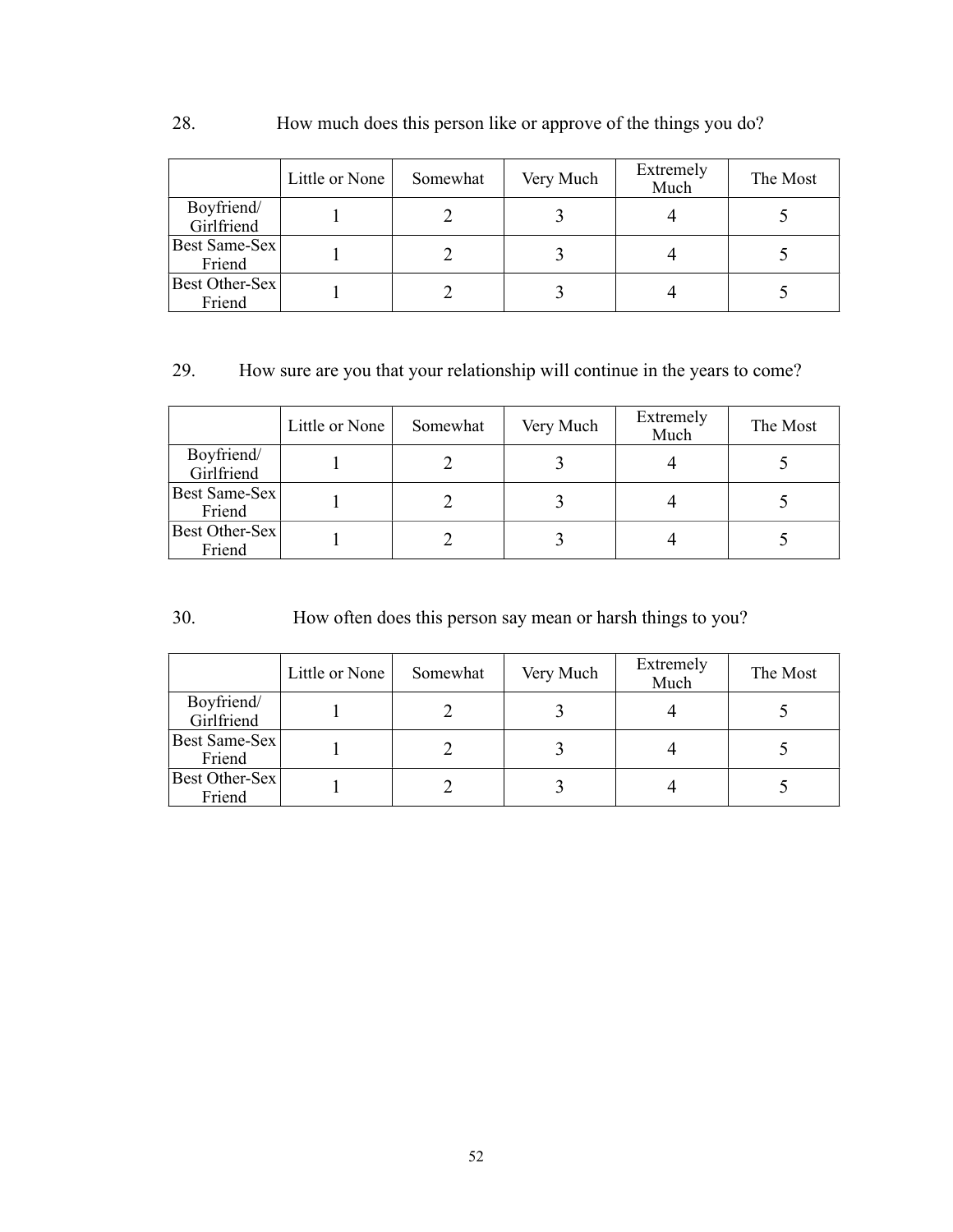# 28. How much does this person like or approve of the things you do?

|                                 | Little or None | Somewhat | Very Much | Extremely<br>Much | The Most |
|---------------------------------|----------------|----------|-----------|-------------------|----------|
| Boyfriend/<br>Girlfriend        |                |          |           |                   |          |
| Best Same-Sex<br>Friend         |                |          |           |                   |          |
| <b>Best Other-Sex</b><br>Friend |                |          |           |                   |          |

# 29. How sure are you that your relationship will continue in the years to come?

|                          | Little or None | Somewhat | Very Much | Extremely<br>Much | The Most |
|--------------------------|----------------|----------|-----------|-------------------|----------|
| Boyfriend/<br>Girlfriend |                |          |           |                   |          |
| Best Same-Sex<br>Friend  |                |          |           |                   |          |
| Best Other-Sex<br>Friend |                |          |           |                   |          |

# 30. How often does this person say mean or harsh things to you?

|                          | Little or None | Somewhat | Very Much | Extremely<br>Much | The Most |
|--------------------------|----------------|----------|-----------|-------------------|----------|
| Boyfriend/<br>Girlfriend |                |          |           |                   |          |
| Best Same-Sex<br>Friend  |                |          |           |                   |          |
| Best Other-Sex<br>Friend |                |          |           |                   |          |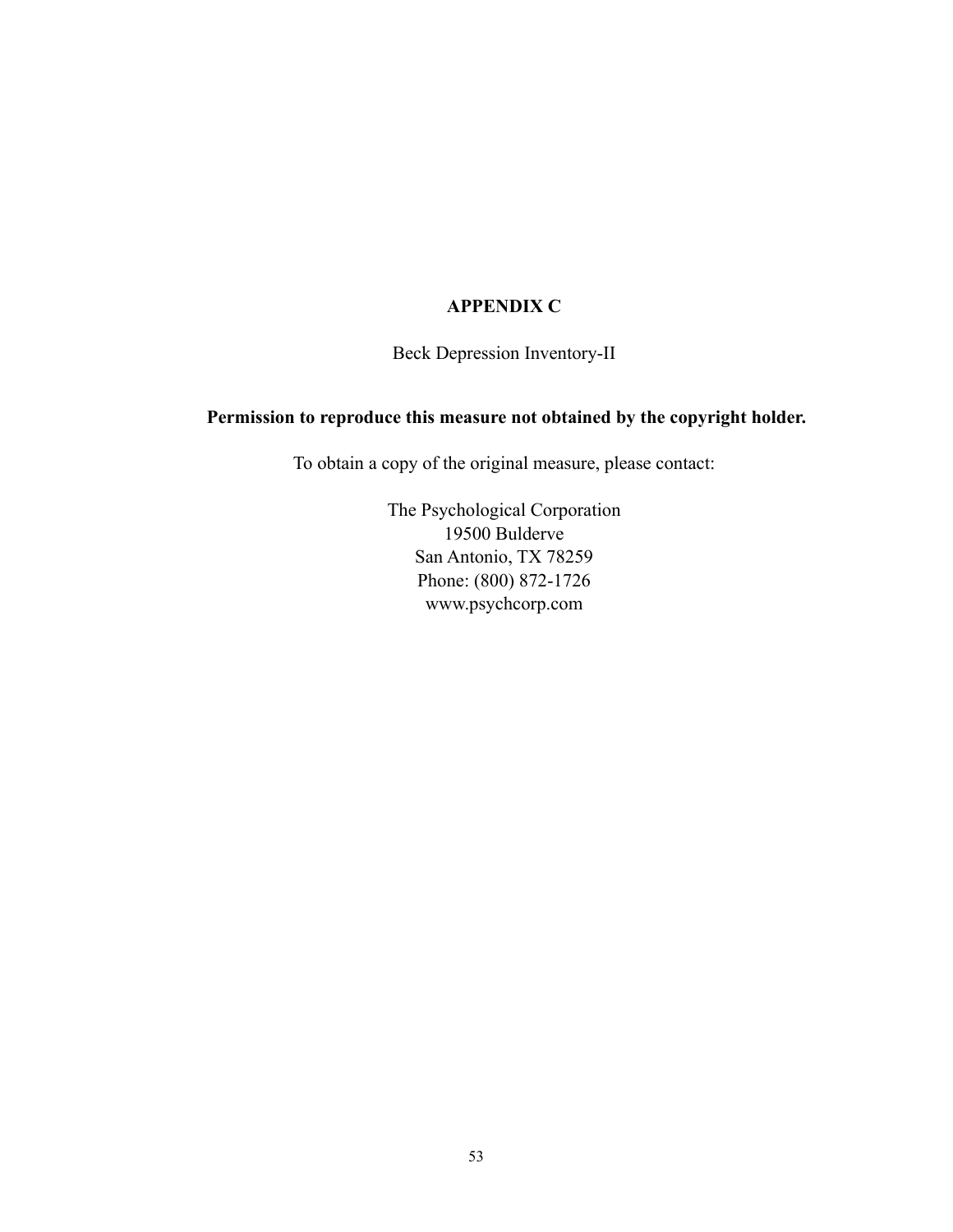### **APPENDIX C**

Beck Depression Inventory-II

### **Permission to reproduce this measure not obtained by the copyright holder.**

To obtain a copy of the original measure, please contact:

The Psychological Corporation 19500 Bulderve San Antonio, TX 78259 Phone: (800) 872-1726 [www.psychcorp.com](http://www.psychcorp.com)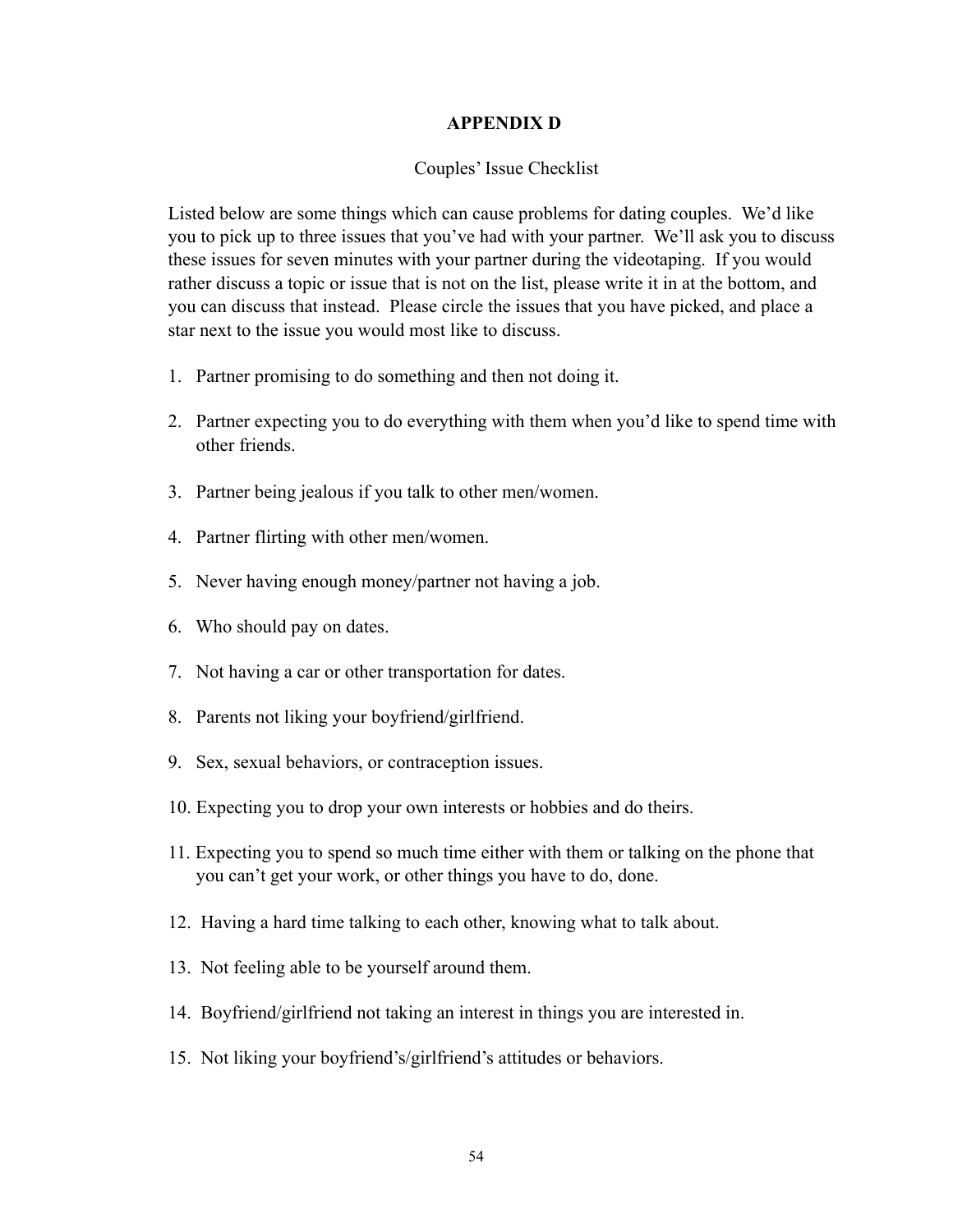### **APPENDIX D**

### Couples' Issue Checklist

Listed below are some things which can cause problems for dating couples. We'd like you to pick up to three issues that you've had with your partner. We'll ask you to discuss these issues for seven minutes with your partner during the videotaping. If you would rather discuss a topic or issue that is not on the list, please write it in at the bottom, and you can discuss that instead. Please circle the issues that you have picked, and place a star next to the issue you would most like to discuss.

- 1. Partner promising to do something and then not doing it.
- 2. Partner expecting you to do everything with them when you'd like to spend time with other friends.
- 3. Partner being jealous if you talk to other men/women.
- 4. Partner flirting with other men/women.
- 5. Never having enough money/partner not having a job.
- 6. Who should pay on dates.
- 7. Not having a car or other transportation for dates.
- 8. Parents not liking your boyfriend/girlfriend.
- 9. Sex, sexual behaviors, or contraception issues.
- 10. Expecting you to drop your own interests or hobbies and do theirs.
- 11. Expecting you to spend so much time either with them or talking on the phone that you can't get your work, or other things you have to do, done.
- 12. Having a hard time talking to each other, knowing what to talk about.
- 13. Not feeling able to be yourself around them.
- 14. Boyfriend/girlfriend not taking an interest in things you are interested in.
- 15. Not liking your boyfriend's/girlfriend's attitudes or behaviors.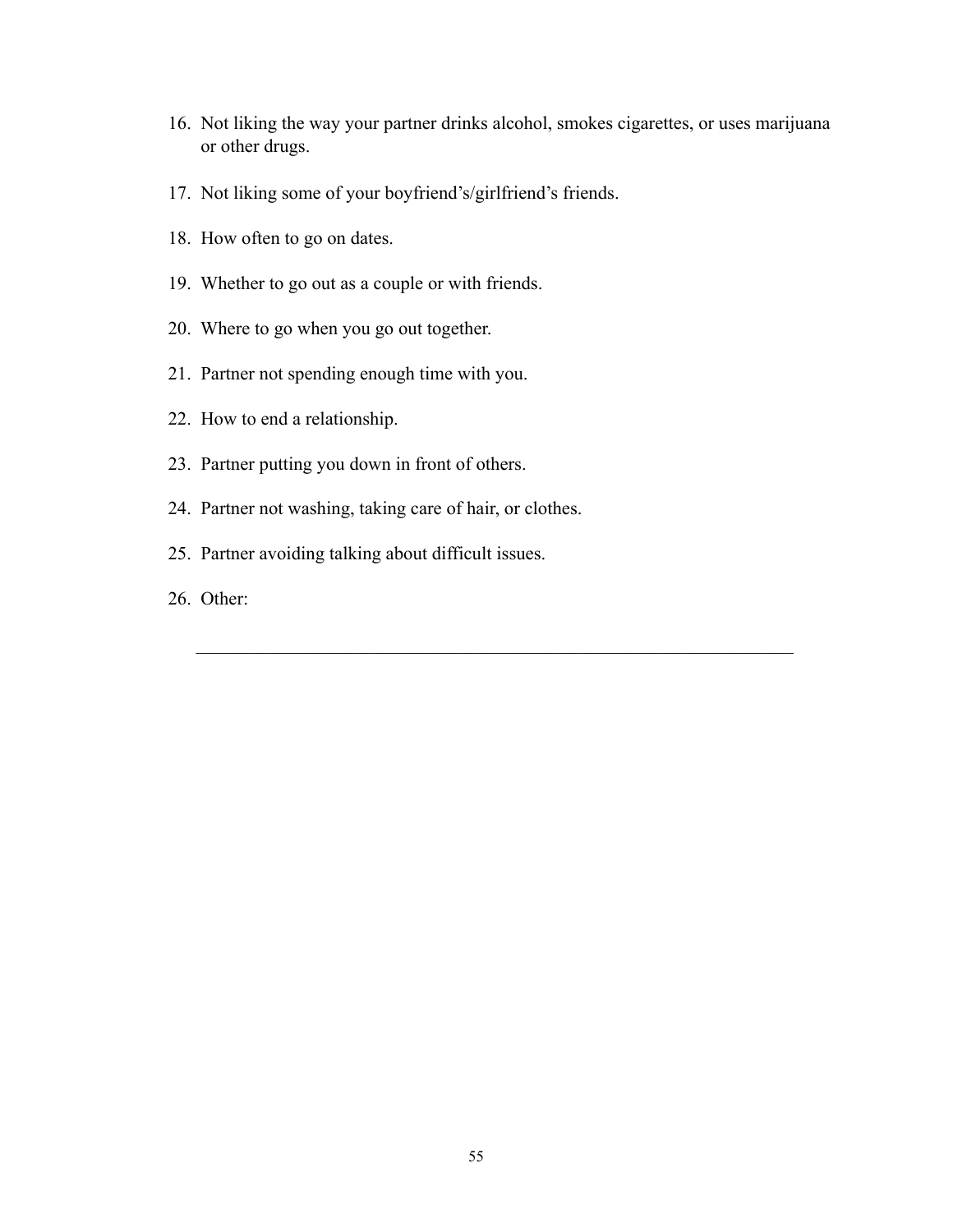16. Not liking the way your partner drinks alcohol, smokes cigarettes, or uses marijuana or other drugs.

 $\mathcal{L}_\text{max}$  , and the contribution of the contribution of the contribution of the contribution of the contribution of the contribution of the contribution of the contribution of the contribution of the contribution of t

- 17. Not liking some of your boyfriend's/girlfriend's friends.
- 18. How often to go on dates.
- 19. Whether to go out as a couple or with friends.
- 20. Where to go when you go out together.
- 21. Partner not spending enough time with you.
- 22. How to end a relationship.
- 23. Partner putting you down in front of others.
- 24. Partner not washing, taking care of hair, or clothes.
- 25. Partner avoiding talking about difficult issues.
- 26. Other: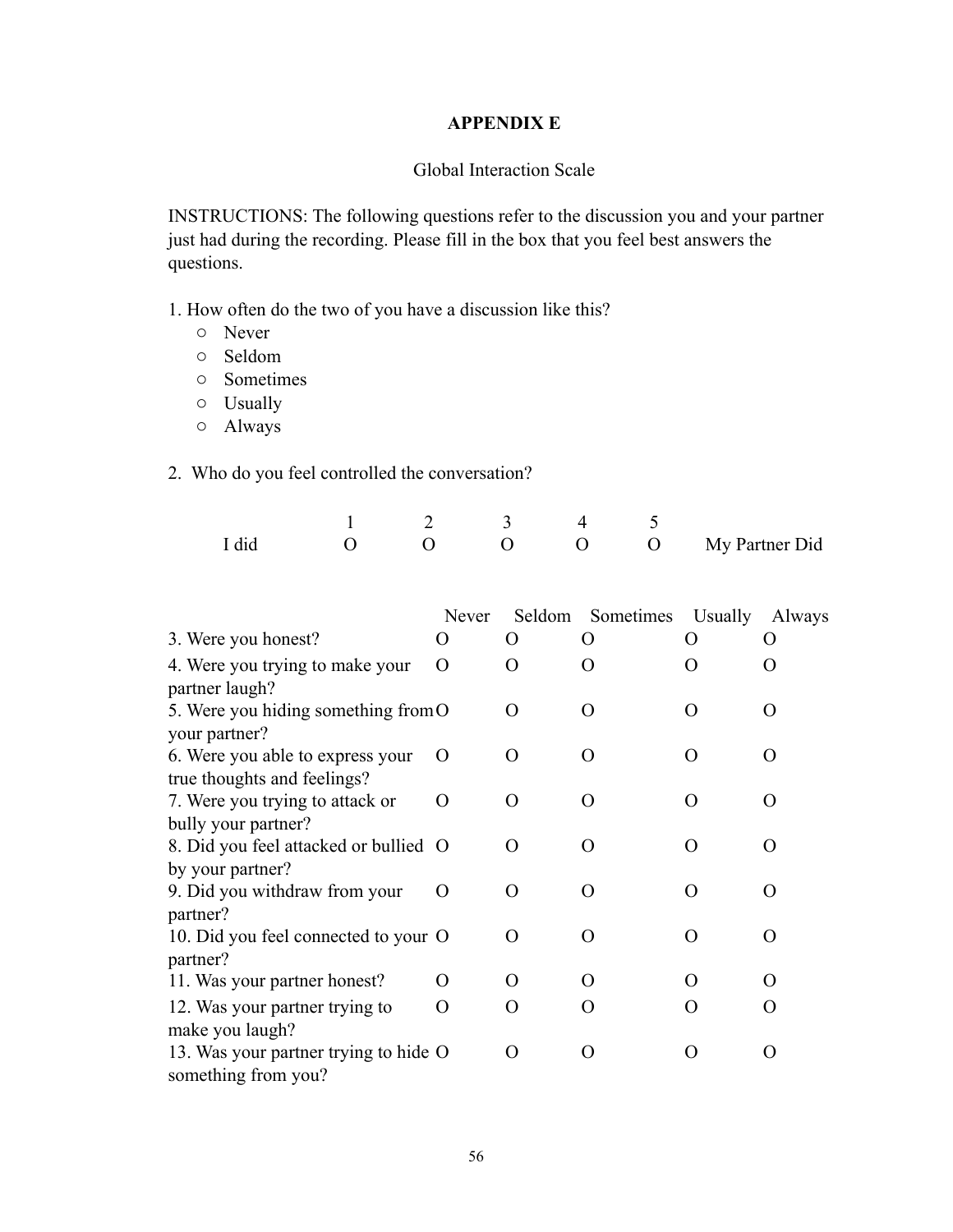### **APPENDIX E**

#### Global Interaction Scale

INSTRUCTIONS: The following questions refer to the discussion you and your partner just had during the recording. Please fill in the box that you feel best answers the questions.

1. How often do the two of you have a discussion like this?

- o Never
- o Seldom
- o Sometimes
- o Usually
- o Always

2. Who do you feel controlled the conversation?

|       |                | $\frac{3}{2}$ $\frac{4}{2}$ |                    |
|-------|----------------|-----------------------------|--------------------|
| I did | $\overline{a}$ |                             | O O My Partner Did |

|                                       | Never            | Seldom             | Sometimes Usually  |                  | Always             |
|---------------------------------------|------------------|--------------------|--------------------|------------------|--------------------|
| 3. Were you honest?                   | ( )              | $\lambda$          | $\theta$           | $\epsilon$       | O                  |
| 4. Were you trying to make your       | $\Omega$         | $\Omega$           | O                  | $\left( \right)$ | $\Omega$           |
| partner laugh?                        |                  |                    |                    |                  |                    |
| 5. Were you hiding something from O   |                  | $\theta$           | $\left( \right)$   | $\lambda$        | $\Omega$           |
| your partner?                         |                  |                    |                    |                  |                    |
| 6. Were you able to express your      | $\Omega$         | $\left( \right)$   | $\left( \right)$   | $\left( \right)$ | $\left( \right)$   |
| true thoughts and feelings?           |                  |                    |                    |                  |                    |
| 7. Were you trying to attack or       | $\left( \right)$ | $\left( \right)$   | $\left( \right)$   | $\left( \right)$ | O                  |
| bully your partner?                   |                  |                    |                    |                  |                    |
| 8. Did you feel attacked or bullied O |                  | $\left( \right)$   | $\left( \right)$   | $\left( \right)$ | $\left( \ \right)$ |
| by your partner?                      |                  |                    |                    |                  |                    |
| 9. Did you withdraw from your         | $\left( \right)$ | $\theta$           | $\left( \right)$   | $\Omega$         | ∩                  |
| partner?                              |                  |                    |                    |                  |                    |
| 10. Did you feel connected to your O  |                  | $\Omega$           | $\left( \right)$   | $\Omega$         | ∩                  |
| partner?                              |                  |                    |                    |                  |                    |
| 11. Was your partner honest?          | ( )              | $\theta$           | $\left( \ \right)$ | 0                | $\left( \ \right)$ |
| 12. Was your partner trying to        | $\left( \right)$ | $\left( \ \right)$ | $\left( \right)$   | $\left( \right)$ | $\left( \ \right)$ |
| make you laugh?                       |                  |                    |                    |                  |                    |
| 13. Was your partner trying to hide O |                  | $\left( \ \right)$ | $\left( \right)$   | 0                | $\left( \ \right)$ |
| something from you?                   |                  |                    |                    |                  |                    |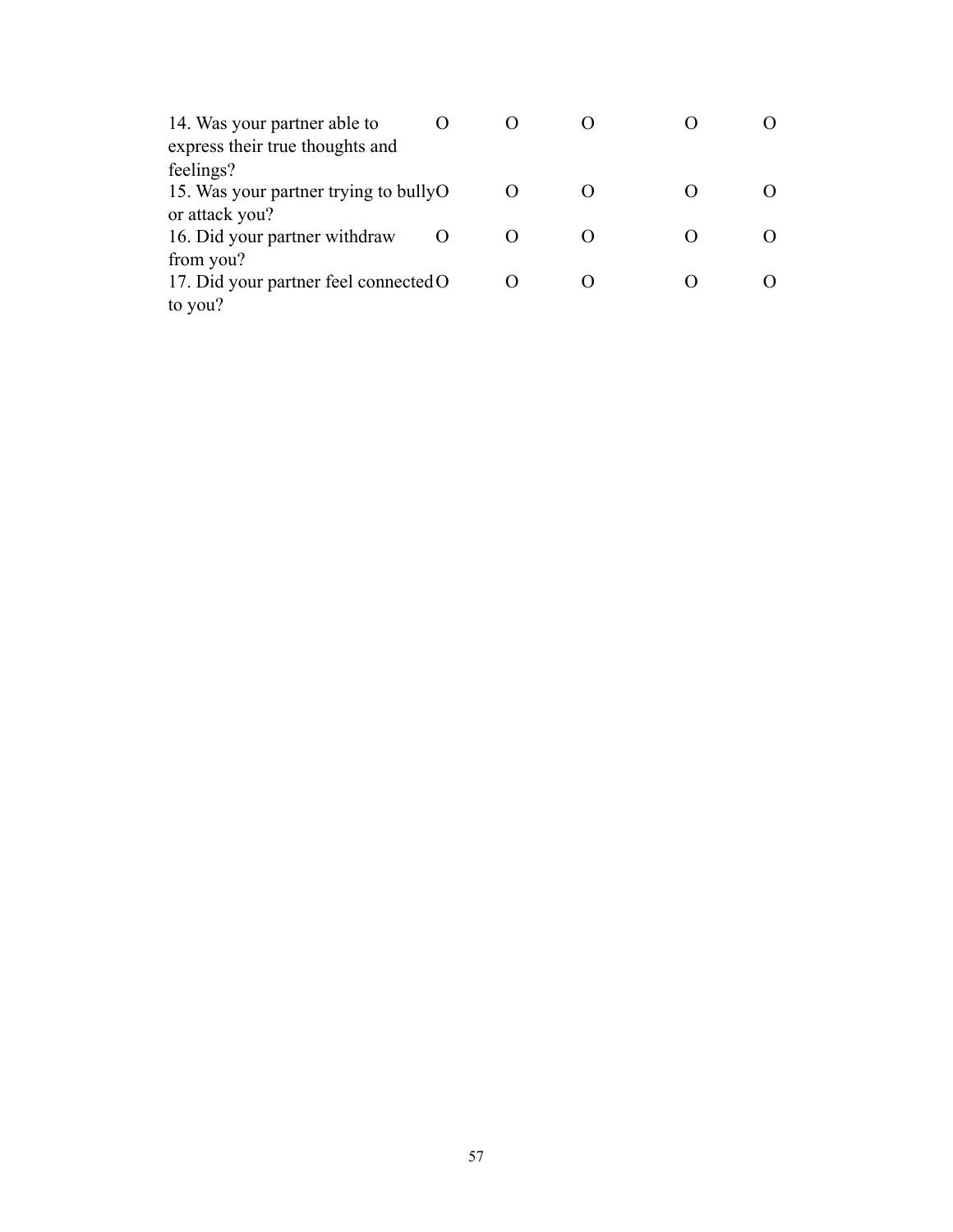| 14. Was your partner able to          |  |  |  |
|---------------------------------------|--|--|--|
| express their true thoughts and       |  |  |  |
| feelings?                             |  |  |  |
| 15. Was your partner trying to bullyO |  |  |  |
| or attack you?                        |  |  |  |
| 16. Did your partner withdraw         |  |  |  |
| from you?                             |  |  |  |
| 17. Did your partner feel connected O |  |  |  |
| to you?                               |  |  |  |
|                                       |  |  |  |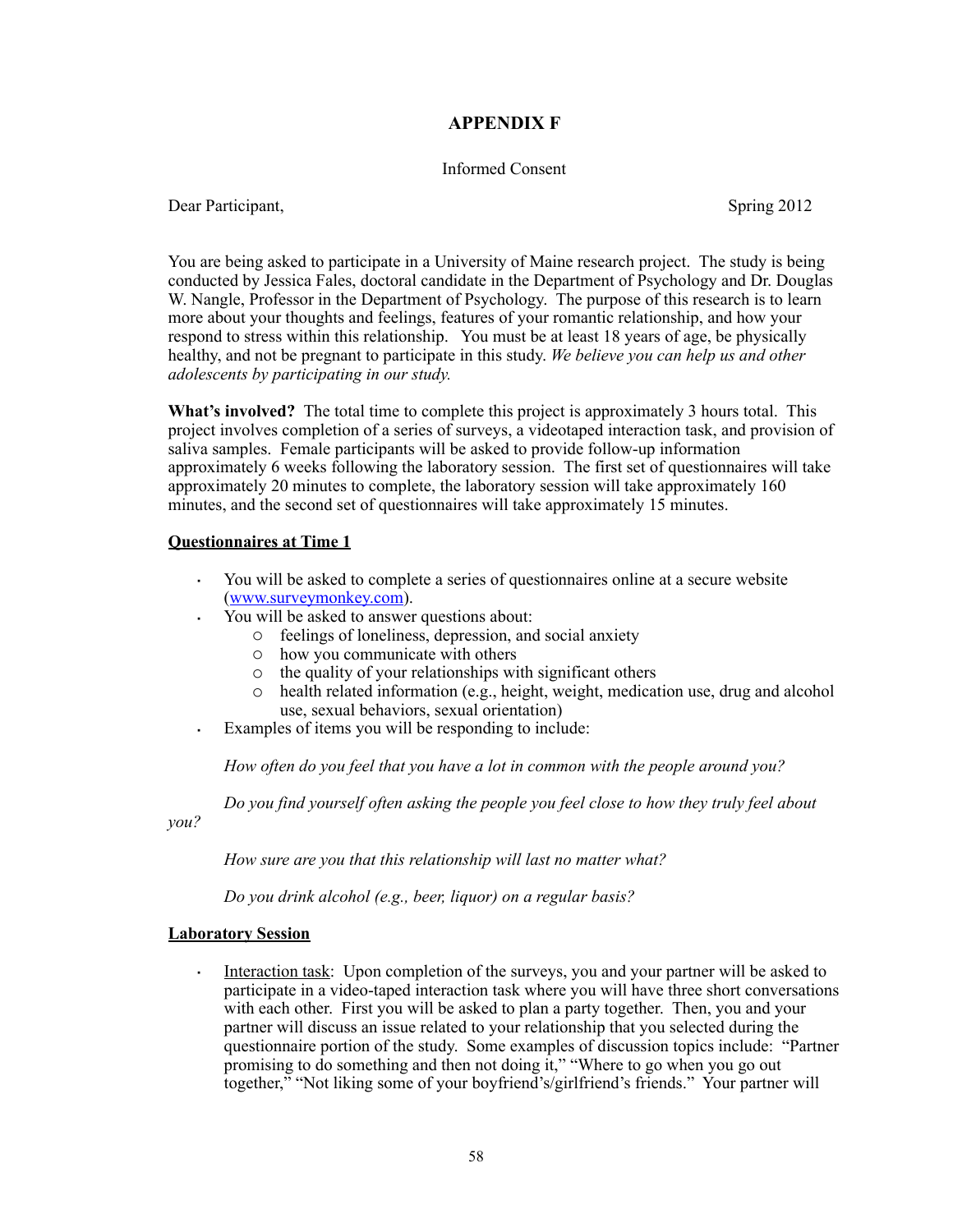### **APPENDIX F**

#### Informed Consent

Dear Participant, Spring 2012

You are being asked to participate in a University of Maine research project. The study is being conducted by Jessica Fales, doctoral candidate in the Department of Psychology and Dr. Douglas W. Nangle, Professor in the Department of Psychology. The purpose of this research is to learn more about your thoughts and feelings, features of your romantic relationship, and how your respond to stress within this relationship. You must be at least 18 years of age, be physically healthy, and not be pregnant to participate in this study. *We believe you can help us and other adolescents by participating in our study.*

**What's involved?** The total time to complete this project is approximately 3 hours total. This project involves completion of a series of surveys, a videotaped interaction task, and provision of saliva samples. Female participants will be asked to provide follow-up information approximately 6 weeks following the laboratory session. The first set of questionnaires will take approximately 20 minutes to complete, the laboratory session will take approximately 160 minutes, and the second set of questionnaires will take approximately 15 minutes.

#### **Questionnaires at Time 1**

- · You will be asked to complete a series of questionnaires online at a secure website ([www.surveymonkey.com](http://www.surveymonkey.com)).
- · You will be asked to answer questions about:
	- o feelings of loneliness, depression, and social anxiety
	- o how you communicate with others
	- o the quality of your relationships with significant others
	- o health related information (e.g., height, weight, medication use, drug and alcohol use, sexual behaviors, sexual orientation)
- · Examples of items you will be responding to include:

 *How often do you feel that you have a lot in common with the people around you?*

 *Do you find yourself often asking the people you feel close to how they truly feel about* 

*you?* 

 *How sure are you that this relationship will last no matter what?*

 *Do you drink alcohol (e.g., beer, liquor) on a regular basis?*

#### **Laboratory Session**

· Interaction task: Upon completion of the surveys, you and your partner will be asked to participate in a video-taped interaction task where you will have three short conversations with each other. First you will be asked to plan a party together. Then, you and your partner will discuss an issue related to your relationship that you selected during the questionnaire portion of the study. Some examples of discussion topics include: "Partner promising to do something and then not doing it," "Where to go when you go out together," "Not liking some of your boyfriend's/girlfriend's friends." Your partner will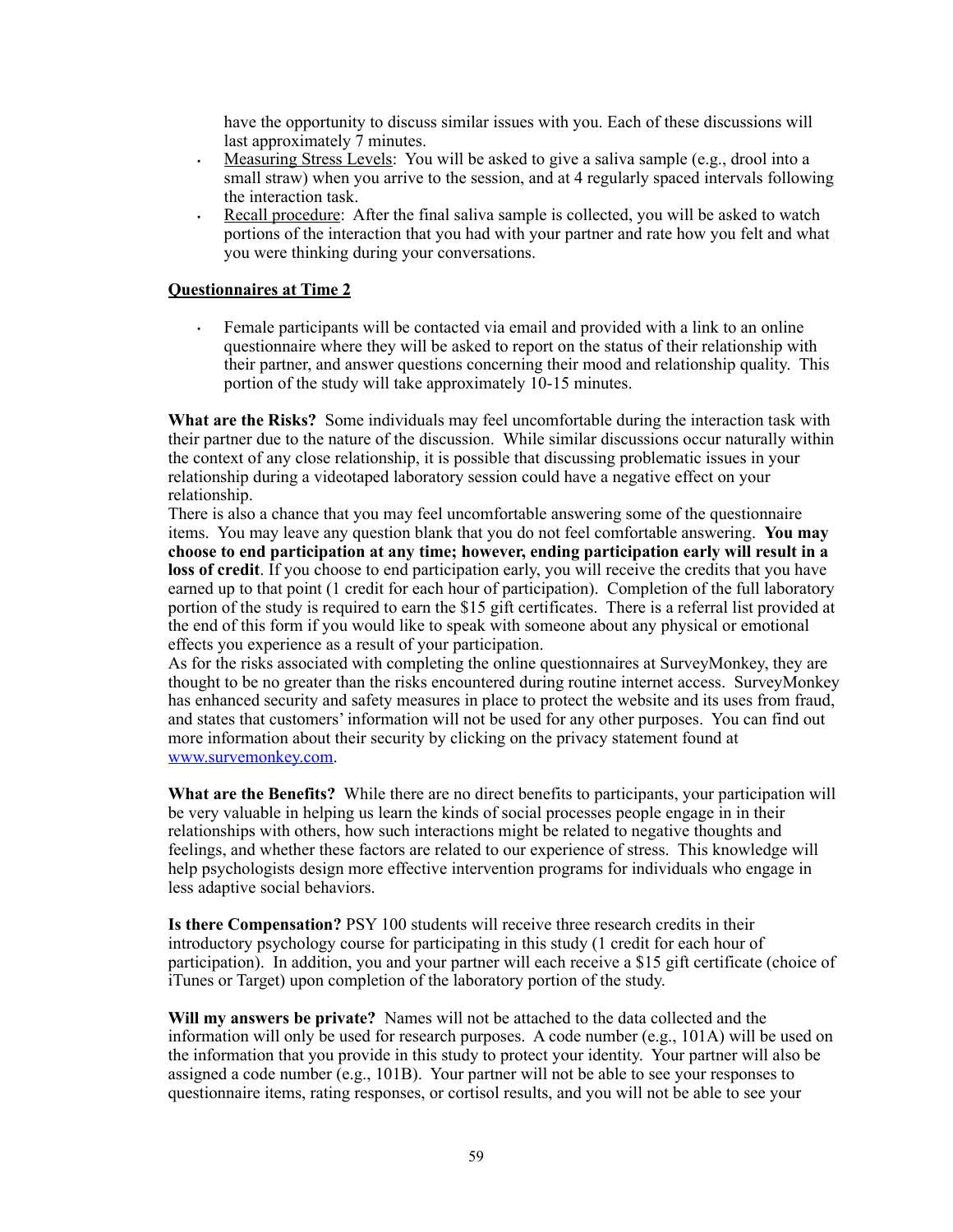have the opportunity to discuss similar issues with you. Each of these discussions will last approximately 7 minutes.

- · Measuring Stress Levels: You will be asked to give a saliva sample (e.g., drool into a small straw) when you arrive to the session, and at 4 regularly spaced intervals following the interaction task.
- Recall procedure: After the final saliva sample is collected, you will be asked to watch portions of the interaction that you had with your partner and rate how you felt and what you were thinking during your conversations.

#### **Questionnaires at Time 2**

Female participants will be contacted via email and provided with a link to an online questionnaire where they will be asked to report on the status of their relationship with their partner, and answer questions concerning their mood and relationship quality. This portion of the study will take approximately 10-15 minutes.

**What are the Risks?** Some individuals may feel uncomfortable during the interaction task with their partner due to the nature of the discussion. While similar discussions occur naturally within the context of any close relationship, it is possible that discussing problematic issues in your relationship during a videotaped laboratory session could have a negative effect on your relationship.

There is also a chance that you may feel uncomfortable answering some of the questionnaire items. You may leave any question blank that you do not feel comfortable answering. **You may choose to end participation at any time; however, ending participation early will result in a loss of credit**. If you choose to end participation early, you will receive the credits that you have earned up to that point (1 credit for each hour of participation). Completion of the full laboratory portion of the study is required to earn the \$15 gift certificates. There is a referral list provided at the end of this form if you would like to speak with someone about any physical or emotional effects you experience as a result of your participation.

As for the risks associated with completing the online questionnaires at SurveyMonkey, they are thought to be no greater than the risks encountered during routine internet access. SurveyMonkey has enhanced security and safety measures in place to protect the website and its uses from fraud, and states that customers' information will not be used for any other purposes. You can find out more information about their security by clicking on the privacy statement found at [www.survemonkey.com](http://www.survemonkey.com).

**What are the Benefits?** While there are no direct benefits to participants, your participation will be very valuable in helping us learn the kinds of social processes people engage in in their relationships with others, how such interactions might be related to negative thoughts and feelings, and whether these factors are related to our experience of stress. This knowledge will help psychologists design more effective intervention programs for individuals who engage in less adaptive social behaviors.

**Is there Compensation?** PSY 100 students will receive three research credits in their introductory psychology course for participating in this study (1 credit for each hour of participation). In addition, you and your partner will each receive a \$15 gift certificate (choice of iTunes or Target) upon completion of the laboratory portion of the study.

**Will my answers be private?** Names will not be attached to the data collected and the information will only be used for research purposes. A code number (e.g., 101A) will be used on the information that you provide in this study to protect your identity. Your partner will also be assigned a code number (e.g.,  $101B$ ). Your partner will not be able to see your responses to questionnaire items, rating responses, or cortisol results, and you will not be able to see your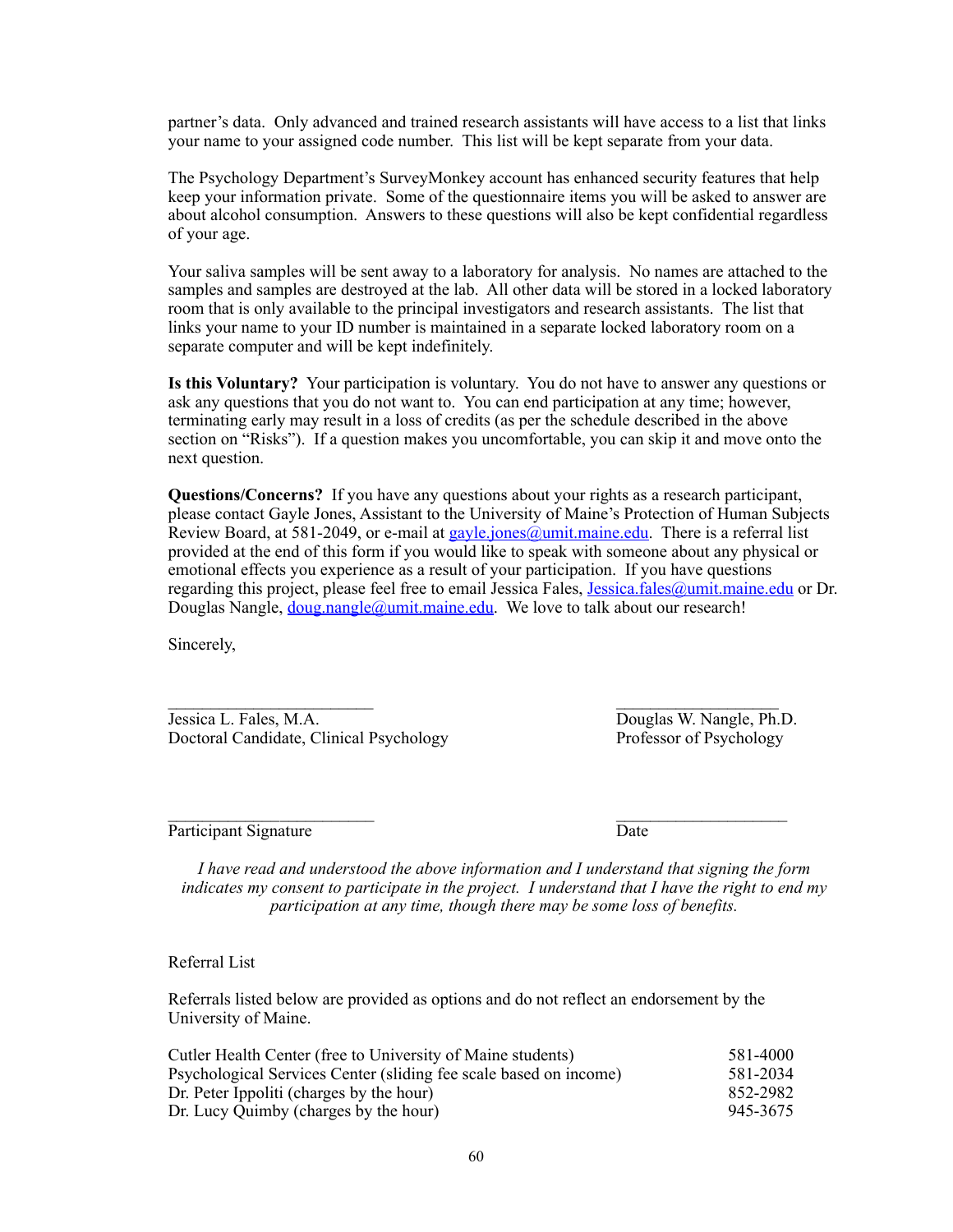partner's data. Only advanced and trained research assistants will have access to a list that links your name to your assigned code number. This list will be kept separate from your data.

The Psychology Department's SurveyMonkey account has enhanced security features that help keep your information private. Some of the questionnaire items you will be asked to answer are about alcohol consumption. Answers to these questions will also be kept confidential regardless of your age.

Your saliva samples will be sent away to a laboratory for analysis. No names are attached to the samples and samples are destroyed at the lab. All other data will be stored in a locked laboratory room that is only available to the principal investigators and research assistants. The list that links your name to your ID number is maintained in a separate locked laboratory room on a separate computer and will be kept indefinitely.

**Is this Voluntary?** Your participation is voluntary. You do not have to answer any questions or ask any questions that you do not want to. You can end participation at any time; however, terminating early may result in a loss of credits (as per the schedule described in the above section on "Risks"). If a question makes you uncomfortable, you can skip it and move onto the next question.

**Questions/Concerns?** If you have any questions about your rights as a research participant, please contact Gayle Jones, Assistant to the University of Maine's Protection of Human Subjects Review Board, at 581-2049, or e-mail at [gayle.jones@umit.maine.edu.](mailto:gayle.jones@umit.maine.edu) There is a referral list provided at the end of this form if you would like to speak with someone about any physical or emotional effects you experience as a result of your participation. If you have questions regarding this project, please feel free to email Jessica Fales, [Jessica.fales@umit.maine.edu](mailto:Jessica.fales@umit.maine.edu) or Dr. Douglas Nangle, *[doug.nangle@umit.maine.edu](mailto:doug.nangle@umit.maine.edu).* We love to talk about our research!

Sincerely,

 $\mathcal{L}_\text{max}$  and the contract of the contract of the contract of the contract of the contract of the contract of the contract of the contract of the contract of the contract of the contract of the contract of the contrac Jessica L. Fales, M.A. Douglas W. Nangle, Ph.D.<br>Doctoral Candidate, Clinical Psychology Professor of Psychology Doctoral Candidate, Clinical Psychology

 $\mathcal{L}_\text{max}$  and the contract of the contract of the contract of the contract of the contract of the contract of the contract of the contract of the contract of the contract of the contract of the contract of the contrac Participant Signature Date

*I have read and understood the above information and I understand that signing the form indicates my consent to participate in the project. I understand that I have the right to end my participation at any time, though there may be some loss of benefits.*

Referral List

Referrals listed below are provided as options and do not reflect an endorsement by the University of Maine.

| Cutler Health Center (free to University of Maine students)       | 581-4000 |
|-------------------------------------------------------------------|----------|
| Psychological Services Center (sliding fee scale based on income) | 581-2034 |
| Dr. Peter Ippoliti (charges by the hour)                          | 852-2982 |
| Dr. Lucy Quimby (charges by the hour)                             | 945-3675 |